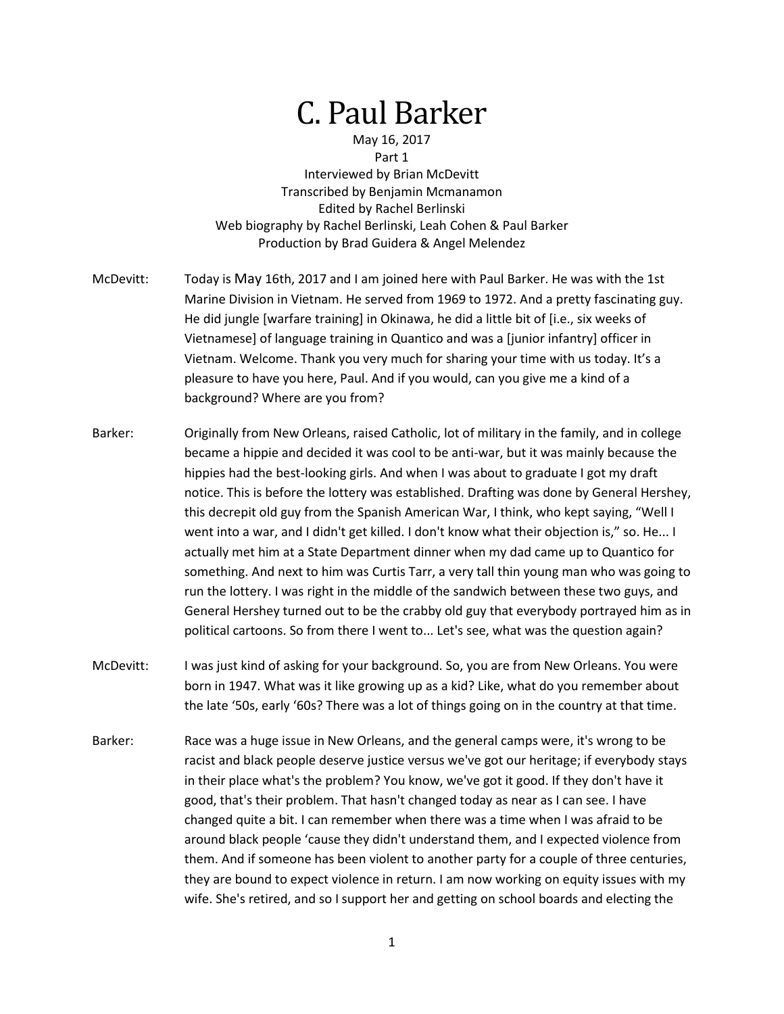## C. Paul Barker

## May 16, 2017 Part 1

Interviewed by Brian McDevitt Transcribed by Benjamin Mcmanamon Edited by Rachel Berlinski Web biography by Rachel Berlinski, Leah Cohen & Paul Barker Production by Brad Guidera & Angel Melendez

- McDevitt: Today is May 16th, 2017 and I am joined here with Paul Barker. He was with the 1st Marine Division in Vietnam. He served from 1969 to 1972. And a pretty fascinating guy. He did jungle [warfare training] in Okinawa, he did a little bit of [i.e., six weeks of Vietnamese] of language training in Quantico and was a [junior infantry] officer in Vietnam. Welcome. Thank you very much for sharing your time with us today. It's a pleasure to have you here, Paul. And if you would, can you give me a kind of a background? Where are you from?
- Barker: Originally from New Orleans, raised Catholic, lot of military in the family, and in college became a hippie and decided it was cool to be anti-war, but it was mainly because the hippies had the best-looking girls. And when I was about to graduate I got my draft notice. This is before the lottery was established. Drafting was done by General Hershey, this decrepit old guy from the Spanish American War, I think, who kept saying, "Well I went into a war, and I didn't get killed. I don't know what their objection is," so. He... I actually met him at a State Department dinner when my dad came up to Quantico for something. And next to him was Curtis Tarr, a very tall thin young man who was going to run the lottery. I was right in the middle of the sandwich between these two guys, and General Hershey turned out to be the crabby old guy that everybody portrayed him as in political cartoons. So from there I went to... Let's see, what was the question again?
- McDevitt: I was just kind of asking for your background. So, you are from New Orleans. You were born in 1947. What was it like growing up as a kid? Like, what do you remember about the late '50s, early '60s? There was a lot of things going on in the country at that time.
- Barker: Race was a huge issue in New Orleans, and the general camps were, it's wrong to be racist and black people deserve justice versus we've got our heritage; if everybody stays in their place what's the problem? You know, we've got it good. If they don't have it good, that's their problem. That hasn't changed today as near as I can see. I have changed quite a bit. I can remember when there was a time when I was afraid to be around black people 'cause they didn't understand them, and I expected violence from them. And if someone has been violent to another party for a couple of three centuries, they are bound to expect violence in return. I am now working on equity issues with my wife. She's retired, and so I support her and getting on school boards and electing the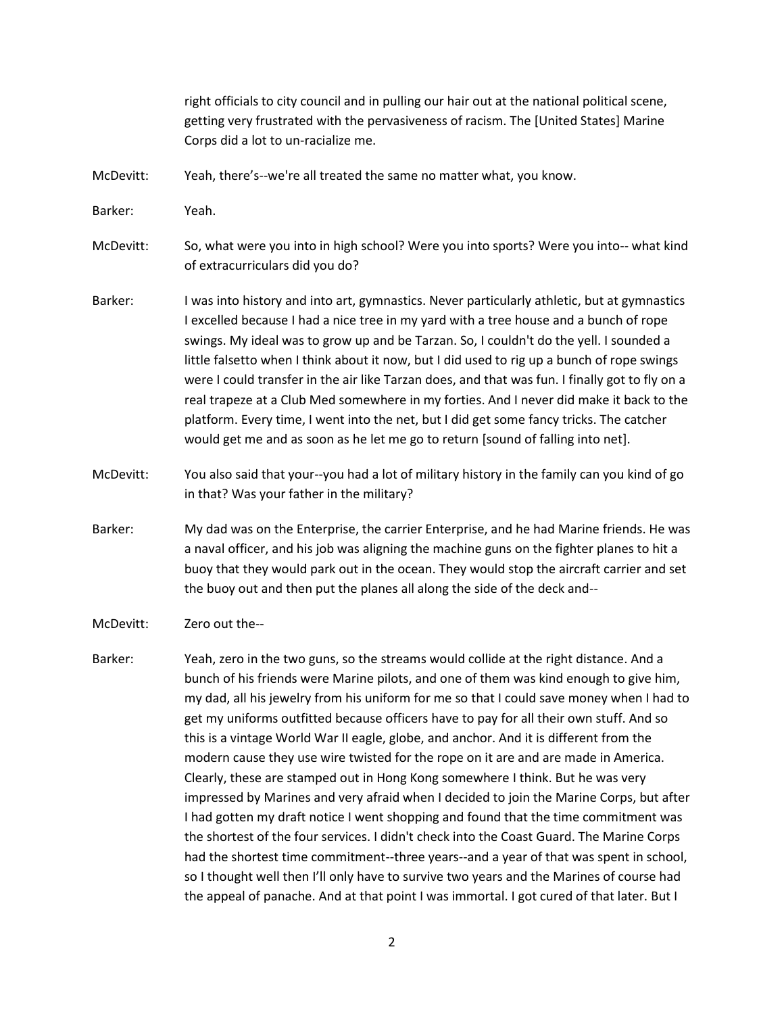right officials to city council and in pulling our hair out at the national political scene, getting very frustrated with the pervasiveness of racism. The [United States] Marine Corps did a lot to un-racialize me.

McDevitt: Yeah, there's--we're all treated the same no matter what, you know.

Barker: Yeah.

McDevitt: So, what were you into in high school? Were you into sports? Were you into-- what kind of extracurriculars did you do?

- Barker: I was into history and into art, gymnastics. Never particularly athletic, but at gymnastics I excelled because I had a nice tree in my yard with a tree house and a bunch of rope swings. My ideal was to grow up and be Tarzan. So, I couldn't do the yell. I sounded a little falsetto when I think about it now, but I did used to rig up a bunch of rope swings were I could transfer in the air like Tarzan does, and that was fun. I finally got to fly on a real trapeze at a Club Med somewhere in my forties. And I never did make it back to the platform. Every time, I went into the net, but I did get some fancy tricks. The catcher would get me and as soon as he let me go to return [sound of falling into net].
- McDevitt: You also said that your--you had a lot of military history in the family can you kind of go in that? Was your father in the military?
- Barker: My dad was on the Enterprise, the carrier Enterprise, and he had Marine friends. He was a naval officer, and his job was aligning the machine guns on the fighter planes to hit a buoy that they would park out in the ocean. They would stop the aircraft carrier and set the buoy out and then put the planes all along the side of the deck and--
- McDevitt: Zero out the--
- Barker: Yeah, zero in the two guns, so the streams would collide at the right distance. And a bunch of his friends were Marine pilots, and one of them was kind enough to give him, my dad, all his jewelry from his uniform for me so that I could save money when I had to get my uniforms outfitted because officers have to pay for all their own stuff. And so this is a vintage World War II eagle, globe, and anchor. And it is different from the modern cause they use wire twisted for the rope on it are and are made in America. Clearly, these are stamped out in Hong Kong somewhere I think. But he was very impressed by Marines and very afraid when I decided to join the Marine Corps, but after I had gotten my draft notice I went shopping and found that the time commitment was the shortest of the four services. I didn't check into the Coast Guard. The Marine Corps had the shortest time commitment--three years--and a year of that was spent in school, so I thought well then I'll only have to survive two years and the Marines of course had the appeal of panache. And at that point I was immortal. I got cured of that later. But I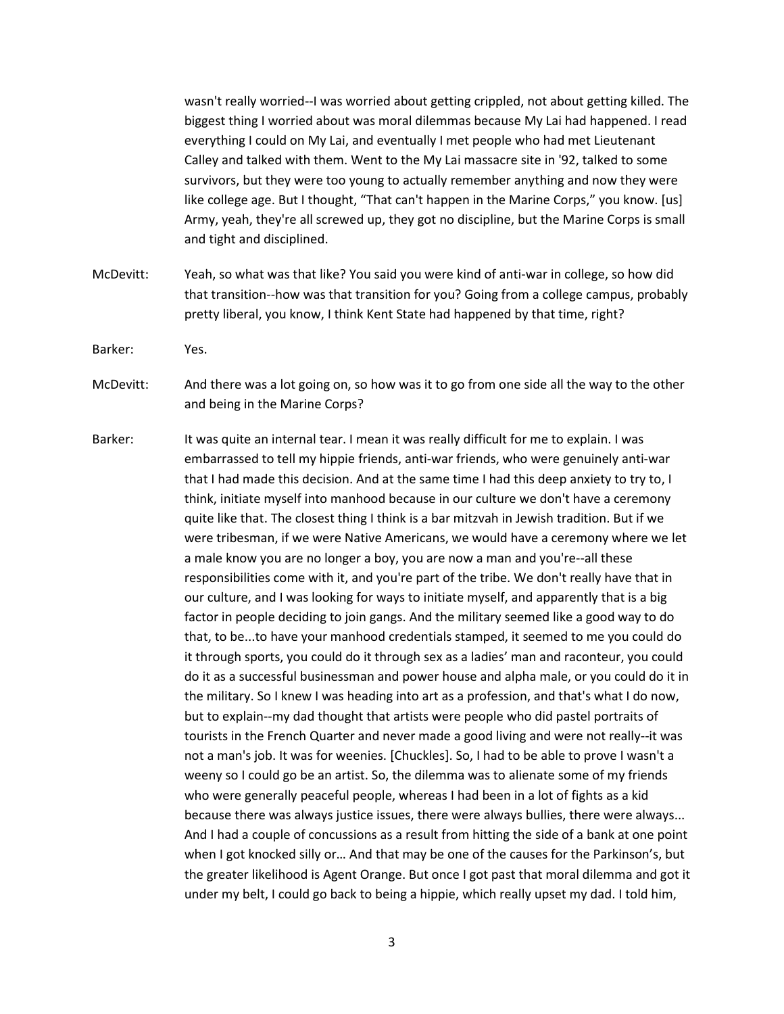wasn't really worried--I was worried about getting crippled, not about getting killed. The biggest thing I worried about was moral dilemmas because My Lai had happened. I read everything I could on My Lai, and eventually I met people who had met Lieutenant Calley and talked with them. Went to the My Lai massacre site in '92, talked to some survivors, but they were too young to actually remember anything and now they were like college age. But I thought, "That can't happen in the Marine Corps," you know. [us] Army, yeah, they're all screwed up, they got no discipline, but the Marine Corps is small and tight and disciplined.

- McDevitt: Yeah, so what was that like? You said you were kind of anti-war in college, so how did that transition--how was that transition for you? Going from a college campus, probably pretty liberal, you know, I think Kent State had happened by that time, right?
- Barker: Yes.

McDevitt: And there was a lot going on, so how was it to go from one side all the way to the other and being in the Marine Corps?

Barker: It was quite an internal tear. I mean it was really difficult for me to explain. I was embarrassed to tell my hippie friends, anti-war friends, who were genuinely anti-war that I had made this decision. And at the same time I had this deep anxiety to try to, I think, initiate myself into manhood because in our culture we don't have a ceremony quite like that. The closest thing I think is a bar mitzvah in Jewish tradition. But if we were tribesman, if we were Native Americans, we would have a ceremony where we let a male know you are no longer a boy, you are now a man and you're--all these responsibilities come with it, and you're part of the tribe. We don't really have that in our culture, and I was looking for ways to initiate myself, and apparently that is a big factor in people deciding to join gangs. And the military seemed like a good way to do that, to be...to have your manhood credentials stamped, it seemed to me you could do it through sports, you could do it through sex as a ladies' man and raconteur, you could do it as a successful businessman and power house and alpha male, or you could do it in the military. So I knew I was heading into art as a profession, and that's what I do now, but to explain--my dad thought that artists were people who did pastel portraits of tourists in the French Quarter and never made a good living and were not really--it was not a man's job. It was for weenies. [Chuckles]. So, I had to be able to prove I wasn't a weeny so I could go be an artist. So, the dilemma was to alienate some of my friends who were generally peaceful people, whereas I had been in a lot of fights as a kid because there was always justice issues, there were always bullies, there were always... And I had a couple of concussions as a result from hitting the side of a bank at one point when I got knocked silly or… And that may be one of the causes for the Parkinson's, but the greater likelihood is Agent Orange. But once I got past that moral dilemma and got it under my belt, I could go back to being a hippie, which really upset my dad. I told him,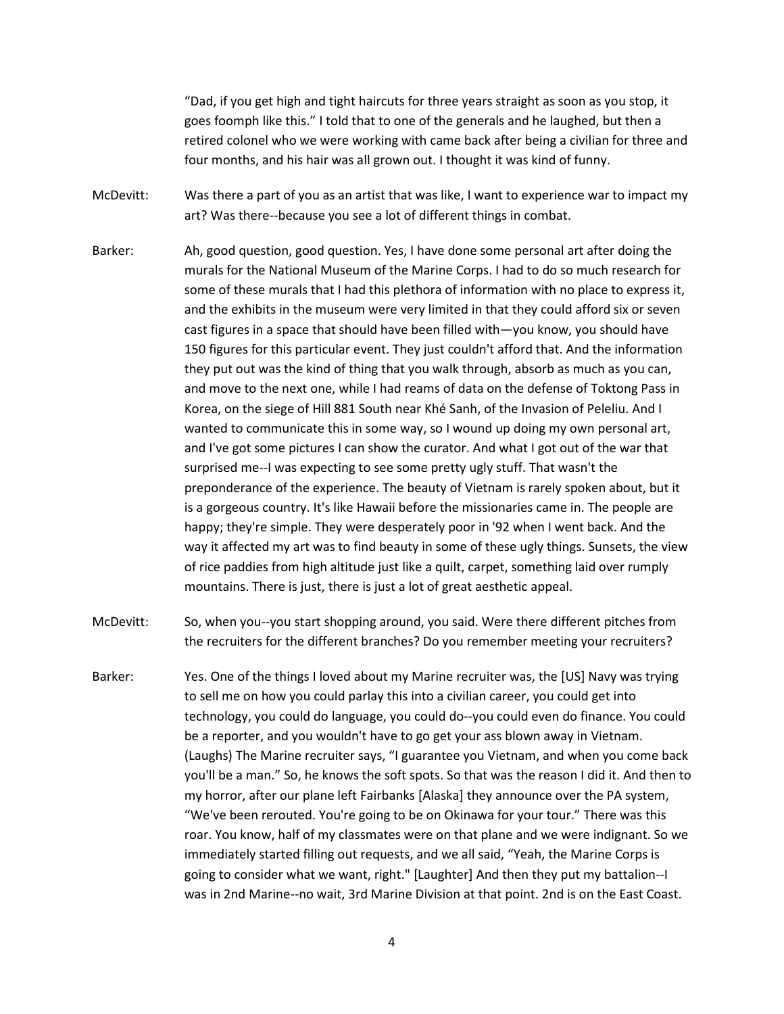"Dad, if you get high and tight haircuts for three years straight as soon as you stop, it goes foomph like this." I told that to one of the generals and he laughed, but then a retired colonel who we were working with came back after being a civilian for three and four months, and his hair was all grown out. I thought it was kind of funny.

McDevitt: Was there a part of you as an artist that was like, I want to experience war to impact my art? Was there--because you see a lot of different things in combat.

Barker: Ah, good question, good question. Yes, I have done some personal art after doing the murals for the National Museum of the Marine Corps. I had to do so much research for some of these murals that I had this plethora of information with no place to express it, and the exhibits in the museum were very limited in that they could afford six or seven cast figures in a space that should have been filled with—you know, you should have 150 figures for this particular event. They just couldn't afford that. And the information they put out was the kind of thing that you walk through, absorb as much as you can, and move to the next one, while I had reams of data on the defense of Toktong Pass in Korea, on the siege of Hill 881 South near Khé Sanh, of the Invasion of Peleliu. And I wanted to communicate this in some way, so I wound up doing my own personal art, and I've got some pictures I can show the curator. And what I got out of the war that surprised me--I was expecting to see some pretty ugly stuff. That wasn't the preponderance of the experience. The beauty of Vietnam is rarely spoken about, but it is a gorgeous country. It's like Hawaii before the missionaries came in. The people are happy; they're simple. They were desperately poor in '92 when I went back. And the way it affected my art was to find beauty in some of these ugly things. Sunsets, the view of rice paddies from high altitude just like a quilt, carpet, something laid over rumply mountains. There is just, there is just a lot of great aesthetic appeal.

McDevitt: So, when you--you start shopping around, you said. Were there different pitches from the recruiters for the different branches? Do you remember meeting your recruiters?

Barker: Yes. One of the things I loved about my Marine recruiter was, the [US] Navy was trying to sell me on how you could parlay this into a civilian career, you could get into technology, you could do language, you could do--you could even do finance. You could be a reporter, and you wouldn't have to go get your ass blown away in Vietnam. (Laughs) The Marine recruiter says, "I guarantee you Vietnam, and when you come back you'll be a man." So, he knows the soft spots. So that was the reason I did it. And then to my horror, after our plane left Fairbanks [Alaska] they announce over the PA system, "We've been rerouted. You're going to be on Okinawa for your tour." There was this roar. You know, half of my classmates were on that plane and we were indignant. So we immediately started filling out requests, and we all said, "Yeah, the Marine Corps is going to consider what we want, right." [Laughter] And then they put my battalion--I was in 2nd Marine--no wait, 3rd Marine Division at that point. 2nd is on the East Coast.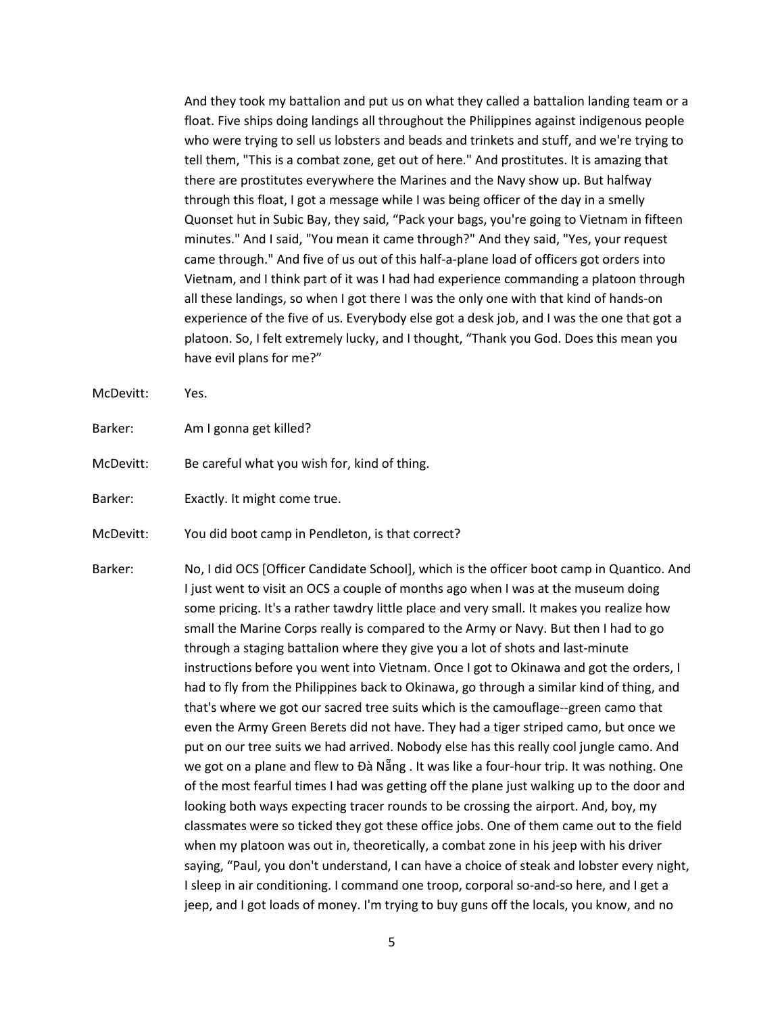And they took my battalion and put us on what they called a battalion landing team or a float. Five ships doing landings all throughout the Philippines against indigenous people who were trying to sell us lobsters and beads and trinkets and stuff, and we're trying to tell them, "This is a combat zone, get out of here." And prostitutes. It is amazing that there are prostitutes everywhere the Marines and the Navy show up. But halfway through this float, I got a message while I was being officer of the day in a smelly Quonset hut in Subic Bay, they said, "Pack your bags, you're going to Vietnam in fifteen minutes." And I said, "You mean it came through?" And they said, "Yes, your request came through." And five of us out of this half-a-plane load of officers got orders into Vietnam, and I think part of it was I had had experience commanding a platoon through all these landings, so when I got there I was the only one with that kind of hands-on experience of the five of us. Everybody else got a desk job, and I was the one that got a platoon. So, I felt extremely lucky, and I thought, "Thank you God. Does this mean you have evil plans for me?"

- McDevitt: Yes.
- Barker: Am I gonna get killed?
- McDevitt: Be careful what you wish for, kind of thing.
- Barker: Exactly. It might come true.
- McDevitt: You did boot camp in Pendleton, is that correct?
- Barker: No, I did OCS [Officer Candidate School], which is the officer boot camp in Quantico. And I just went to visit an OCS a couple of months ago when I was at the museum doing some pricing. It's a rather tawdry little place and very small. It makes you realize how small the Marine Corps really is compared to the Army or Navy. But then I had to go through a staging battalion where they give you a lot of shots and last-minute instructions before you went into Vietnam. Once I got to Okinawa and got the orders, I had to fly from the Philippines back to Okinawa, go through a similar kind of thing, and that's where we got our sacred tree suits which is the camouflage--green camo that even the Army Green Berets did not have. They had a tiger striped camo, but once we put on our tree suits we had arrived. Nobody else has this really cool jungle camo. And we got on a plane and flew to Đà Nẵng . It was like a four-hour trip. It was nothing. One of the most fearful times I had was getting off the plane just walking up to the door and looking both ways expecting tracer rounds to be crossing the airport. And, boy, my classmates were so ticked they got these office jobs. One of them came out to the field when my platoon was out in, theoretically, a combat zone in his jeep with his driver saying, "Paul, you don't understand, I can have a choice of steak and lobster every night, I sleep in air conditioning. I command one troop, corporal so-and-so here, and I get a jeep, and I got loads of money. I'm trying to buy guns off the locals, you know, and no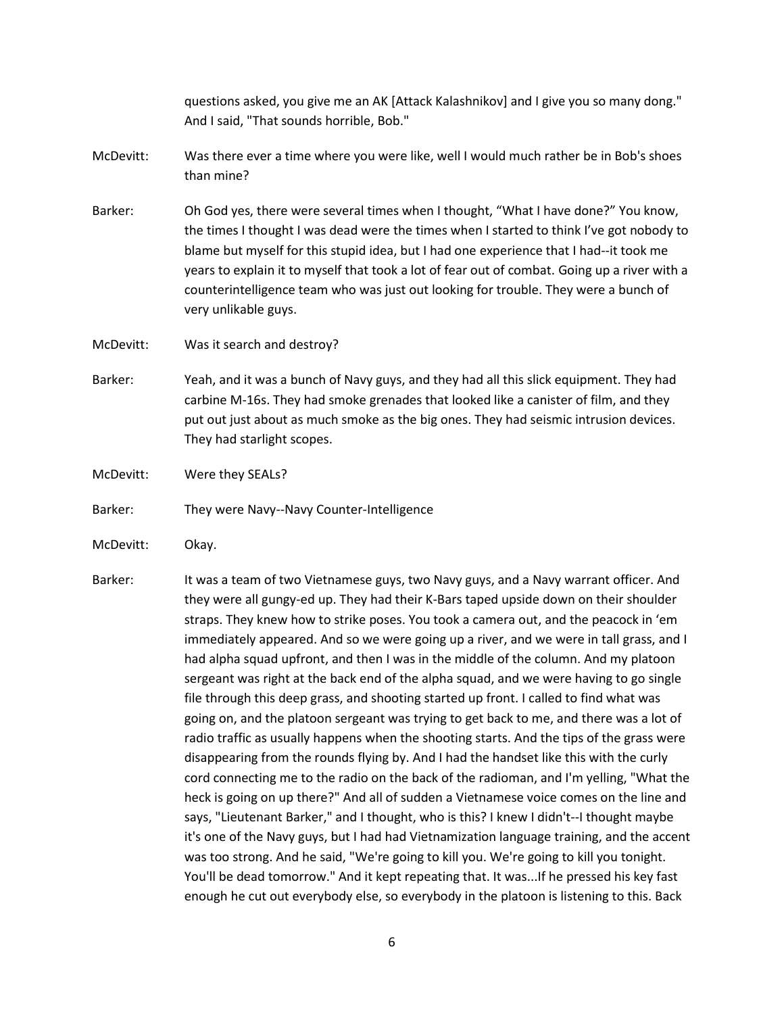questions asked, you give me an AK [Attack Kalashnikov] and I give you so many dong." And I said, "That sounds horrible, Bob."

- McDevitt: Was there ever a time where you were like, well I would much rather be in Bob's shoes than mine?
- Barker: Oh God yes, there were several times when I thought, "What I have done?" You know, the times I thought I was dead were the times when I started to think I've got nobody to blame but myself for this stupid idea, but I had one experience that I had--it took me years to explain it to myself that took a lot of fear out of combat. Going up a river with a counterintelligence team who was just out looking for trouble. They were a bunch of very unlikable guys.
- McDevitt: Was it search and destroy?
- Barker: Yeah, and it was a bunch of Navy guys, and they had all this slick equipment. They had carbine M-16s. They had smoke grenades that looked like a canister of film, and they put out just about as much smoke as the big ones. They had seismic intrusion devices. They had starlight scopes.
- McDevitt: Were they SEALs?

Barker: They were Navy--Navy Counter-Intelligence

McDevitt: Okay.

Barker: It was a team of two Vietnamese guys, two Navy guys, and a Navy warrant officer. And they were all gungy-ed up. They had their K-Bars taped upside down on their shoulder straps. They knew how to strike poses. You took a camera out, and the peacock in 'em immediately appeared. And so we were going up a river, and we were in tall grass, and I had alpha squad upfront, and then I was in the middle of the column. And my platoon sergeant was right at the back end of the alpha squad, and we were having to go single file through this deep grass, and shooting started up front. I called to find what was going on, and the platoon sergeant was trying to get back to me, and there was a lot of radio traffic as usually happens when the shooting starts. And the tips of the grass were disappearing from the rounds flying by. And I had the handset like this with the curly cord connecting me to the radio on the back of the radioman, and I'm yelling, "What the heck is going on up there?" And all of sudden a Vietnamese voice comes on the line and says, "Lieutenant Barker," and I thought, who is this? I knew I didn't--I thought maybe it's one of the Navy guys, but I had had Vietnamization language training, and the accent was too strong. And he said, "We're going to kill you. We're going to kill you tonight. You'll be dead tomorrow." And it kept repeating that. It was...If he pressed his key fast enough he cut out everybody else, so everybody in the platoon is listening to this. Back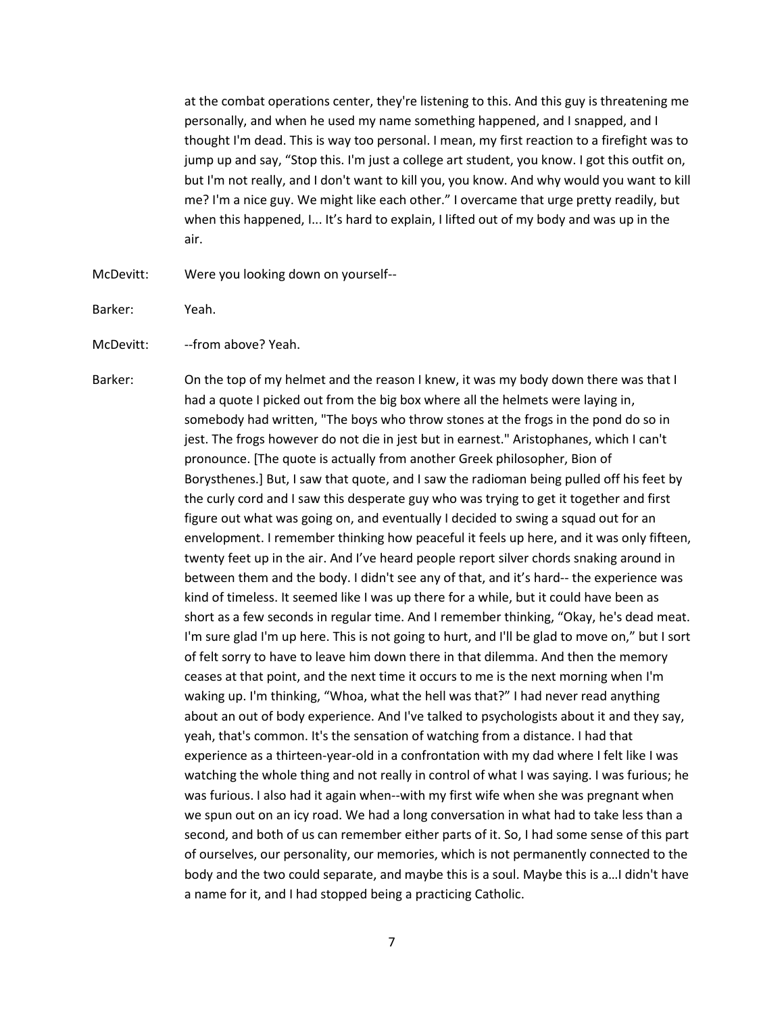at the combat operations center, they're listening to this. And this guy is threatening me personally, and when he used my name something happened, and I snapped, and I thought I'm dead. This is way too personal. I mean, my first reaction to a firefight was to jump up and say, "Stop this. I'm just a college art student, you know. I got this outfit on, but I'm not really, and I don't want to kill you, you know. And why would you want to kill me? I'm a nice guy. We might like each other." I overcame that urge pretty readily, but when this happened, I... It's hard to explain, I lifted out of my body and was up in the air.

McDevitt: Were you looking down on yourself--

Barker: Yeah.

McDevitt: --from above? Yeah.

Barker: On the top of my helmet and the reason I knew, it was my body down there was that I had a quote I picked out from the big box where all the helmets were laying in, somebody had written, "The boys who throw stones at the frogs in the pond do so in jest. The frogs however do not die in jest but in earnest." Aristophanes, which I can't pronounce. [The quote is actually from another Greek philosopher, Bion of Borysthenes.] But, I saw that quote, and I saw the radioman being pulled off his feet by the curly cord and I saw this desperate guy who was trying to get it together and first figure out what was going on, and eventually I decided to swing a squad out for an envelopment. I remember thinking how peaceful it feels up here, and it was only fifteen, twenty feet up in the air. And I've heard people report silver chords snaking around in between them and the body. I didn't see any of that, and it's hard-- the experience was kind of timeless. It seemed like I was up there for a while, but it could have been as short as a few seconds in regular time. And I remember thinking, "Okay, he's dead meat. I'm sure glad I'm up here. This is not going to hurt, and I'll be glad to move on," but I sort of felt sorry to have to leave him down there in that dilemma. And then the memory ceases at that point, and the next time it occurs to me is the next morning when I'm waking up. I'm thinking, "Whoa, what the hell was that?" I had never read anything about an out of body experience. And I've talked to psychologists about it and they say, yeah, that's common. It's the sensation of watching from a distance. I had that experience as a thirteen-year-old in a confrontation with my dad where I felt like I was watching the whole thing and not really in control of what I was saying. I was furious; he was furious. I also had it again when--with my first wife when she was pregnant when we spun out on an icy road. We had a long conversation in what had to take less than a second, and both of us can remember either parts of it. So, I had some sense of this part of ourselves, our personality, our memories, which is not permanently connected to the body and the two could separate, and maybe this is a soul. Maybe this is a…I didn't have a name for it, and I had stopped being a practicing Catholic.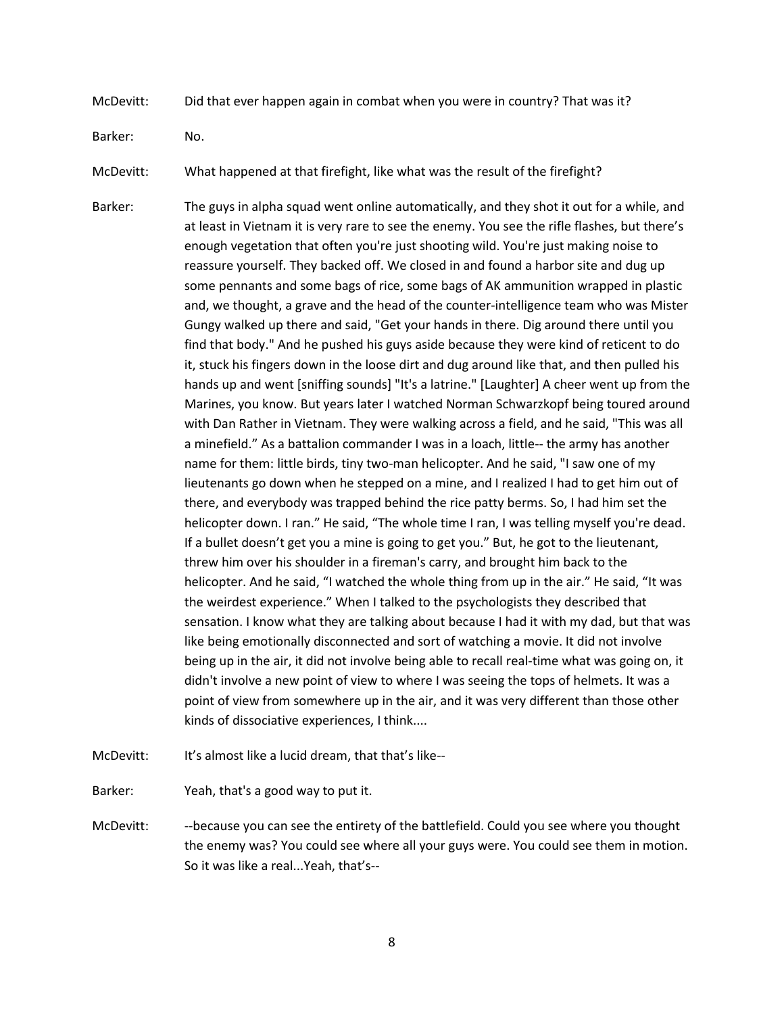McDevitt: Did that ever happen again in combat when you were in country? That was it?

Barker: No.

- McDevitt: What happened at that firefight, like what was the result of the firefight?
- Barker: The guys in alpha squad went online automatically, and they shot it out for a while, and at least in Vietnam it is very rare to see the enemy. You see the rifle flashes, but there's enough vegetation that often you're just shooting wild. You're just making noise to reassure yourself. They backed off. We closed in and found a harbor site and dug up some pennants and some bags of rice, some bags of AK ammunition wrapped in plastic and, we thought, a grave and the head of the counter-intelligence team who was Mister Gungy walked up there and said, "Get your hands in there. Dig around there until you find that body." And he pushed his guys aside because they were kind of reticent to do it, stuck his fingers down in the loose dirt and dug around like that, and then pulled his hands up and went [sniffing sounds] "It's a latrine." [Laughter] A cheer went up from the Marines, you know. But years later I watched Norman Schwarzkopf being toured around with Dan Rather in Vietnam. They were walking across a field, and he said, "This was all a minefield." As a battalion commander I was in a loach, little-- the army has another name for them: little birds, tiny two-man helicopter. And he said, "I saw one of my lieutenants go down when he stepped on a mine, and I realized I had to get him out of there, and everybody was trapped behind the rice patty berms. So, I had him set the helicopter down. I ran." He said, "The whole time I ran, I was telling myself you're dead. If a bullet doesn't get you a mine is going to get you." But, he got to the lieutenant, threw him over his shoulder in a fireman's carry, and brought him back to the helicopter. And he said, "I watched the whole thing from up in the air." He said, "It was the weirdest experience." When I talked to the psychologists they described that sensation. I know what they are talking about because I had it with my dad, but that was like being emotionally disconnected and sort of watching a movie. It did not involve being up in the air, it did not involve being able to recall real-time what was going on, it didn't involve a new point of view to where I was seeing the tops of helmets. It was a point of view from somewhere up in the air, and it was very different than those other kinds of dissociative experiences, I think....
- McDevitt: It's almost like a lucid dream, that that's like--

Barker: Yeah, that's a good way to put it.

McDevitt: --because you can see the entirety of the battlefield. Could you see where you thought the enemy was? You could see where all your guys were. You could see them in motion. So it was like a real...Yeah, that's--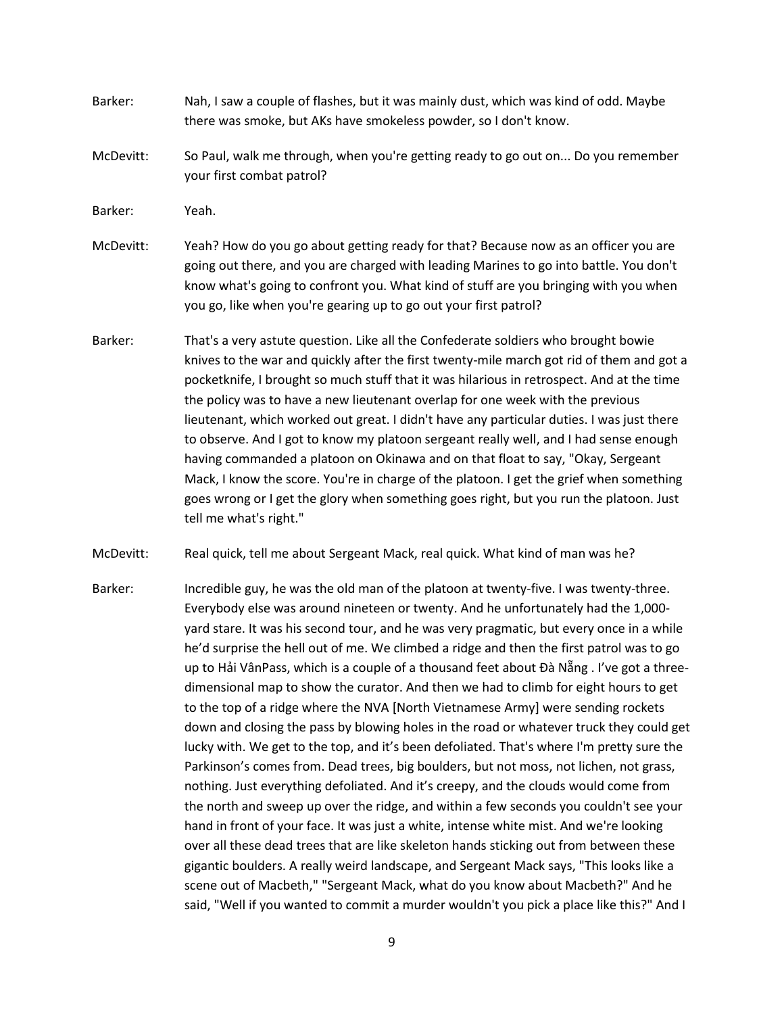- Barker: Nah, I saw a couple of flashes, but it was mainly dust, which was kind of odd. Maybe there was smoke, but AKs have smokeless powder, so I don't know.
- McDevitt: So Paul, walk me through, when you're getting ready to go out on... Do you remember your first combat patrol?
- Barker: Yeah.
- McDevitt: Yeah? How do you go about getting ready for that? Because now as an officer you are going out there, and you are charged with leading Marines to go into battle. You don't know what's going to confront you. What kind of stuff are you bringing with you when you go, like when you're gearing up to go out your first patrol?
- Barker: That's a very astute question. Like all the Confederate soldiers who brought bowie knives to the war and quickly after the first twenty-mile march got rid of them and got a pocketknife, I brought so much stuff that it was hilarious in retrospect. And at the time the policy was to have a new lieutenant overlap for one week with the previous lieutenant, which worked out great. I didn't have any particular duties. I was just there to observe. And I got to know my platoon sergeant really well, and I had sense enough having commanded a platoon on Okinawa and on that float to say, "Okay, Sergeant Mack, I know the score. You're in charge of the platoon. I get the grief when something goes wrong or I get the glory when something goes right, but you run the platoon. Just tell me what's right."
- McDevitt: Real quick, tell me about Sergeant Mack, real quick. What kind of man was he?
- Barker: Incredible guy, he was the old man of the platoon at twenty-five. I was twenty-three. Everybody else was around nineteen or twenty. And he unfortunately had the 1,000 yard stare. It was his second tour, and he was very pragmatic, but every once in a while he'd surprise the hell out of me. We climbed a ridge and then the first patrol was to go up to Hải VânPass, which is a couple of a thousand feet about Đà Nẵng . I've got a threedimensional map to show the curator. And then we had to climb for eight hours to get to the top of a ridge where the NVA [North Vietnamese Army] were sending rockets down and closing the pass by blowing holes in the road or whatever truck they could get lucky with. We get to the top, and it's been defoliated. That's where I'm pretty sure the Parkinson's comes from. Dead trees, big boulders, but not moss, not lichen, not grass, nothing. Just everything defoliated. And it's creepy, and the clouds would come from the north and sweep up over the ridge, and within a few seconds you couldn't see your hand in front of your face. It was just a white, intense white mist. And we're looking over all these dead trees that are like skeleton hands sticking out from between these gigantic boulders. A really weird landscape, and Sergeant Mack says, "This looks like a scene out of Macbeth," "Sergeant Mack, what do you know about Macbeth?" And he said, "Well if you wanted to commit a murder wouldn't you pick a place like this?" And I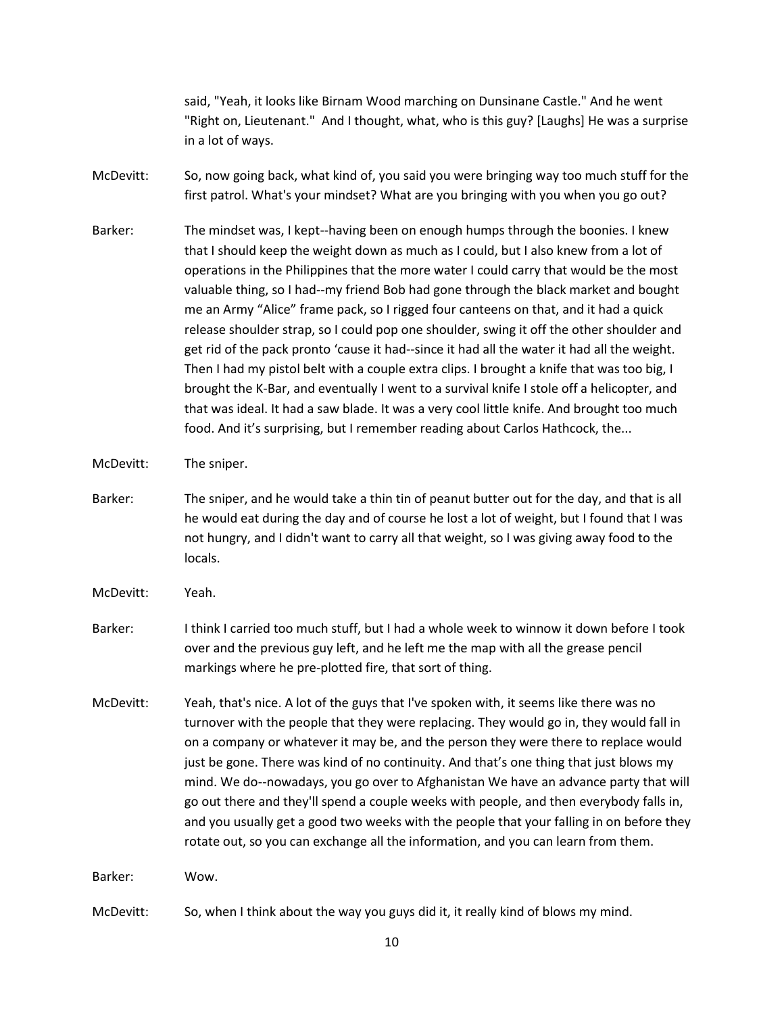said, "Yeah, it looks like Birnam Wood marching on Dunsinane Castle." And he went "Right on, Lieutenant." And I thought, what, who is this guy? [Laughs] He was a surprise in a lot of ways.

- McDevitt: So, now going back, what kind of, you said you were bringing way too much stuff for the first patrol. What's your mindset? What are you bringing with you when you go out?
- Barker: The mindset was, I kept--having been on enough humps through the boonies. I knew that I should keep the weight down as much as I could, but I also knew from a lot of operations in the Philippines that the more water I could carry that would be the most valuable thing, so I had--my friend Bob had gone through the black market and bought me an Army "Alice" frame pack, so I rigged four canteens on that, and it had a quick release shoulder strap, so I could pop one shoulder, swing it off the other shoulder and get rid of the pack pronto 'cause it had--since it had all the water it had all the weight. Then I had my pistol belt with a couple extra clips. I brought a knife that was too big, I brought the K-Bar, and eventually I went to a survival knife I stole off a helicopter, and that was ideal. It had a saw blade. It was a very cool little knife. And brought too much food. And it's surprising, but I remember reading about Carlos Hathcock, the...

McDevitt: The sniper.

- Barker: The sniper, and he would take a thin tin of peanut butter out for the day, and that is all he would eat during the day and of course he lost a lot of weight, but I found that I was not hungry, and I didn't want to carry all that weight, so I was giving away food to the locals.
- McDevitt: Yeah.
- Barker: I think I carried too much stuff, but I had a whole week to winnow it down before I took over and the previous guy left, and he left me the map with all the grease pencil markings where he pre-plotted fire, that sort of thing.
- McDevitt: Yeah, that's nice. A lot of the guys that I've spoken with, it seems like there was no turnover with the people that they were replacing. They would go in, they would fall in on a company or whatever it may be, and the person they were there to replace would just be gone. There was kind of no continuity. And that's one thing that just blows my mind. We do--nowadays, you go over to Afghanistan We have an advance party that will go out there and they'll spend a couple weeks with people, and then everybody falls in, and you usually get a good two weeks with the people that your falling in on before they rotate out, so you can exchange all the information, and you can learn from them.

Barker: Wow.

McDevitt: So, when I think about the way you guys did it, it really kind of blows my mind.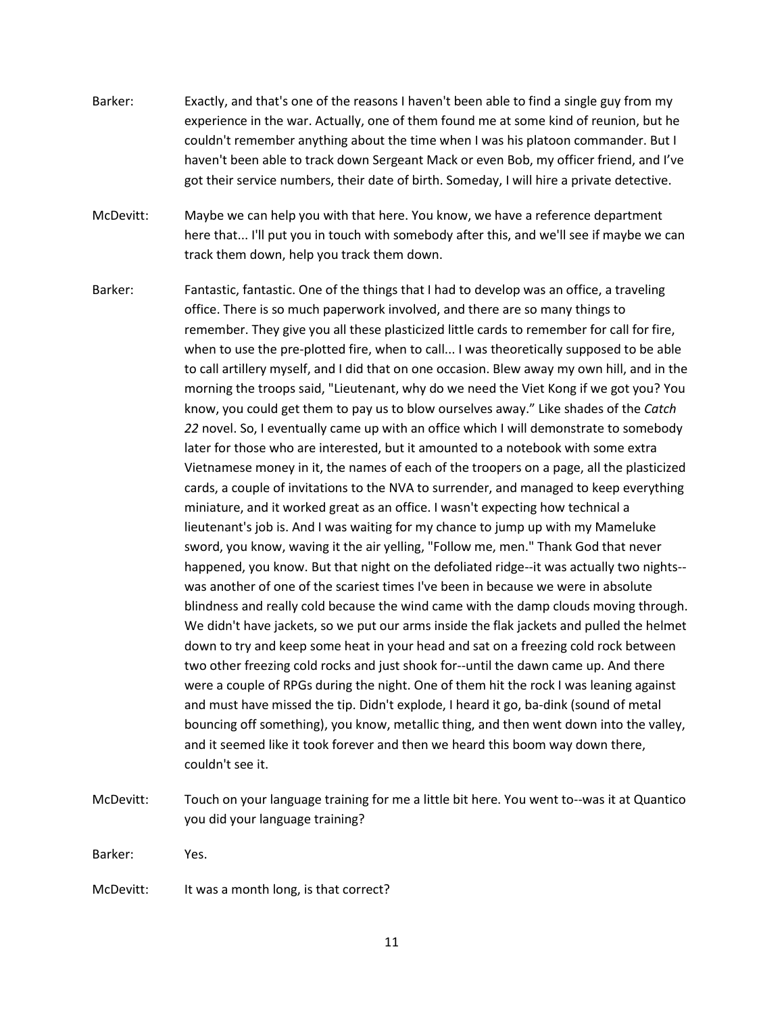- Barker: Exactly, and that's one of the reasons I haven't been able to find a single guy from my experience in the war. Actually, one of them found me at some kind of reunion, but he couldn't remember anything about the time when I was his platoon commander. But I haven't been able to track down Sergeant Mack or even Bob, my officer friend, and I've got their service numbers, their date of birth. Someday, I will hire a private detective.
- McDevitt: Maybe we can help you with that here. You know, we have a reference department here that... I'll put you in touch with somebody after this, and we'll see if maybe we can track them down, help you track them down.
- Barker: Fantastic, fantastic. One of the things that I had to develop was an office, a traveling office. There is so much paperwork involved, and there are so many things to remember. They give you all these plasticized little cards to remember for call for fire, when to use the pre-plotted fire, when to call... I was theoretically supposed to be able to call artillery myself, and I did that on one occasion. Blew away my own hill, and in the morning the troops said, "Lieutenant, why do we need the Viet Kong if we got you? You know, you could get them to pay us to blow ourselves away." Like shades of the *Catch 22* novel. So, I eventually came up with an office which I will demonstrate to somebody later for those who are interested, but it amounted to a notebook with some extra Vietnamese money in it, the names of each of the troopers on a page, all the plasticized cards, a couple of invitations to the NVA to surrender, and managed to keep everything miniature, and it worked great as an office. I wasn't expecting how technical a lieutenant's job is. And I was waiting for my chance to jump up with my Mameluke sword, you know, waving it the air yelling, "Follow me, men." Thank God that never happened, you know. But that night on the defoliated ridge--it was actually two nights- was another of one of the scariest times I've been in because we were in absolute blindness and really cold because the wind came with the damp clouds moving through. We didn't have jackets, so we put our arms inside the flak jackets and pulled the helmet down to try and keep some heat in your head and sat on a freezing cold rock between two other freezing cold rocks and just shook for--until the dawn came up. And there were a couple of RPGs during the night. One of them hit the rock I was leaning against and must have missed the tip. Didn't explode, I heard it go, ba-dink (sound of metal bouncing off something), you know, metallic thing, and then went down into the valley, and it seemed like it took forever and then we heard this boom way down there, couldn't see it.
- McDevitt: Touch on your language training for me a little bit here. You went to--was it at Quantico you did your language training?

Barker: Yes.

McDevitt: It was a month long, is that correct?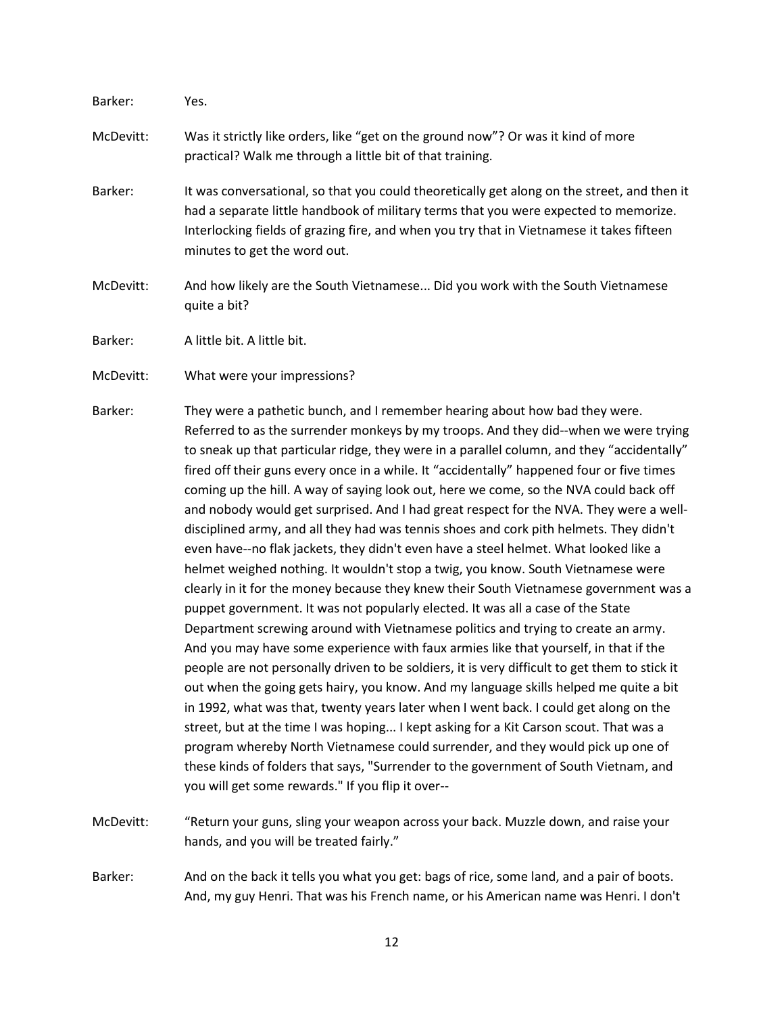| Barker:   | Yes.                                                                                                                                                                                                                                                                                                             |
|-----------|------------------------------------------------------------------------------------------------------------------------------------------------------------------------------------------------------------------------------------------------------------------------------------------------------------------|
| McDevitt: | Was it strictly like orders, like "get on the ground now"? Or was it kind of more<br>practical? Walk me through a little bit of that training.                                                                                                                                                                   |
| Barker:   | It was conversational, so that you could theoretically get along on the street, and then it<br>had a separate little handbook of military terms that you were expected to memorize.<br>Interlocking fields of grazing fire, and when you try that in Vietnamese it takes fifteen<br>minutes to get the word out. |
| McDevitt: | And how likely are the South Vietnamese Did you work with the South Vietnamese<br>quite a bit?                                                                                                                                                                                                                   |
| Barker:   | A little bit. A little bit.                                                                                                                                                                                                                                                                                      |
| McDevitt: | What were your impressions?                                                                                                                                                                                                                                                                                      |
|           |                                                                                                                                                                                                                                                                                                                  |

- Barker: They were a pathetic bunch, and I remember hearing about how bad they were. Referred to as the surrender monkeys by my troops. And they did--when we were trying to sneak up that particular ridge, they were in a parallel column, and they "accidentally" fired off their guns every once in a while. It "accidentally" happened four or five times coming up the hill. A way of saying look out, here we come, so the NVA could back off and nobody would get surprised. And I had great respect for the NVA. They were a welldisciplined army, and all they had was tennis shoes and cork pith helmets. They didn't even have--no flak jackets, they didn't even have a steel helmet. What looked like a helmet weighed nothing. It wouldn't stop a twig, you know. South Vietnamese were clearly in it for the money because they knew their South Vietnamese government was a puppet government. It was not popularly elected. It was all a case of the State Department screwing around with Vietnamese politics and trying to create an army. And you may have some experience with faux armies like that yourself, in that if the people are not personally driven to be soldiers, it is very difficult to get them to stick it out when the going gets hairy, you know. And my language skills helped me quite a bit in 1992, what was that, twenty years later when I went back. I could get along on the street, but at the time I was hoping... I kept asking for a Kit Carson scout. That was a program whereby North Vietnamese could surrender, and they would pick up one of these kinds of folders that says, "Surrender to the government of South Vietnam, and you will get some rewards." If you flip it over--
- McDevitt: "Return your guns, sling your weapon across your back. Muzzle down, and raise your hands, and you will be treated fairly."

Barker: And on the back it tells you what you get: bags of rice, some land, and a pair of boots. And, my guy Henri. That was his French name, or his American name was Henri. I don't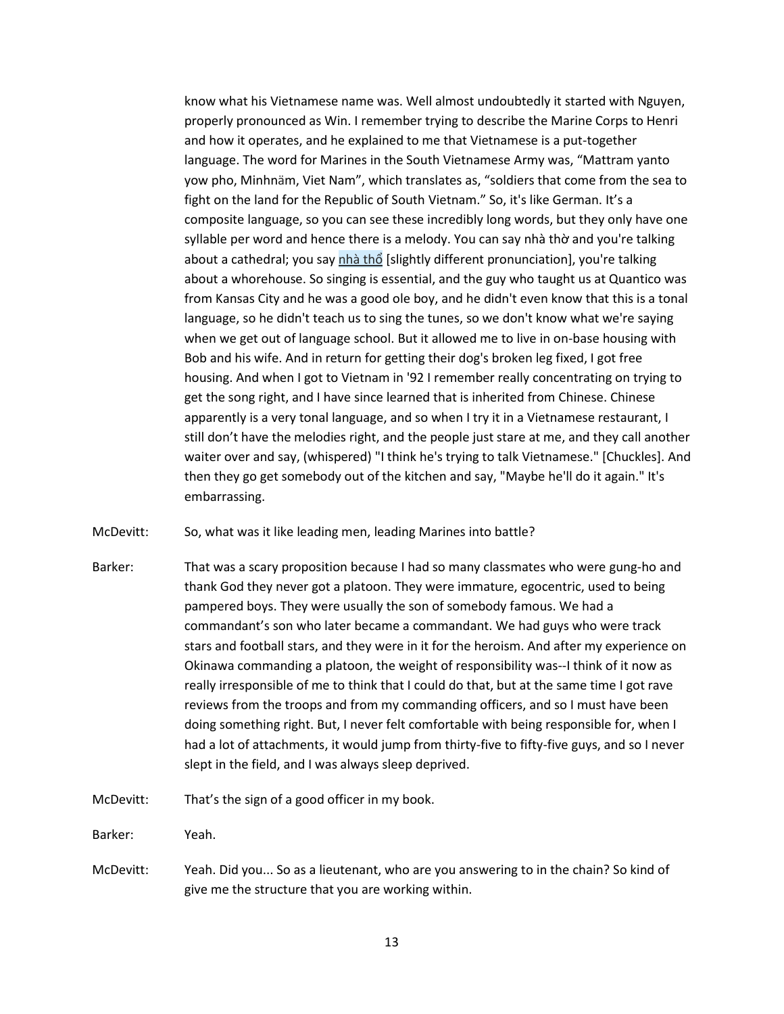know what his Vietnamese name was. Well almost undoubtedly it started with Nguyen, properly pronounced as Win. I remember trying to describe the Marine Corps to Henri and how it operates, and he explained to me that Vietnamese is a put-together language. The word for Marines in the South Vietnamese Army was, "Mattram yanto yow pho, Minhnäm, Viet Nam", which translates as, "soldiers that come from the sea to fight on the land for the Republic of South Vietnam." So, it's like German. It's a composite language, so you can see these incredibly long words, but they only have one syllable per word and hence there is a melody. You can say nhà thờ and you're talking about a cathedral; you say [nhà th](https://www.wordhippo.com/what-is/the-meaning-of/vietnamese-word-3cbcf5c0260c26dab160a6b60cbefe33f2254b16.html)ổ [slightly different pronunciation], you're talking about a whorehouse. So singing is essential, and the guy who taught us at Quantico was from Kansas City and he was a good ole boy, and he didn't even know that this is a tonal language, so he didn't teach us to sing the tunes, so we don't know what we're saying when we get out of language school. But it allowed me to live in on-base housing with Bob and his wife. And in return for getting their dog's broken leg fixed, I got free housing. And when I got to Vietnam in '92 I remember really concentrating on trying to get the song right, and I have since learned that is inherited from Chinese. Chinese apparently is a very tonal language, and so when I try it in a Vietnamese restaurant, I still don't have the melodies right, and the people just stare at me, and they call another waiter over and say, (whispered) "I think he's trying to talk Vietnamese." [Chuckles]. And then they go get somebody out of the kitchen and say, "Maybe he'll do it again." It's embarrassing.

McDevitt: So, what was it like leading men, leading Marines into battle?

- Barker: That was a scary proposition because I had so many classmates who were gung-ho and thank God they never got a platoon. They were immature, egocentric, used to being pampered boys. They were usually the son of somebody famous. We had a commandant's son who later became a commandant. We had guys who were track stars and football stars, and they were in it for the heroism. And after my experience on Okinawa commanding a platoon, the weight of responsibility was--I think of it now as really irresponsible of me to think that I could do that, but at the same time I got rave reviews from the troops and from my commanding officers, and so I must have been doing something right. But, I never felt comfortable with being responsible for, when I had a lot of attachments, it would jump from thirty-five to fifty-five guys, and so I never slept in the field, and I was always sleep deprived.
- McDevitt: That's the sign of a good officer in my book.

Barker: Yeah.

McDevitt: Yeah. Did you... So as a lieutenant, who are you answering to in the chain? So kind of give me the structure that you are working within.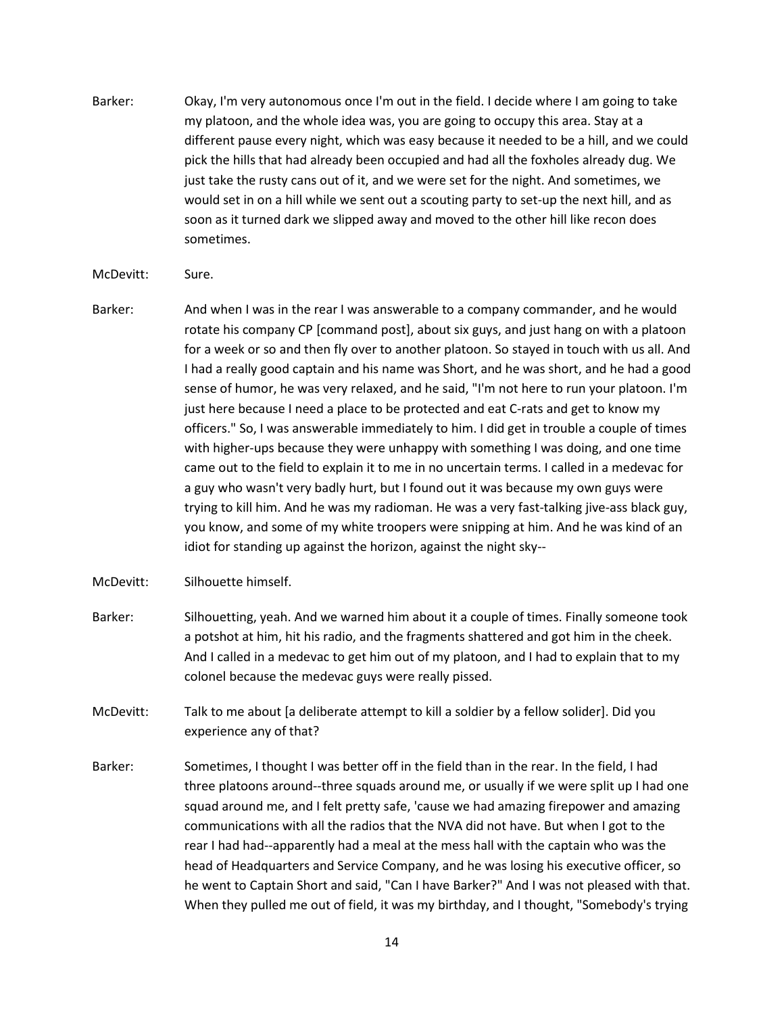Barker: Okay, I'm very autonomous once I'm out in the field. I decide where I am going to take my platoon, and the whole idea was, you are going to occupy this area. Stay at a different pause every night, which was easy because it needed to be a hill, and we could pick the hills that had already been occupied and had all the foxholes already dug. We just take the rusty cans out of it, and we were set for the night. And sometimes, we would set in on a hill while we sent out a scouting party to set-up the next hill, and as soon as it turned dark we slipped away and moved to the other hill like recon does sometimes.

## McDevitt: Sure.

- Barker: And when I was in the rear I was answerable to a company commander, and he would rotate his company CP [command post], about six guys, and just hang on with a platoon for a week or so and then fly over to another platoon. So stayed in touch with us all. And I had a really good captain and his name was Short, and he was short, and he had a good sense of humor, he was very relaxed, and he said, "I'm not here to run your platoon. I'm just here because I need a place to be protected and eat C-rats and get to know my officers." So, I was answerable immediately to him. I did get in trouble a couple of times with higher-ups because they were unhappy with something I was doing, and one time came out to the field to explain it to me in no uncertain terms. I called in a medevac for a guy who wasn't very badly hurt, but I found out it was because my own guys were trying to kill him. And he was my radioman. He was a very fast-talking jive-ass black guy, you know, and some of my white troopers were snipping at him. And he was kind of an idiot for standing up against the horizon, against the night sky--
- McDevitt: Silhouette himself.
- Barker: Silhouetting, yeah. And we warned him about it a couple of times. Finally someone took a potshot at him, hit his radio, and the fragments shattered and got him in the cheek. And I called in a medevac to get him out of my platoon, and I had to explain that to my colonel because the medevac guys were really pissed.
- McDevitt: Talk to me about [a deliberate attempt to kill a soldier by a fellow solider]. Did you experience any of that?
- Barker: Sometimes, I thought I was better off in the field than in the rear. In the field, I had three platoons around--three squads around me, or usually if we were split up I had one squad around me, and I felt pretty safe, 'cause we had amazing firepower and amazing communications with all the radios that the NVA did not have. But when I got to the rear I had had--apparently had a meal at the mess hall with the captain who was the head of Headquarters and Service Company, and he was losing his executive officer, so he went to Captain Short and said, "Can I have Barker?" And I was not pleased with that. When they pulled me out of field, it was my birthday, and I thought, "Somebody's trying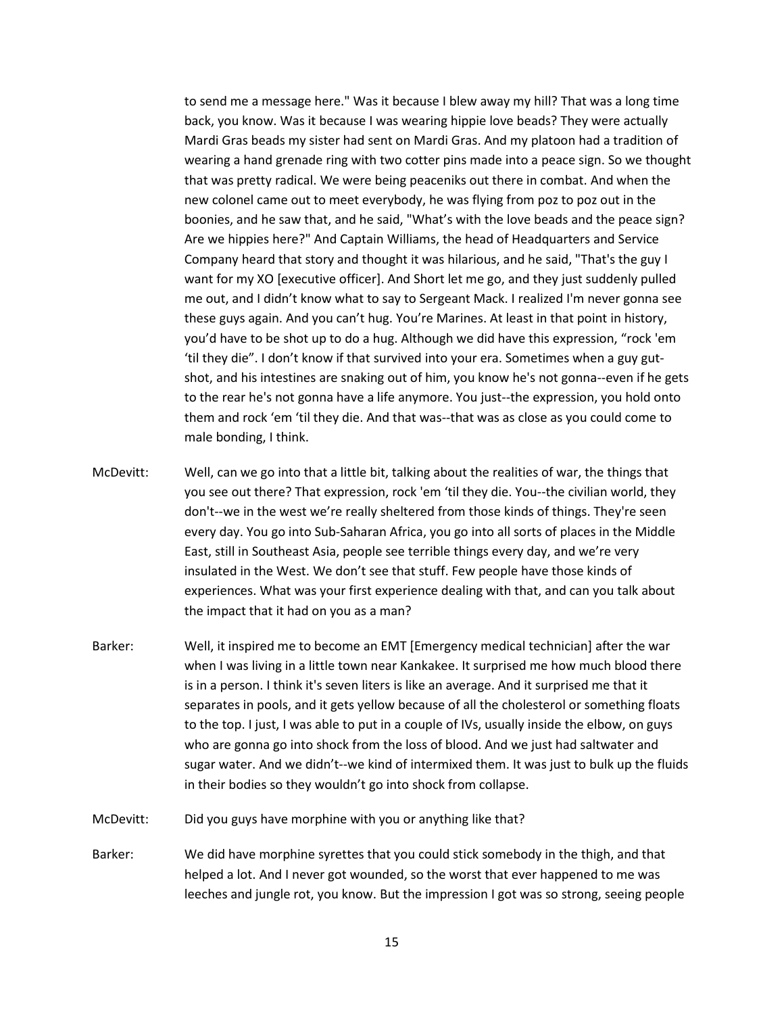to send me a message here." Was it because I blew away my hill? That was a long time back, you know. Was it because I was wearing hippie love beads? They were actually Mardi Gras beads my sister had sent on Mardi Gras. And my platoon had a tradition of wearing a hand grenade ring with two cotter pins made into a peace sign. So we thought that was pretty radical. We were being peaceniks out there in combat. And when the new colonel came out to meet everybody, he was flying from poz to poz out in the boonies, and he saw that, and he said, "What's with the love beads and the peace sign? Are we hippies here?" And Captain Williams, the head of Headquarters and Service Company heard that story and thought it was hilarious, and he said, "That's the guy I want for my XO [executive officer]. And Short let me go, and they just suddenly pulled me out, and I didn't know what to say to Sergeant Mack. I realized I'm never gonna see these guys again. And you can't hug. You're Marines. At least in that point in history, you'd have to be shot up to do a hug. Although we did have this expression, "rock 'em 'til they die". I don't know if that survived into your era. Sometimes when a guy gutshot, and his intestines are snaking out of him, you know he's not gonna--even if he gets to the rear he's not gonna have a life anymore. You just--the expression, you hold onto them and rock 'em 'til they die. And that was--that was as close as you could come to male bonding, I think.

- McDevitt: Well, can we go into that a little bit, talking about the realities of war, the things that you see out there? That expression, rock 'em 'til they die. You--the civilian world, they don't--we in the west we're really sheltered from those kinds of things. They're seen every day. You go into Sub-Saharan Africa, you go into all sorts of places in the Middle East, still in Southeast Asia, people see terrible things every day, and we're very insulated in the West. We don't see that stuff. Few people have those kinds of experiences. What was your first experience dealing with that, and can you talk about the impact that it had on you as a man?
- Barker: Well, it inspired me to become an EMT [Emergency medical technician] after the war when I was living in a little town near Kankakee. It surprised me how much blood there is in a person. I think it's seven liters is like an average. And it surprised me that it separates in pools, and it gets yellow because of all the cholesterol or something floats to the top. I just, I was able to put in a couple of IVs, usually inside the elbow, on guys who are gonna go into shock from the loss of blood. And we just had saltwater and sugar water. And we didn't--we kind of intermixed them. It was just to bulk up the fluids in their bodies so they wouldn't go into shock from collapse.
- McDevitt: Did you guys have morphine with you or anything like that?
- Barker: We did have morphine syrettes that you could stick somebody in the thigh, and that helped a lot. And I never got wounded, so the worst that ever happened to me was leeches and jungle rot, you know. But the impression I got was so strong, seeing people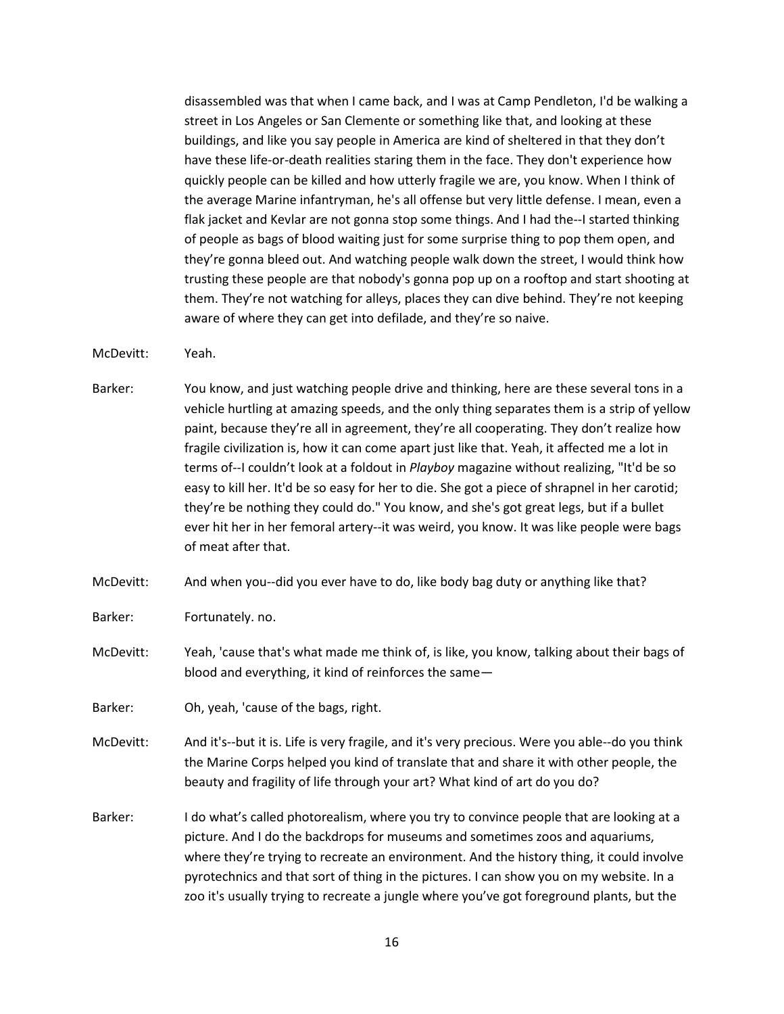disassembled was that when I came back, and I was at Camp Pendleton, I'd be walking a street in Los Angeles or San Clemente or something like that, and looking at these buildings, and like you say people in America are kind of sheltered in that they don't have these life-or-death realities staring them in the face. They don't experience how quickly people can be killed and how utterly fragile we are, you know. When I think of the average Marine infantryman, he's all offense but very little defense. I mean, even a flak jacket and Kevlar are not gonna stop some things. And I had the--I started thinking of people as bags of blood waiting just for some surprise thing to pop them open, and they're gonna bleed out. And watching people walk down the street, I would think how trusting these people are that nobody's gonna pop up on a rooftop and start shooting at them. They're not watching for alleys, places they can dive behind. They're not keeping aware of where they can get into defilade, and they're so naive.

- McDevitt: Yeah.
- Barker: You know, and just watching people drive and thinking, here are these several tons in a vehicle hurtling at amazing speeds, and the only thing separates them is a strip of yellow paint, because they're all in agreement, they're all cooperating. They don't realize how fragile civilization is, how it can come apart just like that. Yeah, it affected me a lot in terms of--I couldn't look at a foldout in *Playboy* magazine without realizing, "It'd be so easy to kill her. It'd be so easy for her to die. She got a piece of shrapnel in her carotid; they're be nothing they could do." You know, and she's got great legs, but if a bullet ever hit her in her femoral artery--it was weird, you know. It was like people were bags of meat after that.
- McDevitt: And when you--did you ever have to do, like body bag duty or anything like that?
- Barker: Fortunately. no.
- McDevitt: Yeah, 'cause that's what made me think of, is like, you know, talking about their bags of blood and everything, it kind of reinforces the same—
- Barker: Oh, yeah, 'cause of the bags, right.
- McDevitt: And it's--but it is. Life is very fragile, and it's very precious. Were you able--do you think the Marine Corps helped you kind of translate that and share it with other people, the beauty and fragility of life through your art? What kind of art do you do?
- Barker: I do what's called photorealism, where you try to convince people that are looking at a picture. And I do the backdrops for museums and sometimes zoos and aquariums, where they're trying to recreate an environment. And the history thing, it could involve pyrotechnics and that sort of thing in the pictures. I can show you on my website. In a zoo it's usually trying to recreate a jungle where you've got foreground plants, but the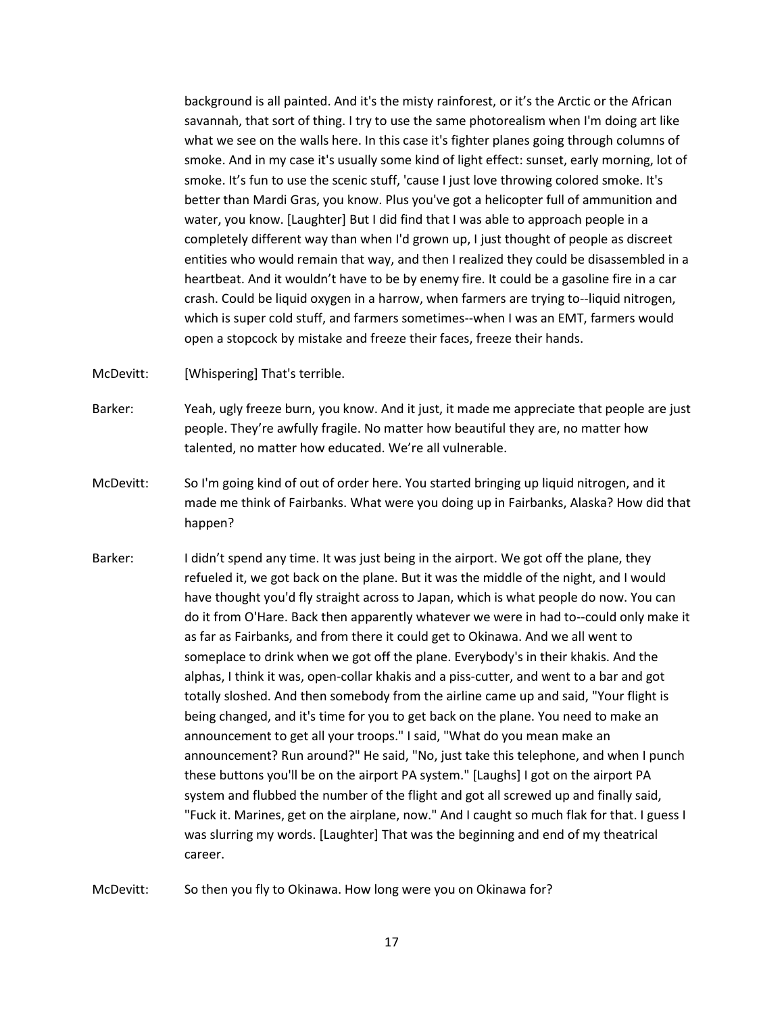background is all painted. And it's the misty rainforest, or it's the Arctic or the African savannah, that sort of thing. I try to use the same photorealism when I'm doing art like what we see on the walls here. In this case it's fighter planes going through columns of smoke. And in my case it's usually some kind of light effect: sunset, early morning, lot of smoke. It's fun to use the scenic stuff, 'cause I just love throwing colored smoke. It's better than Mardi Gras, you know. Plus you've got a helicopter full of ammunition and water, you know. [Laughter] But I did find that I was able to approach people in a completely different way than when I'd grown up, I just thought of people as discreet entities who would remain that way, and then I realized they could be disassembled in a heartbeat. And it wouldn't have to be by enemy fire. It could be a gasoline fire in a car crash. Could be liquid oxygen in a harrow, when farmers are trying to--liquid nitrogen, which is super cold stuff, and farmers sometimes--when I was an EMT, farmers would open a stopcock by mistake and freeze their faces, freeze their hands.

McDevitt: [Whispering] That's terrible.

Barker: Yeah, ugly freeze burn, you know. And it just, it made me appreciate that people are just people. They're awfully fragile. No matter how beautiful they are, no matter how talented, no matter how educated. We're all vulnerable.

- McDevitt: So I'm going kind of out of order here. You started bringing up liquid nitrogen, and it made me think of Fairbanks. What were you doing up in Fairbanks, Alaska? How did that happen?
- Barker: I didn't spend any time. It was just being in the airport. We got off the plane, they refueled it, we got back on the plane. But it was the middle of the night, and I would have thought you'd fly straight across to Japan, which is what people do now. You can do it from O'Hare. Back then apparently whatever we were in had to--could only make it as far as Fairbanks, and from there it could get to Okinawa. And we all went to someplace to drink when we got off the plane. Everybody's in their khakis. And the alphas, I think it was, open-collar khakis and a piss-cutter, and went to a bar and got totally sloshed. And then somebody from the airline came up and said, "Your flight is being changed, and it's time for you to get back on the plane. You need to make an announcement to get all your troops." I said, "What do you mean make an announcement? Run around?" He said, "No, just take this telephone, and when I punch these buttons you'll be on the airport PA system." [Laughs] I got on the airport PA system and flubbed the number of the flight and got all screwed up and finally said, "Fuck it. Marines, get on the airplane, now." And I caught so much flak for that. I guess I was slurring my words. [Laughter] That was the beginning and end of my theatrical career.

McDevitt: So then you fly to Okinawa. How long were you on Okinawa for?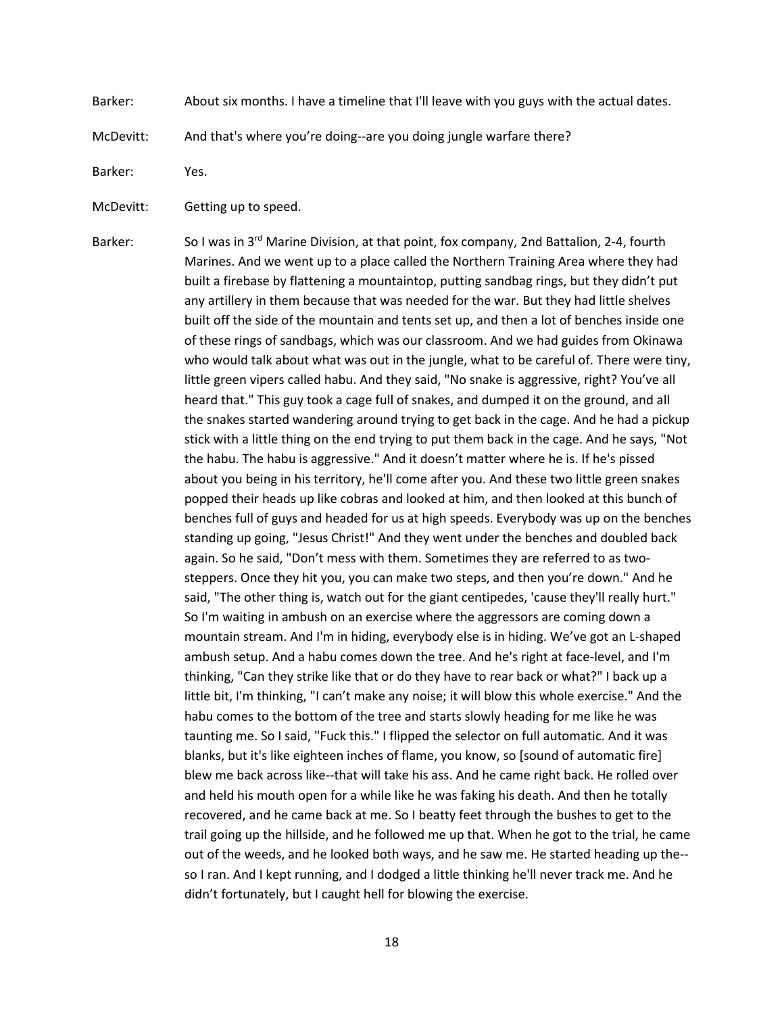Barker: About six months. I have a timeline that I'll leave with you guys with the actual dates.

McDevitt: And that's where you're doing--are you doing jungle warfare there?

Barker: Yes.

McDevitt: Getting up to speed.

Barker: So I was in 3<sup>rd</sup> Marine Division, at that point, fox company, 2nd Battalion, 2-4, fourth Marines. And we went up to a place called the Northern Training Area where they had built a firebase by flattening a mountaintop, putting sandbag rings, but they didn't put any artillery in them because that was needed for the war. But they had little shelves built off the side of the mountain and tents set up, and then a lot of benches inside one of these rings of sandbags, which was our classroom. And we had guides from Okinawa who would talk about what was out in the jungle, what to be careful of. There were tiny, little green vipers called habu. And they said, "No snake is aggressive, right? You've all heard that." This guy took a cage full of snakes, and dumped it on the ground, and all the snakes started wandering around trying to get back in the cage. And he had a pickup stick with a little thing on the end trying to put them back in the cage. And he says, "Not the habu. The habu is aggressive." And it doesn't matter where he is. If he's pissed about you being in his territory, he'll come after you. And these two little green snakes popped their heads up like cobras and looked at him, and then looked at this bunch of benches full of guys and headed for us at high speeds. Everybody was up on the benches standing up going, "Jesus Christ!" And they went under the benches and doubled back again. So he said, "Don't mess with them. Sometimes they are referred to as twosteppers. Once they hit you, you can make two steps, and then you're down." And he said, "The other thing is, watch out for the giant centipedes, 'cause they'll really hurt." So I'm waiting in ambush on an exercise where the aggressors are coming down a mountain stream. And I'm in hiding, everybody else is in hiding. We've got an L-shaped ambush setup. And a habu comes down the tree. And he's right at face-level, and I'm thinking, "Can they strike like that or do they have to rear back or what?" I back up a little bit, I'm thinking, "I can't make any noise; it will blow this whole exercise." And the habu comes to the bottom of the tree and starts slowly heading for me like he was taunting me. So I said, "Fuck this." I flipped the selector on full automatic. And it was blanks, but it's like eighteen inches of flame, you know, so [sound of automatic fire] blew me back across like--that will take his ass. And he came right back. He rolled over and held his mouth open for a while like he was faking his death. And then he totally recovered, and he came back at me. So I beatty feet through the bushes to get to the trail going up the hillside, and he followed me up that. When he got to the trial, he came out of the weeds, and he looked both ways, and he saw me. He started heading up the- so I ran. And I kept running, and I dodged a little thinking he'll never track me. And he didn't fortunately, but I caught hell for blowing the exercise.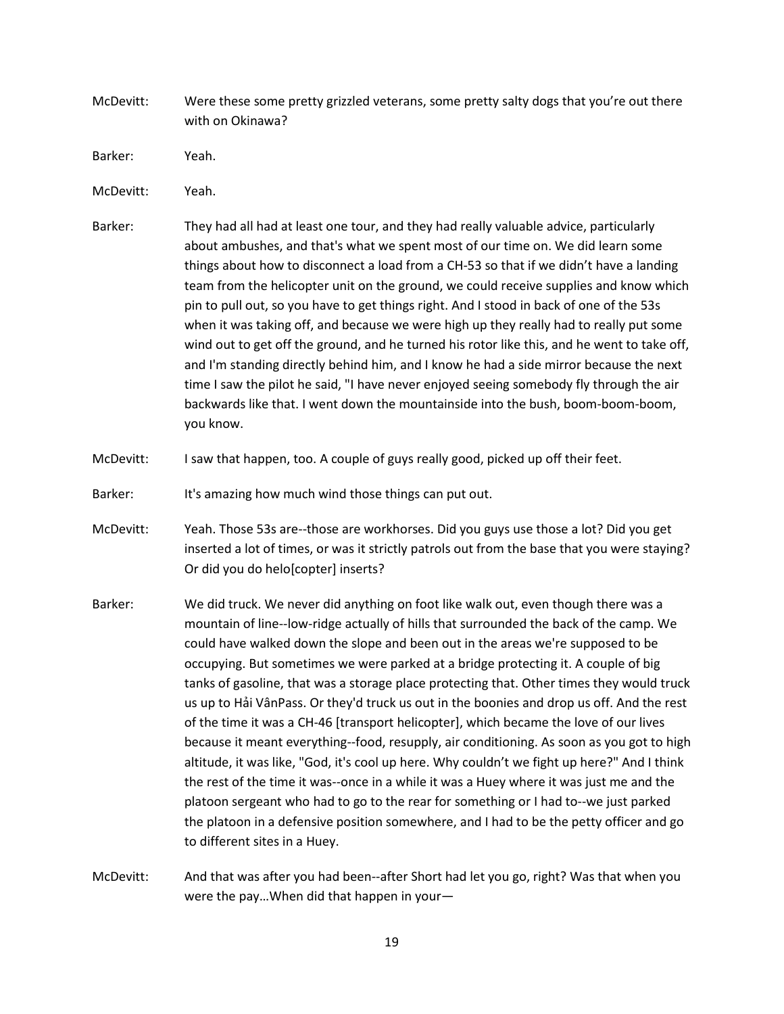- McDevitt: Were these some pretty grizzled veterans, some pretty salty dogs that you're out there with on Okinawa?
- Barker: Yeah.
- McDevitt: Yeah.
- Barker: They had all had at least one tour, and they had really valuable advice, particularly about ambushes, and that's what we spent most of our time on. We did learn some things about how to disconnect a load from a CH-53 so that if we didn't have a landing team from the helicopter unit on the ground, we could receive supplies and know which pin to pull out, so you have to get things right. And I stood in back of one of the 53s when it was taking off, and because we were high up they really had to really put some wind out to get off the ground, and he turned his rotor like this, and he went to take off, and I'm standing directly behind him, and I know he had a side mirror because the next time I saw the pilot he said, "I have never enjoyed seeing somebody fly through the air backwards like that. I went down the mountainside into the bush, boom-boom-boom, you know.
- McDevitt: I saw that happen, too. A couple of guys really good, picked up off their feet.
- Barker: It's amazing how much wind those things can put out.
- McDevitt: Yeah. Those 53s are--those are workhorses. Did you guys use those a lot? Did you get inserted a lot of times, or was it strictly patrols out from the base that you were staying? Or did you do helo[copter] inserts?
- Barker: We did truck. We never did anything on foot like walk out, even though there was a mountain of line--low-ridge actually of hills that surrounded the back of the camp. We could have walked down the slope and been out in the areas we're supposed to be occupying. But sometimes we were parked at a bridge protecting it. A couple of big tanks of gasoline, that was a storage place protecting that. Other times they would truck us up to Hải VânPass. Or they'd truck us out in the boonies and drop us off. And the rest of the time it was a CH-46 [transport helicopter], which became the love of our lives because it meant everything--food, resupply, air conditioning. As soon as you got to high altitude, it was like, "God, it's cool up here. Why couldn't we fight up here?" And I think the rest of the time it was--once in a while it was a Huey where it was just me and the platoon sergeant who had to go to the rear for something or I had to--we just parked the platoon in a defensive position somewhere, and I had to be the petty officer and go to different sites in a Huey.
- McDevitt: And that was after you had been--after Short had let you go, right? Was that when you were the pay…When did that happen in your—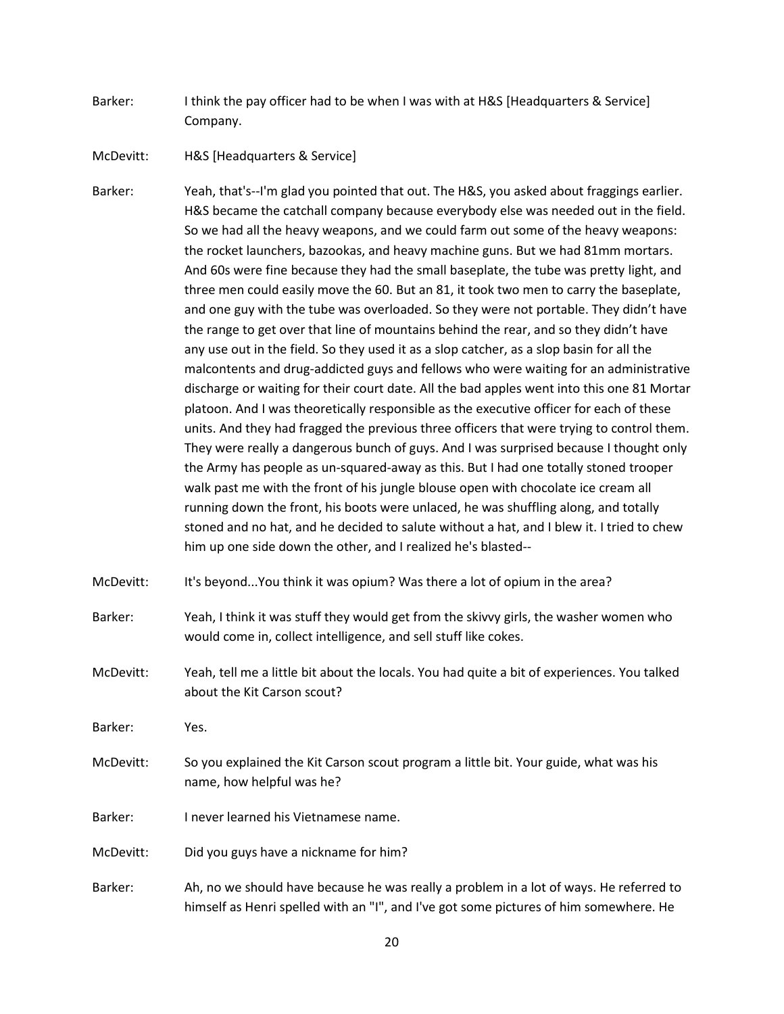Barker: I think the pay officer had to be when I was with at H&S [Headquarters & Service] Company.

McDevitt: H&S [Headquarters & Service]

Barker: Yeah, that's--I'm glad you pointed that out. The H&S, you asked about fraggings earlier. H&S became the catchall company because everybody else was needed out in the field. So we had all the heavy weapons, and we could farm out some of the heavy weapons: the rocket launchers, bazookas, and heavy machine guns. But we had 81mm mortars. And 60s were fine because they had the small baseplate, the tube was pretty light, and three men could easily move the 60. But an 81, it took two men to carry the baseplate, and one guy with the tube was overloaded. So they were not portable. They didn't have the range to get over that line of mountains behind the rear, and so they didn't have any use out in the field. So they used it as a slop catcher, as a slop basin for all the malcontents and drug-addicted guys and fellows who were waiting for an administrative discharge or waiting for their court date. All the bad apples went into this one 81 Mortar platoon. And I was theoretically responsible as the executive officer for each of these units. And they had fragged the previous three officers that were trying to control them. They were really a dangerous bunch of guys. And I was surprised because I thought only the Army has people as un-squared-away as this. But I had one totally stoned trooper walk past me with the front of his jungle blouse open with chocolate ice cream all running down the front, his boots were unlaced, he was shuffling along, and totally stoned and no hat, and he decided to salute without a hat, and I blew it. I tried to chew him up one side down the other, and I realized he's blasted--

- McDevitt: It's beyond...You think it was opium? Was there a lot of opium in the area?
- Barker: Yeah, I think it was stuff they would get from the skivvy girls, the washer women who would come in, collect intelligence, and sell stuff like cokes.
- McDevitt: Yeah, tell me a little bit about the locals. You had quite a bit of experiences. You talked about the Kit Carson scout?

Barker: Yes.

- McDevitt: So you explained the Kit Carson scout program a little bit. Your guide, what was his name, how helpful was he?
- Barker: I never learned his Vietnamese name.

McDevitt: Did you guys have a nickname for him?

Barker: Ah, no we should have because he was really a problem in a lot of ways. He referred to himself as Henri spelled with an "I", and I've got some pictures of him somewhere. He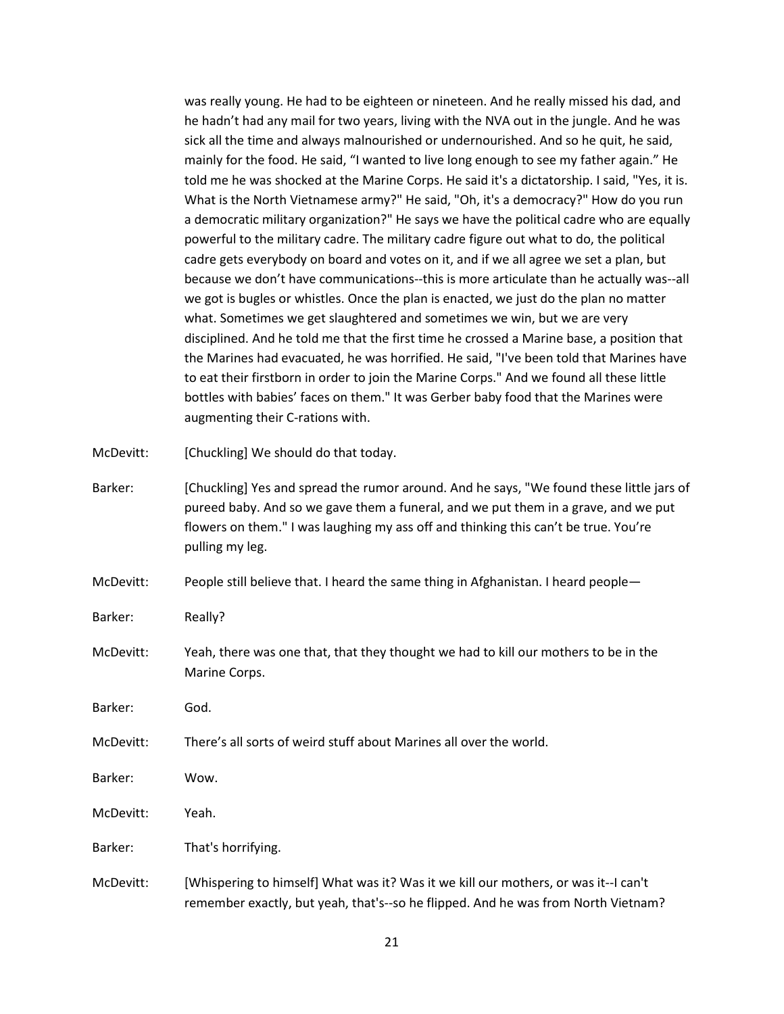was really young. He had to be eighteen or nineteen. And he really missed his dad, and he hadn't had any mail for two years, living with the NVA out in the jungle. And he was sick all the time and always malnourished or undernourished. And so he quit, he said, mainly for the food. He said, "I wanted to live long enough to see my father again." He told me he was shocked at the Marine Corps. He said it's a dictatorship. I said, "Yes, it is. What is the North Vietnamese army?" He said, "Oh, it's a democracy?" How do you run a democratic military organization?" He says we have the political cadre who are equally powerful to the military cadre. The military cadre figure out what to do, the political cadre gets everybody on board and votes on it, and if we all agree we set a plan, but because we don't have communications--this is more articulate than he actually was--all we got is bugles or whistles. Once the plan is enacted, we just do the plan no matter what. Sometimes we get slaughtered and sometimes we win, but we are very disciplined. And he told me that the first time he crossed a Marine base, a position that the Marines had evacuated, he was horrified. He said, "I've been told that Marines have to eat their firstborn in order to join the Marine Corps." And we found all these little bottles with babies' faces on them." It was Gerber baby food that the Marines were augmenting their C-rations with.

McDevitt: [Chuckling] We should do that today.

- Barker: [Chuckling] Yes and spread the rumor around. And he says, "We found these little jars of pureed baby. And so we gave them a funeral, and we put them in a grave, and we put flowers on them." I was laughing my ass off and thinking this can't be true. You're pulling my leg.
- McDevitt: People still believe that. I heard the same thing in Afghanistan. I heard people—

Barker: Really?

McDevitt: Yeah, there was one that, that they thought we had to kill our mothers to be in the Marine Corps.

Barker: God.

- McDevitt: There's all sorts of weird stuff about Marines all over the world.
- Barker: Wow.
- McDevitt: Yeah.
- Barker: That's horrifying.
- McDevitt: [Whispering to himself] What was it? Was it we kill our mothers, or was it--I can't remember exactly, but yeah, that's--so he flipped. And he was from North Vietnam?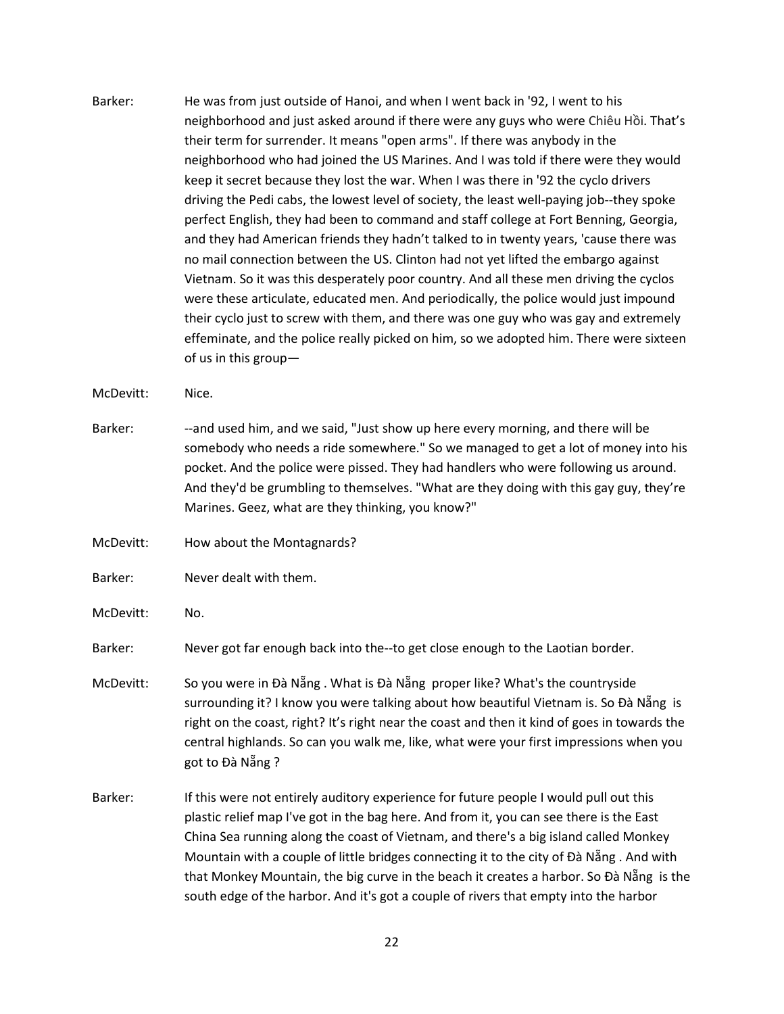Barker: He was from just outside of Hanoi, and when I went back in '92, I went to his neighborhood and just asked around if there were any guys who were Chiêu Hồi. That's their term for surrender. It means "open arms". If there was anybody in the neighborhood who had joined the US Marines. And I was told if there were they would keep it secret because they lost the war. When I was there in '92 the cyclo drivers driving the Pedi cabs, the lowest level of society, the least well-paying job--they spoke perfect English, they had been to command and staff college at Fort Benning, Georgia, and they had American friends they hadn't talked to in twenty years, 'cause there was no mail connection between the US. Clinton had not yet lifted the embargo against Vietnam. So it was this desperately poor country. And all these men driving the cyclos were these articulate, educated men. And periodically, the police would just impound their cyclo just to screw with them, and there was one guy who was gay and extremely effeminate, and the police really picked on him, so we adopted him. There were sixteen of us in this group—

McDevitt: Nice.

- Barker: --and used him, and we said, "Just show up here every morning, and there will be somebody who needs a ride somewhere." So we managed to get a lot of money into his pocket. And the police were pissed. They had handlers who were following us around. And they'd be grumbling to themselves. "What are they doing with this gay guy, they're Marines. Geez, what are they thinking, you know?"
- McDevitt: How about the Montagnards?
- Barker: Never dealt with them.
- McDevitt: No.

Barker: Never got far enough back into the--to get close enough to the Laotian border.

- McDevitt: So you were in Đà Nẵng. What is Đà Nẵng proper like? What's the countryside surrounding it? I know you were talking about how beautiful Vietnam is. So Đà Nẵng is right on the coast, right? It's right near the coast and then it kind of goes in towards the central highlands. So can you walk me, like, what were your first impressions when you got to Đà Nẵng ?
- Barker: If this were not entirely auditory experience for future people I would pull out this plastic relief map I've got in the bag here. And from it, you can see there is the East China Sea running along the coast of Vietnam, and there's a big island called Monkey Mountain with a couple of little bridges connecting it to the city of Đà Nẵng . And with that Monkey Mountain, the big curve in the beach it creates a harbor. So Đà Nẵng is the south edge of the harbor. And it's got a couple of rivers that empty into the harbor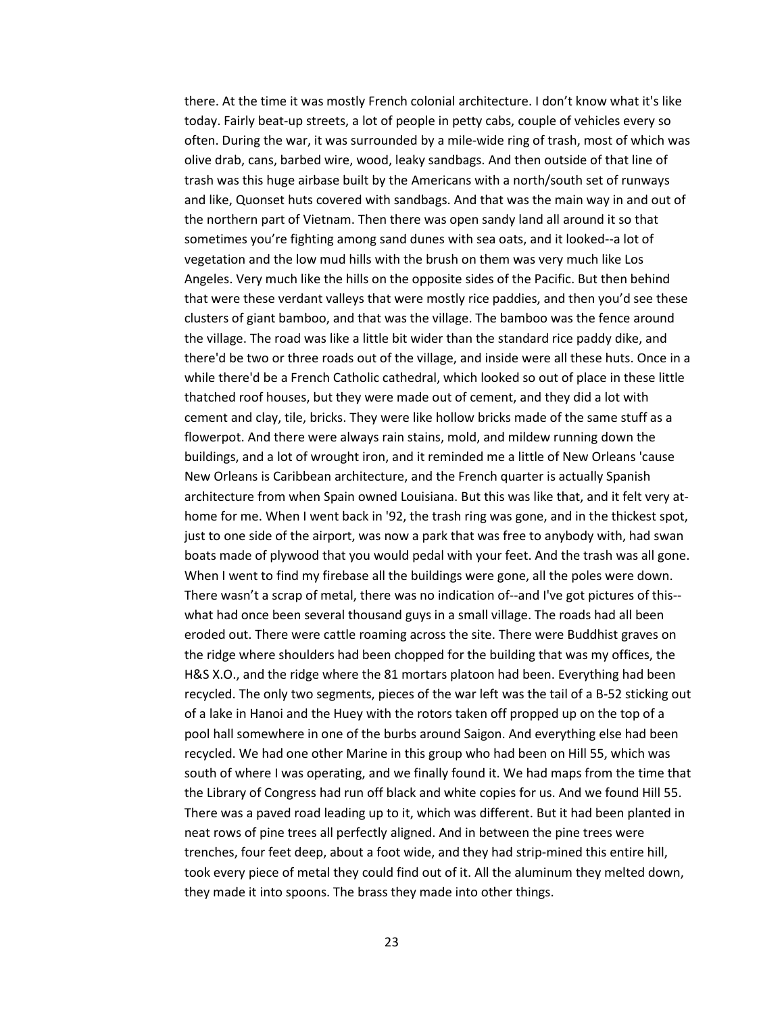there. At the time it was mostly French colonial architecture. I don't know what it's like today. Fairly beat-up streets, a lot of people in petty cabs, couple of vehicles every so often. During the war, it was surrounded by a mile-wide ring of trash, most of which was olive drab, cans, barbed wire, wood, leaky sandbags. And then outside of that line of trash was this huge airbase built by the Americans with a north/south set of runways and like, Quonset huts covered with sandbags. And that was the main way in and out of the northern part of Vietnam. Then there was open sandy land all around it so that sometimes you're fighting among sand dunes with sea oats, and it looked--a lot of vegetation and the low mud hills with the brush on them was very much like Los Angeles. Very much like the hills on the opposite sides of the Pacific. But then behind that were these verdant valleys that were mostly rice paddies, and then you'd see these clusters of giant bamboo, and that was the village. The bamboo was the fence around the village. The road was like a little bit wider than the standard rice paddy dike, and there'd be two or three roads out of the village, and inside were all these huts. Once in a while there'd be a French Catholic cathedral, which looked so out of place in these little thatched roof houses, but they were made out of cement, and they did a lot with cement and clay, tile, bricks. They were like hollow bricks made of the same stuff as a flowerpot. And there were always rain stains, mold, and mildew running down the buildings, and a lot of wrought iron, and it reminded me a little of New Orleans 'cause New Orleans is Caribbean architecture, and the French quarter is actually Spanish architecture from when Spain owned Louisiana. But this was like that, and it felt very athome for me. When I went back in '92, the trash ring was gone, and in the thickest spot, just to one side of the airport, was now a park that was free to anybody with, had swan boats made of plywood that you would pedal with your feet. And the trash was all gone. When I went to find my firebase all the buildings were gone, all the poles were down. There wasn't a scrap of metal, there was no indication of--and I've got pictures of this- what had once been several thousand guys in a small village. The roads had all been eroded out. There were cattle roaming across the site. There were Buddhist graves on the ridge where shoulders had been chopped for the building that was my offices, the H&S X.O., and the ridge where the 81 mortars platoon had been. Everything had been recycled. The only two segments, pieces of the war left was the tail of a B-52 sticking out of a lake in Hanoi and the Huey with the rotors taken off propped up on the top of a pool hall somewhere in one of the burbs around Saigon. And everything else had been recycled. We had one other Marine in this group who had been on Hill 55, which was south of where I was operating, and we finally found it. We had maps from the time that the Library of Congress had run off black and white copies for us. And we found Hill 55. There was a paved road leading up to it, which was different. But it had been planted in neat rows of pine trees all perfectly aligned. And in between the pine trees were trenches, four feet deep, about a foot wide, and they had strip-mined this entire hill, took every piece of metal they could find out of it. All the aluminum they melted down, they made it into spoons. The brass they made into other things.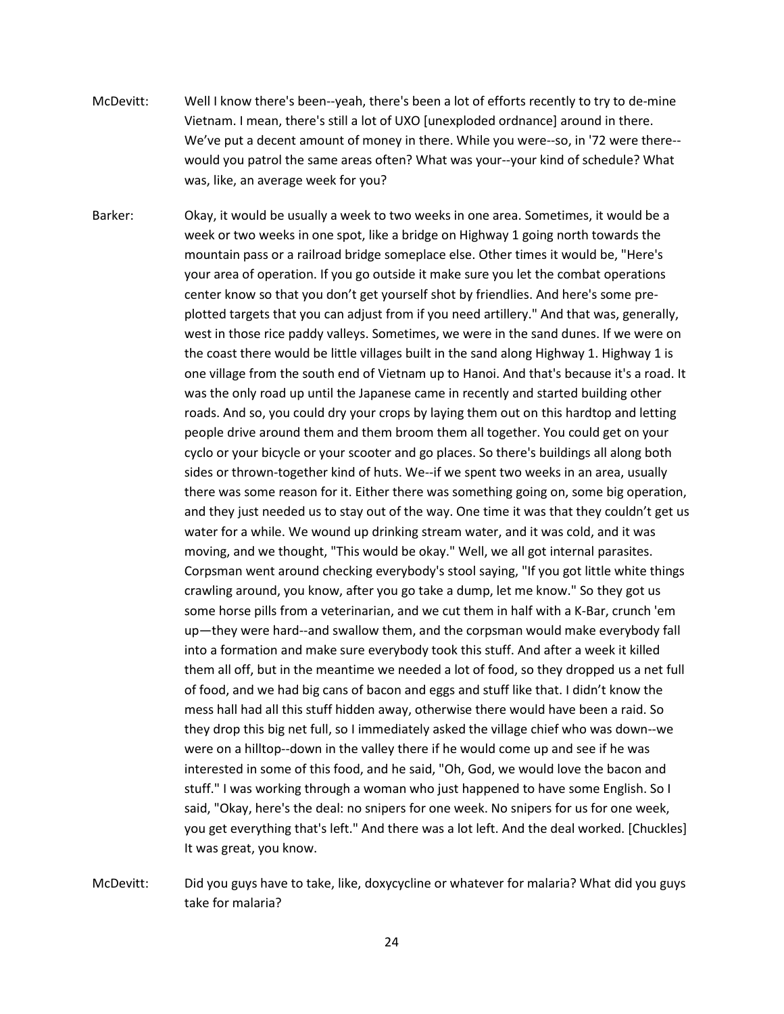- McDevitt: Well I know there's been--yeah, there's been a lot of efforts recently to try to de-mine Vietnam. I mean, there's still a lot of UXO [unexploded ordnance] around in there. We've put a decent amount of money in there. While you were--so, in '72 were there- would you patrol the same areas often? What was your--your kind of schedule? What was, like, an average week for you?
- Barker: Okay, it would be usually a week to two weeks in one area. Sometimes, it would be a week or two weeks in one spot, like a bridge on Highway 1 going north towards the mountain pass or a railroad bridge someplace else. Other times it would be, "Here's your area of operation. If you go outside it make sure you let the combat operations center know so that you don't get yourself shot by friendlies. And here's some preplotted targets that you can adjust from if you need artillery." And that was, generally, west in those rice paddy valleys. Sometimes, we were in the sand dunes. If we were on the coast there would be little villages built in the sand along Highway 1. Highway 1 is one village from the south end of Vietnam up to Hanoi. And that's because it's a road. It was the only road up until the Japanese came in recently and started building other roads. And so, you could dry your crops by laying them out on this hardtop and letting people drive around them and them broom them all together. You could get on your cyclo or your bicycle or your scooter and go places. So there's buildings all along both sides or thrown-together kind of huts. We--if we spent two weeks in an area, usually there was some reason for it. Either there was something going on, some big operation, and they just needed us to stay out of the way. One time it was that they couldn't get us water for a while. We wound up drinking stream water, and it was cold, and it was moving, and we thought, "This would be okay." Well, we all got internal parasites. Corpsman went around checking everybody's stool saying, "If you got little white things crawling around, you know, after you go take a dump, let me know." So they got us some horse pills from a veterinarian, and we cut them in half with a K-Bar, crunch 'em up—they were hard--and swallow them, and the corpsman would make everybody fall into a formation and make sure everybody took this stuff. And after a week it killed them all off, but in the meantime we needed a lot of food, so they dropped us a net full of food, and we had big cans of bacon and eggs and stuff like that. I didn't know the mess hall had all this stuff hidden away, otherwise there would have been a raid. So they drop this big net full, so I immediately asked the village chief who was down--we were on a hilltop--down in the valley there if he would come up and see if he was interested in some of this food, and he said, "Oh, God, we would love the bacon and stuff." I was working through a woman who just happened to have some English. So I said, "Okay, here's the deal: no snipers for one week. No snipers for us for one week, you get everything that's left." And there was a lot left. And the deal worked. [Chuckles] It was great, you know.

McDevitt: Did you guys have to take, like, doxycycline or whatever for malaria? What did you guys take for malaria?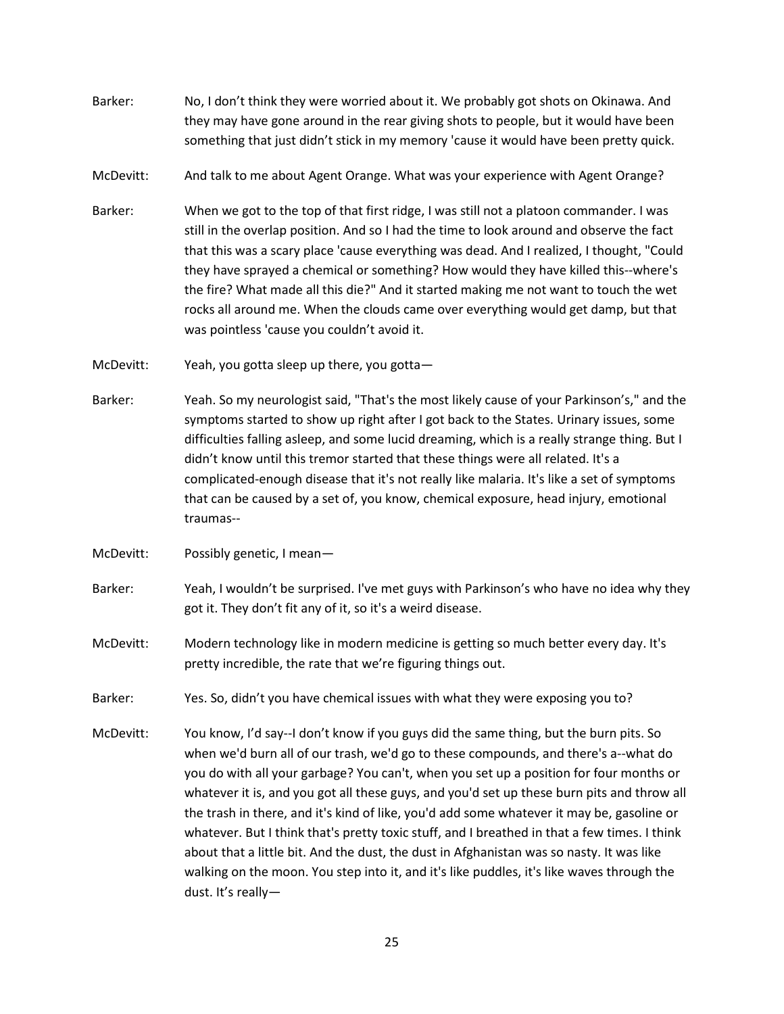- Barker: No, I don't think they were worried about it. We probably got shots on Okinawa. And they may have gone around in the rear giving shots to people, but it would have been something that just didn't stick in my memory 'cause it would have been pretty quick.
- McDevitt: And talk to me about Agent Orange. What was your experience with Agent Orange?
- Barker: When we got to the top of that first ridge, I was still not a platoon commander. I was still in the overlap position. And so I had the time to look around and observe the fact that this was a scary place 'cause everything was dead. And I realized, I thought, "Could they have sprayed a chemical or something? How would they have killed this--where's the fire? What made all this die?" And it started making me not want to touch the wet rocks all around me. When the clouds came over everything would get damp, but that was pointless 'cause you couldn't avoid it.
- McDevitt: Yeah, you gotta sleep up there, you gotta—
- Barker: Yeah. So my neurologist said, "That's the most likely cause of your Parkinson's," and the symptoms started to show up right after I got back to the States. Urinary issues, some difficulties falling asleep, and some lucid dreaming, which is a really strange thing. But I didn't know until this tremor started that these things were all related. It's a complicated-enough disease that it's not really like malaria. It's like a set of symptoms that can be caused by a set of, you know, chemical exposure, head injury, emotional traumas--
- McDevitt: Possibly genetic, I mean—
- Barker: Yeah, I wouldn't be surprised. I've met guys with Parkinson's who have no idea why they got it. They don't fit any of it, so it's a weird disease.
- McDevitt: Modern technology like in modern medicine is getting so much better every day. It's pretty incredible, the rate that we're figuring things out.
- Barker: Yes. So, didn't you have chemical issues with what they were exposing you to?
- McDevitt: You know, I'd say--I don't know if you guys did the same thing, but the burn pits. So when we'd burn all of our trash, we'd go to these compounds, and there's a--what do you do with all your garbage? You can't, when you set up a position for four months or whatever it is, and you got all these guys, and you'd set up these burn pits and throw all the trash in there, and it's kind of like, you'd add some whatever it may be, gasoline or whatever. But I think that's pretty toxic stuff, and I breathed in that a few times. I think about that a little bit. And the dust, the dust in Afghanistan was so nasty. It was like walking on the moon. You step into it, and it's like puddles, it's like waves through the dust. It's really—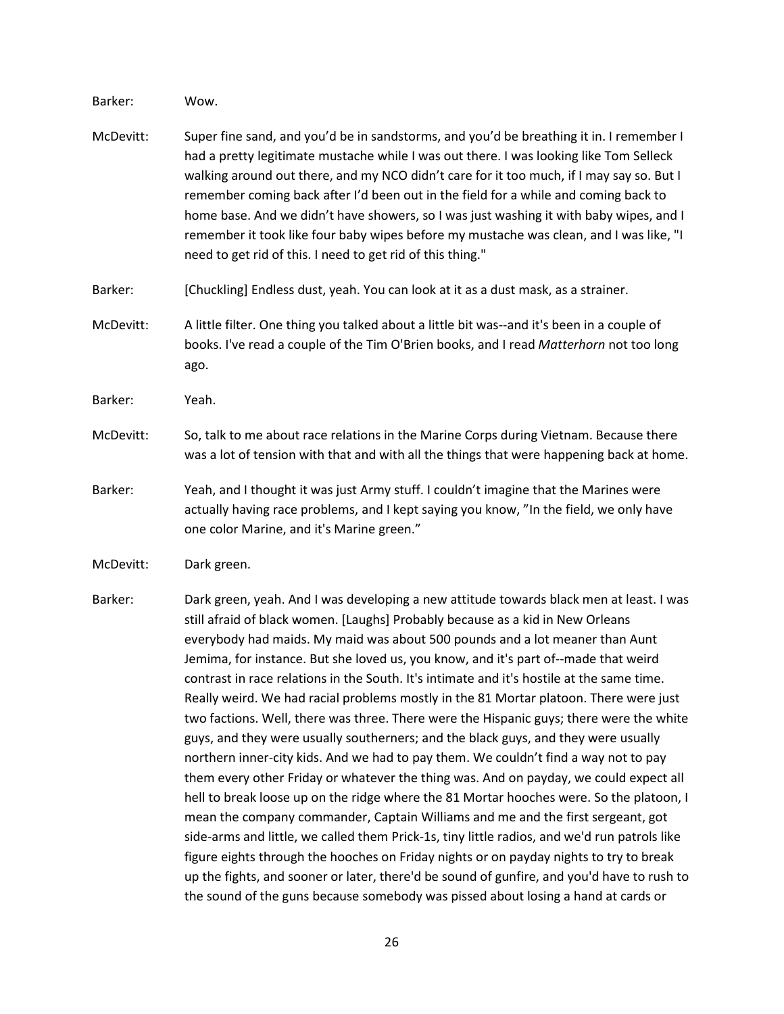Barker: Wow.

- McDevitt: Super fine sand, and you'd be in sandstorms, and you'd be breathing it in. I remember I had a pretty legitimate mustache while I was out there. I was looking like Tom Selleck walking around out there, and my NCO didn't care for it too much, if I may say so. But I remember coming back after I'd been out in the field for a while and coming back to home base. And we didn't have showers, so I was just washing it with baby wipes, and I remember it took like four baby wipes before my mustache was clean, and I was like, "I need to get rid of this. I need to get rid of this thing."
- Barker: [Chuckling] Endless dust, yeah. You can look at it as a dust mask, as a strainer.
- McDevitt: A little filter. One thing you talked about a little bit was--and it's been in a couple of books. I've read a couple of the Tim O'Brien books, and I read *Matterhorn* not too long ago.
- Barker: Yeah.
- McDevitt: So, talk to me about race relations in the Marine Corps during Vietnam. Because there was a lot of tension with that and with all the things that were happening back at home.
- Barker: Yeah, and I thought it was just Army stuff. I couldn't imagine that the Marines were actually having race problems, and I kept saying you know, "In the field, we only have one color Marine, and it's Marine green."

McDevitt: Dark green.

Barker: Dark green, yeah. And I was developing a new attitude towards black men at least. I was still afraid of black women. [Laughs] Probably because as a kid in New Orleans everybody had maids. My maid was about 500 pounds and a lot meaner than Aunt Jemima, for instance. But she loved us, you know, and it's part of--made that weird contrast in race relations in the South. It's intimate and it's hostile at the same time. Really weird. We had racial problems mostly in the 81 Mortar platoon. There were just two factions. Well, there was three. There were the Hispanic guys; there were the white guys, and they were usually southerners; and the black guys, and they were usually northern inner-city kids. And we had to pay them. We couldn't find a way not to pay them every other Friday or whatever the thing was. And on payday, we could expect all hell to break loose up on the ridge where the 81 Mortar hooches were. So the platoon, I mean the company commander, Captain Williams and me and the first sergeant, got side-arms and little, we called them Prick-1s, tiny little radios, and we'd run patrols like figure eights through the hooches on Friday nights or on payday nights to try to break up the fights, and sooner or later, there'd be sound of gunfire, and you'd have to rush to the sound of the guns because somebody was pissed about losing a hand at cards or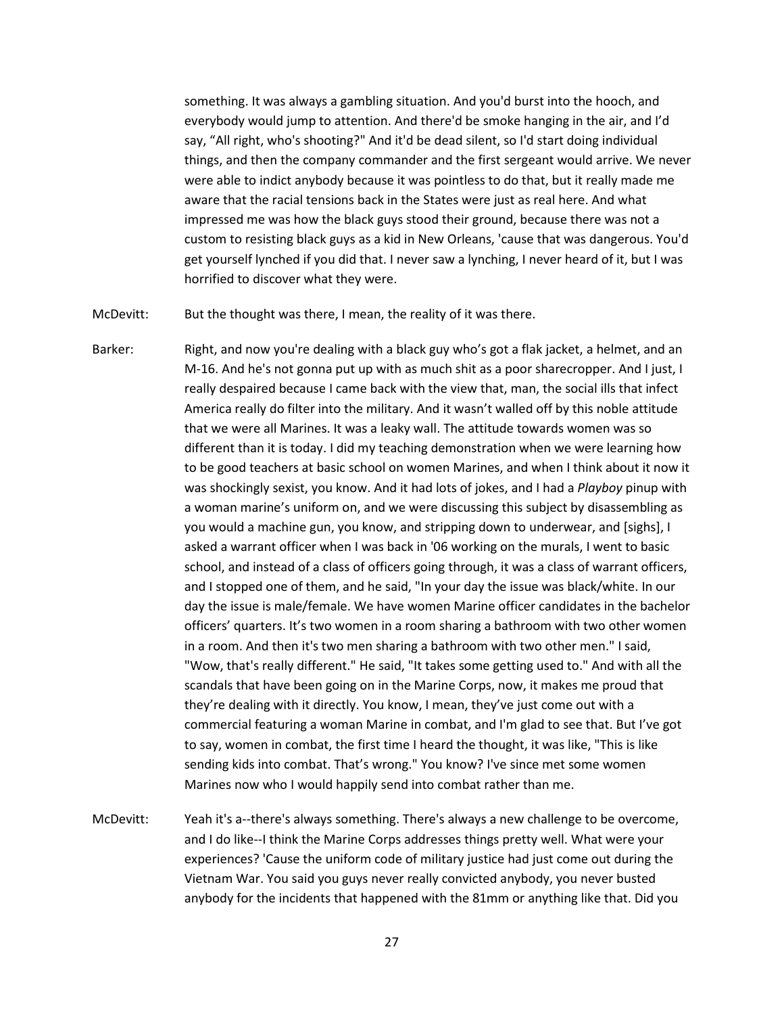something. It was always a gambling situation. And you'd burst into the hooch, and everybody would jump to attention. And there'd be smoke hanging in the air, and I'd say, "All right, who's shooting?" And it'd be dead silent, so I'd start doing individual things, and then the company commander and the first sergeant would arrive. We never were able to indict anybody because it was pointless to do that, but it really made me aware that the racial tensions back in the States were just as real here. And what impressed me was how the black guys stood their ground, because there was not a custom to resisting black guys as a kid in New Orleans, 'cause that was dangerous. You'd get yourself lynched if you did that. I never saw a lynching, I never heard of it, but I was horrified to discover what they were.

McDevitt: But the thought was there, I mean, the reality of it was there.

- Barker: Right, and now you're dealing with a black guy who's got a flak jacket, a helmet, and an M-16. And he's not gonna put up with as much shit as a poor sharecropper. And I just, I really despaired because I came back with the view that, man, the social ills that infect America really do filter into the military. And it wasn't walled off by this noble attitude that we were all Marines. It was a leaky wall. The attitude towards women was so different than it is today. I did my teaching demonstration when we were learning how to be good teachers at basic school on women Marines, and when I think about it now it was shockingly sexist, you know. And it had lots of jokes, and I had a *Playboy* pinup with a woman marine's uniform on, and we were discussing this subject by disassembling as you would a machine gun, you know, and stripping down to underwear, and [sighs], I asked a warrant officer when I was back in '06 working on the murals, I went to basic school, and instead of a class of officers going through, it was a class of warrant officers, and I stopped one of them, and he said, "In your day the issue was black/white. In our day the issue is male/female. We have women Marine officer candidates in the bachelor officers' quarters. It's two women in a room sharing a bathroom with two other women in a room. And then it's two men sharing a bathroom with two other men." I said, "Wow, that's really different." He said, "It takes some getting used to." And with all the scandals that have been going on in the Marine Corps, now, it makes me proud that they're dealing with it directly. You know, I mean, they've just come out with a commercial featuring a woman Marine in combat, and I'm glad to see that. But I've got to say, women in combat, the first time I heard the thought, it was like, "This is like sending kids into combat. That's wrong." You know? I've since met some women Marines now who I would happily send into combat rather than me.
- McDevitt: Yeah it's a--there's always something. There's always a new challenge to be overcome, and I do like--I think the Marine Corps addresses things pretty well. What were your experiences? 'Cause the uniform code of military justice had just come out during the Vietnam War. You said you guys never really convicted anybody, you never busted anybody for the incidents that happened with the 81mm or anything like that. Did you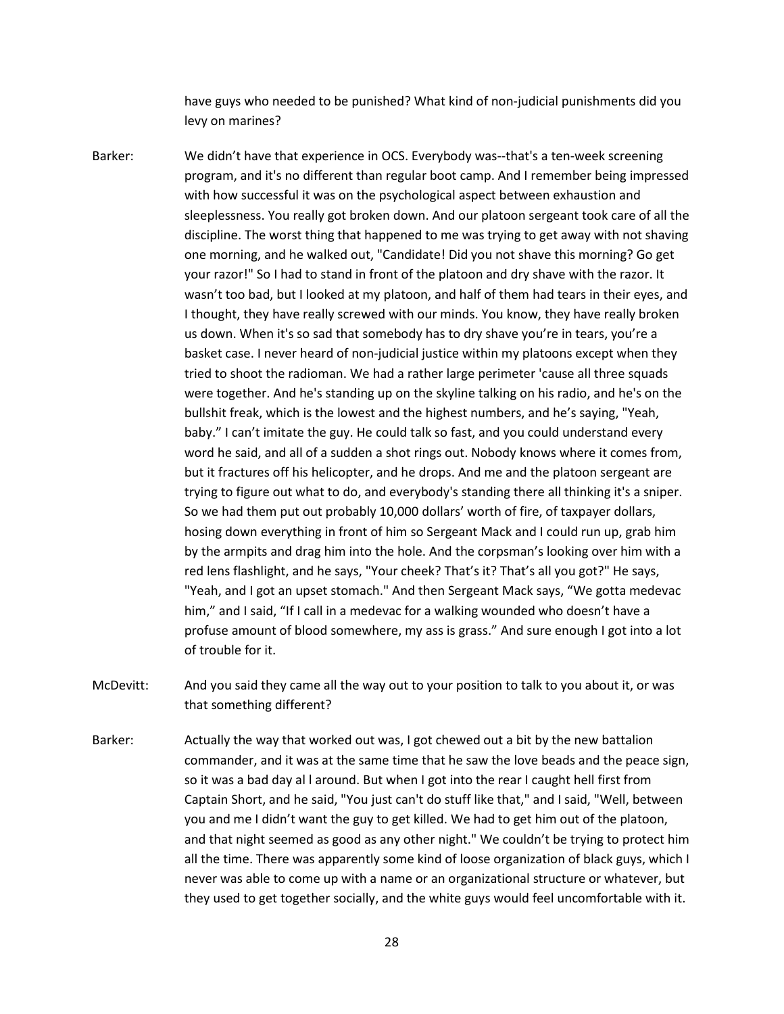have guys who needed to be punished? What kind of non-judicial punishments did you levy on marines?

- Barker: We didn't have that experience in OCS. Everybody was--that's a ten-week screening program, and it's no different than regular boot camp. And I remember being impressed with how successful it was on the psychological aspect between exhaustion and sleeplessness. You really got broken down. And our platoon sergeant took care of all the discipline. The worst thing that happened to me was trying to get away with not shaving one morning, and he walked out, "Candidate! Did you not shave this morning? Go get your razor!" So I had to stand in front of the platoon and dry shave with the razor. It wasn't too bad, but I looked at my platoon, and half of them had tears in their eyes, and I thought, they have really screwed with our minds. You know, they have really broken us down. When it's so sad that somebody has to dry shave you're in tears, you're a basket case. I never heard of non-judicial justice within my platoons except when they tried to shoot the radioman. We had a rather large perimeter 'cause all three squads were together. And he's standing up on the skyline talking on his radio, and he's on the bullshit freak, which is the lowest and the highest numbers, and he's saying, "Yeah, baby." I can't imitate the guy. He could talk so fast, and you could understand every word he said, and all of a sudden a shot rings out. Nobody knows where it comes from, but it fractures off his helicopter, and he drops. And me and the platoon sergeant are trying to figure out what to do, and everybody's standing there all thinking it's a sniper. So we had them put out probably 10,000 dollars' worth of fire, of taxpayer dollars, hosing down everything in front of him so Sergeant Mack and I could run up, grab him by the armpits and drag him into the hole. And the corpsman's looking over him with a red lens flashlight, and he says, "Your cheek? That's it? That's all you got?" He says, "Yeah, and I got an upset stomach." And then Sergeant Mack says, "We gotta medevac him," and I said, "If I call in a medevac for a walking wounded who doesn't have a profuse amount of blood somewhere, my ass is grass." And sure enough I got into a lot of trouble for it.
- McDevitt: And you said they came all the way out to your position to talk to you about it, or was that something different?
- Barker: Actually the way that worked out was, I got chewed out a bit by the new battalion commander, and it was at the same time that he saw the love beads and the peace sign, so it was a bad day al l around. But when I got into the rear I caught hell first from Captain Short, and he said, "You just can't do stuff like that," and I said, "Well, between you and me I didn't want the guy to get killed. We had to get him out of the platoon, and that night seemed as good as any other night." We couldn't be trying to protect him all the time. There was apparently some kind of loose organization of black guys, which I never was able to come up with a name or an organizational structure or whatever, but they used to get together socially, and the white guys would feel uncomfortable with it.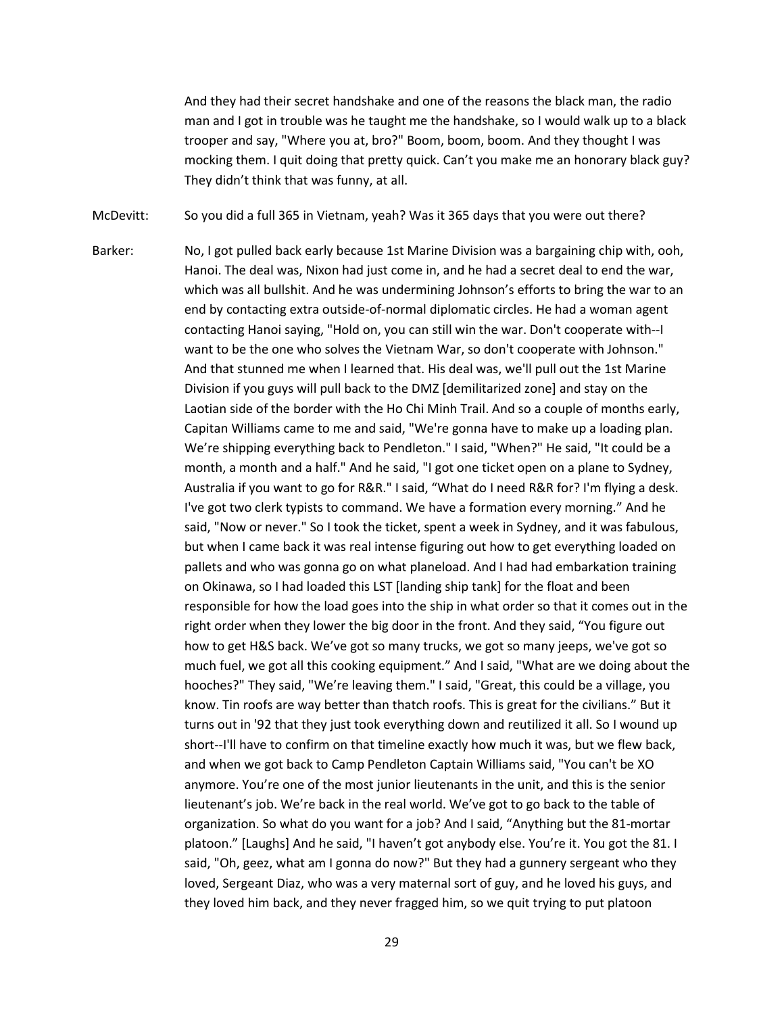And they had their secret handshake and one of the reasons the black man, the radio man and I got in trouble was he taught me the handshake, so I would walk up to a black trooper and say, "Where you at, bro?" Boom, boom, boom. And they thought I was mocking them. I quit doing that pretty quick. Can't you make me an honorary black guy? They didn't think that was funny, at all.

McDevitt: So you did a full 365 in Vietnam, yeah? Was it 365 days that you were out there?

Barker: No, I got pulled back early because 1st Marine Division was a bargaining chip with, ooh, Hanoi. The deal was, Nixon had just come in, and he had a secret deal to end the war, which was all bullshit. And he was undermining Johnson's efforts to bring the war to an end by contacting extra outside-of-normal diplomatic circles. He had a woman agent contacting Hanoi saying, "Hold on, you can still win the war. Don't cooperate with--I want to be the one who solves the Vietnam War, so don't cooperate with Johnson." And that stunned me when I learned that. His deal was, we'll pull out the 1st Marine Division if you guys will pull back to the DMZ [demilitarized zone] and stay on the Laotian side of the border with the Ho Chi Minh Trail. And so a couple of months early, Capitan Williams came to me and said, "We're gonna have to make up a loading plan. We're shipping everything back to Pendleton." I said, "When?" He said, "It could be a month, a month and a half." And he said, "I got one ticket open on a plane to Sydney, Australia if you want to go for R&R." I said, "What do I need R&R for? I'm flying a desk. I've got two clerk typists to command. We have a formation every morning." And he said, "Now or never." So I took the ticket, spent a week in Sydney, and it was fabulous, but when I came back it was real intense figuring out how to get everything loaded on pallets and who was gonna go on what planeload. And I had had embarkation training on Okinawa, so I had loaded this LST [landing ship tank] for the float and been responsible for how the load goes into the ship in what order so that it comes out in the right order when they lower the big door in the front. And they said, "You figure out how to get H&S back. We've got so many trucks, we got so many jeeps, we've got so much fuel, we got all this cooking equipment." And I said, "What are we doing about the hooches?" They said, "We're leaving them." I said, "Great, this could be a village, you know. Tin roofs are way better than thatch roofs. This is great for the civilians." But it turns out in '92 that they just took everything down and reutilized it all. So I wound up short--I'll have to confirm on that timeline exactly how much it was, but we flew back, and when we got back to Camp Pendleton Captain Williams said, "You can't be XO anymore. You're one of the most junior lieutenants in the unit, and this is the senior lieutenant's job. We're back in the real world. We've got to go back to the table of organization. So what do you want for a job? And I said, "Anything but the 81-mortar platoon." [Laughs] And he said, "I haven't got anybody else. You're it. You got the 81. I said, "Oh, geez, what am I gonna do now?" But they had a gunnery sergeant who they loved, Sergeant Diaz, who was a very maternal sort of guy, and he loved his guys, and they loved him back, and they never fragged him, so we quit trying to put platoon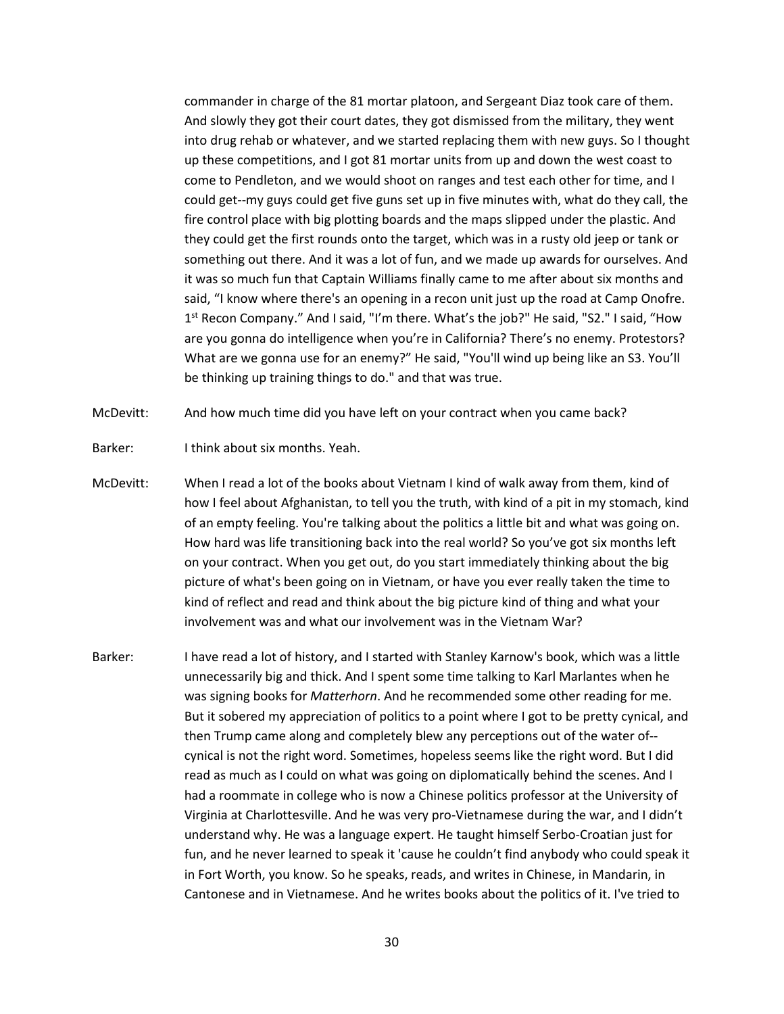commander in charge of the 81 mortar platoon, and Sergeant Diaz took care of them. And slowly they got their court dates, they got dismissed from the military, they went into drug rehab or whatever, and we started replacing them with new guys. So I thought up these competitions, and I got 81 mortar units from up and down the west coast to come to Pendleton, and we would shoot on ranges and test each other for time, and I could get--my guys could get five guns set up in five minutes with, what do they call, the fire control place with big plotting boards and the maps slipped under the plastic. And they could get the first rounds onto the target, which was in a rusty old jeep or tank or something out there. And it was a lot of fun, and we made up awards for ourselves. And it was so much fun that Captain Williams finally came to me after about six months and said, "I know where there's an opening in a recon unit just up the road at Camp Onofre. 1<sup>st</sup> Recon Company." And I said, "I'm there. What's the job?" He said, "S2." I said, "How are you gonna do intelligence when you're in California? There's no enemy. Protestors? What are we gonna use for an enemy?" He said, "You'll wind up being like an S3. You'll be thinking up training things to do." and that was true.

McDevitt: And how much time did you have left on your contract when you came back?

- Barker: I think about six months. Yeah.
- McDevitt: When I read a lot of the books about Vietnam I kind of walk away from them, kind of how I feel about Afghanistan, to tell you the truth, with kind of a pit in my stomach, kind of an empty feeling. You're talking about the politics a little bit and what was going on. How hard was life transitioning back into the real world? So you've got six months left on your contract. When you get out, do you start immediately thinking about the big picture of what's been going on in Vietnam, or have you ever really taken the time to kind of reflect and read and think about the big picture kind of thing and what your involvement was and what our involvement was in the Vietnam War?
- Barker: I have read a lot of history, and I started with Stanley Karnow's book, which was a little unnecessarily big and thick. And I spent some time talking to Karl Marlantes when he was signing books for *Matterhorn*. And he recommended some other reading for me. But it sobered my appreciation of politics to a point where I got to be pretty cynical, and then Trump came along and completely blew any perceptions out of the water of- cynical is not the right word. Sometimes, hopeless seems like the right word. But I did read as much as I could on what was going on diplomatically behind the scenes. And I had a roommate in college who is now a Chinese politics professor at the University of Virginia at Charlottesville. And he was very pro-Vietnamese during the war, and I didn't understand why. He was a language expert. He taught himself Serbo-Croatian just for fun, and he never learned to speak it 'cause he couldn't find anybody who could speak it in Fort Worth, you know. So he speaks, reads, and writes in Chinese, in Mandarin, in Cantonese and in Vietnamese. And he writes books about the politics of it. I've tried to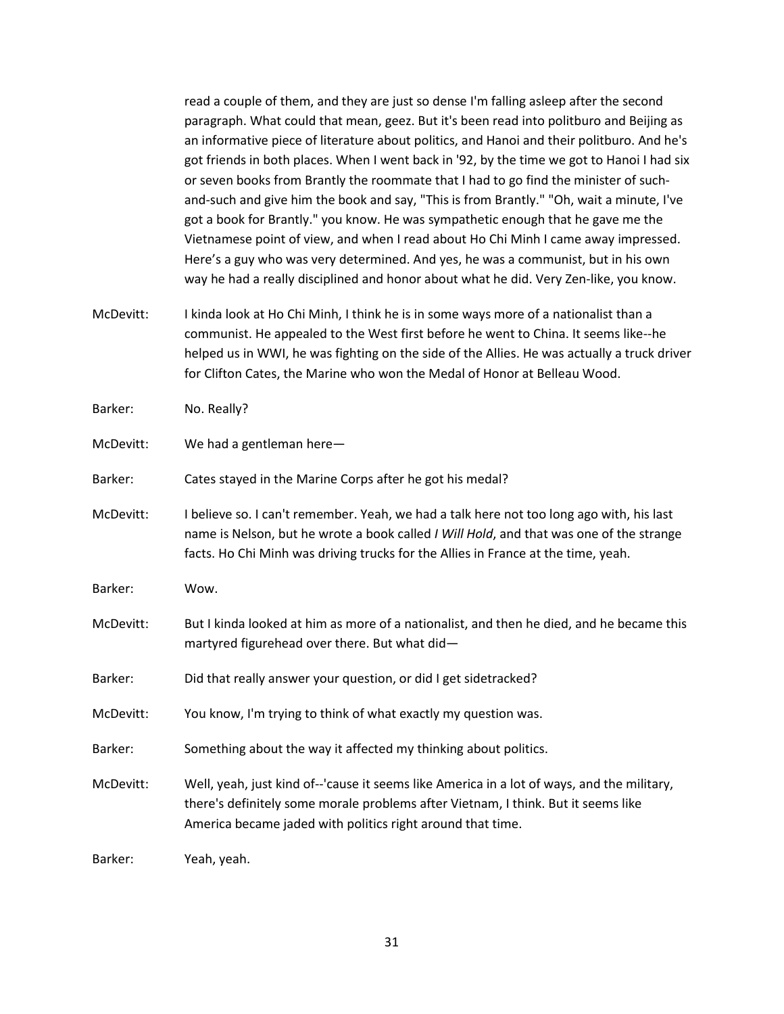read a couple of them, and they are just so dense I'm falling asleep after the second paragraph. What could that mean, geez. But it's been read into politburo and Beijing as an informative piece of literature about politics, and Hanoi and their politburo. And he's got friends in both places. When I went back in '92, by the time we got to Hanoi I had six or seven books from Brantly the roommate that I had to go find the minister of suchand-such and give him the book and say, "This is from Brantly." "Oh, wait a minute, I've got a book for Brantly." you know. He was sympathetic enough that he gave me the Vietnamese point of view, and when I read about Ho Chi Minh I came away impressed. Here's a guy who was very determined. And yes, he was a communist, but in his own way he had a really disciplined and honor about what he did. Very Zen-like, you know.

McDevitt: I kinda look at Ho Chi Minh, I think he is in some ways more of a nationalist than a communist. He appealed to the West first before he went to China. It seems like--he helped us in WWI, he was fighting on the side of the Allies. He was actually a truck driver for Clifton Cates, the Marine who won the Medal of Honor at Belleau Wood.

Barker: No. Really?

McDevitt: We had a gentleman here—

Barker: Cates stayed in the Marine Corps after he got his medal?

McDevitt: I believe so. I can't remember. Yeah, we had a talk here not too long ago with, his last name is Nelson, but he wrote a book called *I Will Hold*, and that was one of the strange facts. Ho Chi Minh was driving trucks for the Allies in France at the time, yeah.

Barker: Wow.

- McDevitt: But I kinda looked at him as more of a nationalist, and then he died, and he became this martyred figurehead over there. But what did—
- Barker: Did that really answer your question, or did I get sidetracked?
- McDevitt: You know, I'm trying to think of what exactly my question was.
- Barker: Something about the way it affected my thinking about politics.
- McDevitt: Well, yeah, just kind of--'cause it seems like America in a lot of ways, and the military, there's definitely some morale problems after Vietnam, I think. But it seems like America became jaded with politics right around that time.

Barker: Yeah, yeah.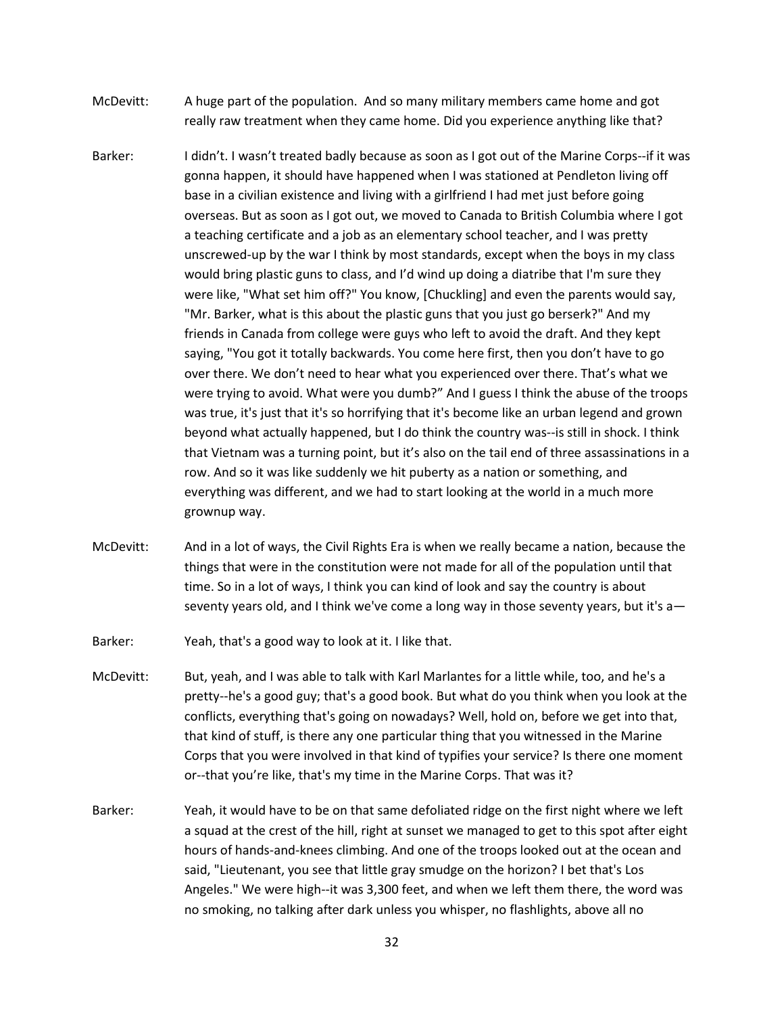- McDevitt: A huge part of the population. And so many military members came home and got really raw treatment when they came home. Did you experience anything like that?
- Barker: I didn't. I wasn't treated badly because as soon as I got out of the Marine Corps--if it was gonna happen, it should have happened when I was stationed at Pendleton living off base in a civilian existence and living with a girlfriend I had met just before going overseas. But as soon as I got out, we moved to Canada to British Columbia where I got a teaching certificate and a job as an elementary school teacher, and I was pretty unscrewed-up by the war I think by most standards, except when the boys in my class would bring plastic guns to class, and I'd wind up doing a diatribe that I'm sure they were like, "What set him off?" You know, [Chuckling] and even the parents would say, "Mr. Barker, what is this about the plastic guns that you just go berserk?" And my friends in Canada from college were guys who left to avoid the draft. And they kept saying, "You got it totally backwards. You come here first, then you don't have to go over there. We don't need to hear what you experienced over there. That's what we were trying to avoid. What were you dumb?" And I guess I think the abuse of the troops was true, it's just that it's so horrifying that it's become like an urban legend and grown beyond what actually happened, but I do think the country was--is still in shock. I think that Vietnam was a turning point, but it's also on the tail end of three assassinations in a row. And so it was like suddenly we hit puberty as a nation or something, and everything was different, and we had to start looking at the world in a much more grownup way.
- McDevitt: And in a lot of ways, the Civil Rights Era is when we really became a nation, because the things that were in the constitution were not made for all of the population until that time. So in a lot of ways, I think you can kind of look and say the country is about seventy years old, and I think we've come a long way in those seventy years, but it's a—
- Barker: Yeah, that's a good way to look at it. I like that.
- McDevitt: But, yeah, and I was able to talk with Karl Marlantes for a little while, too, and he's a pretty--he's a good guy; that's a good book. But what do you think when you look at the conflicts, everything that's going on nowadays? Well, hold on, before we get into that, that kind of stuff, is there any one particular thing that you witnessed in the Marine Corps that you were involved in that kind of typifies your service? Is there one moment or--that you're like, that's my time in the Marine Corps. That was it?
- Barker: Yeah, it would have to be on that same defoliated ridge on the first night where we left a squad at the crest of the hill, right at sunset we managed to get to this spot after eight hours of hands-and-knees climbing. And one of the troops looked out at the ocean and said, "Lieutenant, you see that little gray smudge on the horizon? I bet that's Los Angeles." We were high--it was 3,300 feet, and when we left them there, the word was no smoking, no talking after dark unless you whisper, no flashlights, above all no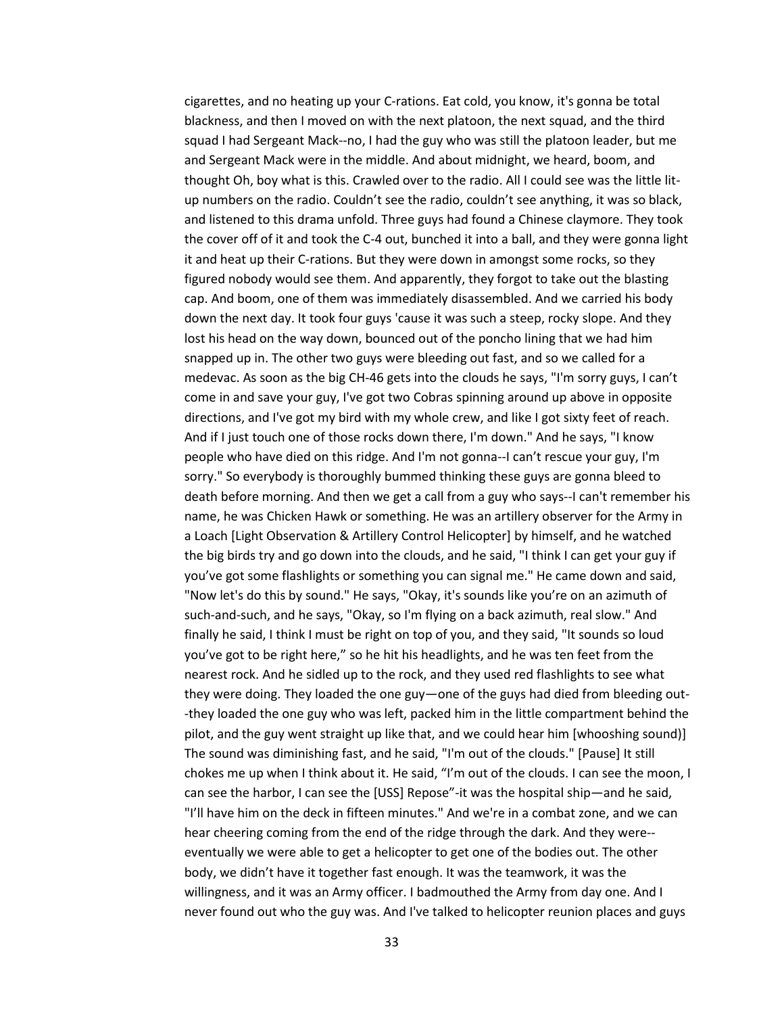cigarettes, and no heating up your C-rations. Eat cold, you know, it's gonna be total blackness, and then I moved on with the next platoon, the next squad, and the third squad I had Sergeant Mack--no, I had the guy who was still the platoon leader, but me and Sergeant Mack were in the middle. And about midnight, we heard, boom, and thought Oh, boy what is this. Crawled over to the radio. All I could see was the little litup numbers on the radio. Couldn't see the radio, couldn't see anything, it was so black, and listened to this drama unfold. Three guys had found a Chinese claymore. They took the cover off of it and took the C-4 out, bunched it into a ball, and they were gonna light it and heat up their C-rations. But they were down in amongst some rocks, so they figured nobody would see them. And apparently, they forgot to take out the blasting cap. And boom, one of them was immediately disassembled. And we carried his body down the next day. It took four guys 'cause it was such a steep, rocky slope. And they lost his head on the way down, bounced out of the poncho lining that we had him snapped up in. The other two guys were bleeding out fast, and so we called for a medevac. As soon as the big CH-46 gets into the clouds he says, "I'm sorry guys, I can't come in and save your guy, I've got two Cobras spinning around up above in opposite directions, and I've got my bird with my whole crew, and like I got sixty feet of reach. And if I just touch one of those rocks down there, I'm down." And he says, "I know people who have died on this ridge. And I'm not gonna--I can't rescue your guy, I'm sorry." So everybody is thoroughly bummed thinking these guys are gonna bleed to death before morning. And then we get a call from a guy who says--I can't remember his name, he was Chicken Hawk or something. He was an artillery observer for the Army in a Loach [Light Observation & Artillery Control Helicopter] by himself, and he watched the big birds try and go down into the clouds, and he said, "I think I can get your guy if you've got some flashlights or something you can signal me." He came down and said, "Now let's do this by sound." He says, "Okay, it's sounds like you're on an azimuth of such-and-such, and he says, "Okay, so I'm flying on a back azimuth, real slow." And finally he said, I think I must be right on top of you, and they said, "It sounds so loud you've got to be right here," so he hit his headlights, and he was ten feet from the nearest rock. And he sidled up to the rock, and they used red flashlights to see what they were doing. They loaded the one guy—one of the guys had died from bleeding out- -they loaded the one guy who was left, packed him in the little compartment behind the pilot, and the guy went straight up like that, and we could hear him [whooshing sound)] The sound was diminishing fast, and he said, "I'm out of the clouds." [Pause] It still chokes me up when I think about it. He said, "I'm out of the clouds. I can see the moon, I can see the harbor, I can see the [USS] Repose"-it was the hospital ship—and he said, "I'll have him on the deck in fifteen minutes." And we're in a combat zone, and we can hear cheering coming from the end of the ridge through the dark. And they were- eventually we were able to get a helicopter to get one of the bodies out. The other body, we didn't have it together fast enough. It was the teamwork, it was the willingness, and it was an Army officer. I badmouthed the Army from day one. And I never found out who the guy was. And I've talked to helicopter reunion places and guys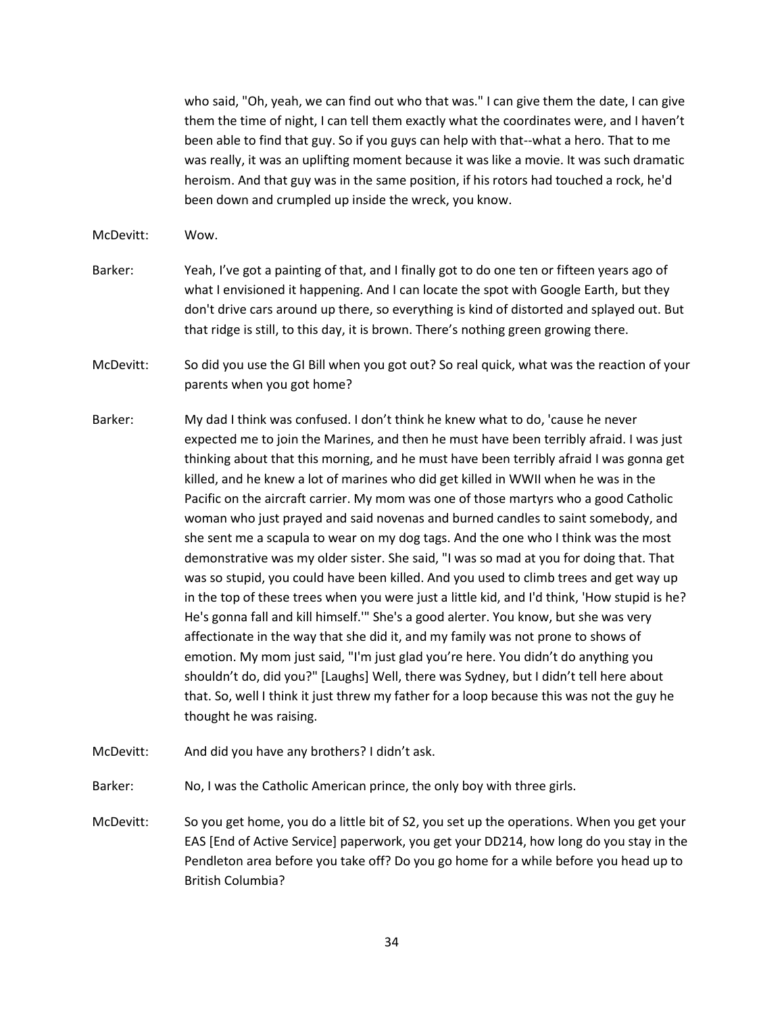who said, "Oh, yeah, we can find out who that was." I can give them the date, I can give them the time of night, I can tell them exactly what the coordinates were, and I haven't been able to find that guy. So if you guys can help with that--what a hero. That to me was really, it was an uplifting moment because it was like a movie. It was such dramatic heroism. And that guy was in the same position, if his rotors had touched a rock, he'd been down and crumpled up inside the wreck, you know.

McDevitt: Wow.

Barker: Yeah, I've got a painting of that, and I finally got to do one ten or fifteen years ago of what I envisioned it happening. And I can locate the spot with Google Earth, but they don't drive cars around up there, so everything is kind of distorted and splayed out. But that ridge is still, to this day, it is brown. There's nothing green growing there.

McDevitt: So did you use the GI Bill when you got out? So real quick, what was the reaction of your parents when you got home?

Barker: My dad I think was confused. I don't think he knew what to do, 'cause he never expected me to join the Marines, and then he must have been terribly afraid. I was just thinking about that this morning, and he must have been terribly afraid I was gonna get killed, and he knew a lot of marines who did get killed in WWII when he was in the Pacific on the aircraft carrier. My mom was one of those martyrs who a good Catholic woman who just prayed and said novenas and burned candles to saint somebody, and she sent me a scapula to wear on my dog tags. And the one who I think was the most demonstrative was my older sister. She said, "I was so mad at you for doing that. That was so stupid, you could have been killed. And you used to climb trees and get way up in the top of these trees when you were just a little kid, and I'd think, 'How stupid is he? He's gonna fall and kill himself.'" She's a good alerter. You know, but she was very affectionate in the way that she did it, and my family was not prone to shows of emotion. My mom just said, "I'm just glad you're here. You didn't do anything you shouldn't do, did you?" [Laughs] Well, there was Sydney, but I didn't tell here about that. So, well I think it just threw my father for a loop because this was not the guy he thought he was raising.

McDevitt: And did you have any brothers? I didn't ask.

Barker: No, I was the Catholic American prince, the only boy with three girls.

McDevitt: So you get home, you do a little bit of S2, you set up the operations. When you get your EAS [End of Active Service] paperwork, you get your DD214, how long do you stay in the Pendleton area before you take off? Do you go home for a while before you head up to British Columbia?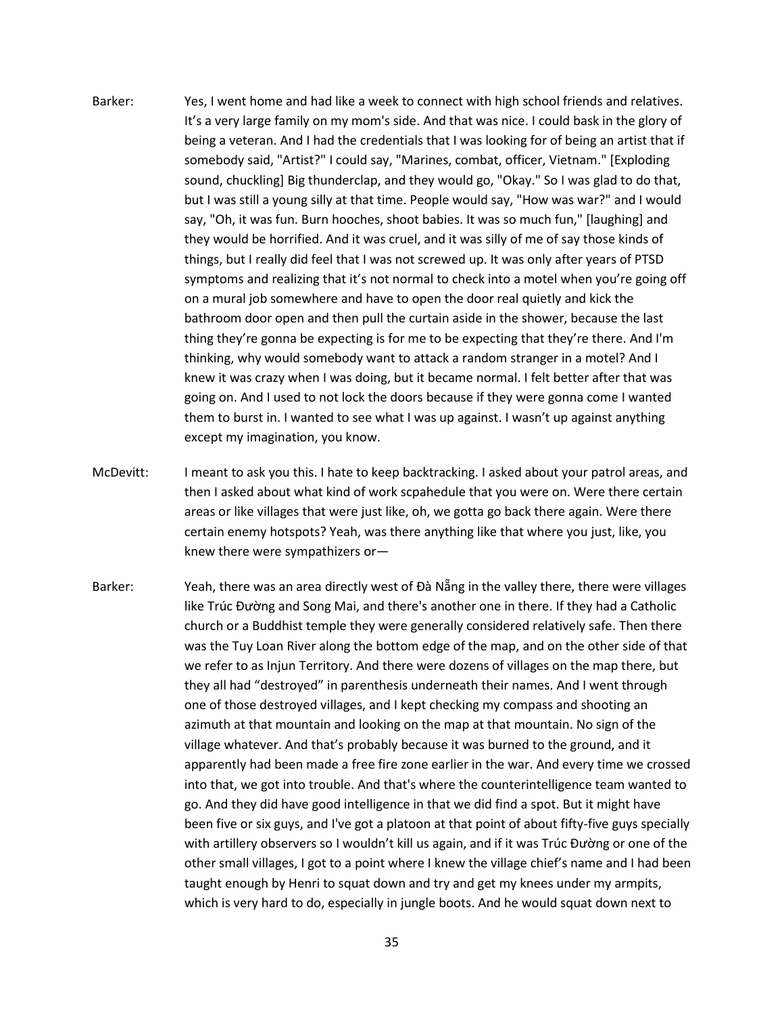- Barker: Yes, I went home and had like a week to connect with high school friends and relatives. It's a very large family on my mom's side. And that was nice. I could bask in the glory of being a veteran. And I had the credentials that I was looking for of being an artist that if somebody said, "Artist?" I could say, "Marines, combat, officer, Vietnam." [Exploding sound, chuckling] Big thunderclap, and they would go, "Okay." So I was glad to do that, but I was still a young silly at that time. People would say, "How was war?" and I would say, "Oh, it was fun. Burn hooches, shoot babies. It was so much fun," [laughing] and they would be horrified. And it was cruel, and it was silly of me of say those kinds of things, but I really did feel that I was not screwed up. It was only after years of PTSD symptoms and realizing that it's not normal to check into a motel when you're going off on a mural job somewhere and have to open the door real quietly and kick the bathroom door open and then pull the curtain aside in the shower, because the last thing they're gonna be expecting is for me to be expecting that they're there. And I'm thinking, why would somebody want to attack a random stranger in a motel? And I knew it was crazy when I was doing, but it became normal. I felt better after that was going on. And I used to not lock the doors because if they were gonna come I wanted them to burst in. I wanted to see what I was up against. I wasn't up against anything except my imagination, you know.
- McDevitt: I meant to ask you this. I hate to keep backtracking. I asked about your patrol areas, and then I asked about what kind of work scpahedule that you were on. Were there certain areas or like villages that were just like, oh, we gotta go back there again. Were there certain enemy hotspots? Yeah, was there anything like that where you just, like, you knew there were sympathizers or—
- Barker: Yeah, there was an area directly west of Đà Nẵng in the valley there, there were villages like Trúc Đường and Song Mai, and there's another one in there. If they had a Catholic church or a Buddhist temple they were generally considered relatively safe. Then there was the Tuy Loan River along the bottom edge of the map, and on the other side of that we refer to as Injun Territory. And there were dozens of villages on the map there, but they all had "destroyed" in parenthesis underneath their names. And I went through one of those destroyed villages, and I kept checking my compass and shooting an azimuth at that mountain and looking on the map at that mountain. No sign of the village whatever. And that's probably because it was burned to the ground, and it apparently had been made a free fire zone earlier in the war. And every time we crossed into that, we got into trouble. And that's where the counterintelligence team wanted to go. And they did have good intelligence in that we did find a spot. But it might have been five or six guys, and I've got a platoon at that point of about fifty-five guys specially with artillery observers so I wouldn't kill us again, and if it was Trúc Đường or one of the other small villages, I got to a point where I knew the village chief's name and I had been taught enough by Henri to squat down and try and get my knees under my armpits, which is very hard to do, especially in jungle boots. And he would squat down next to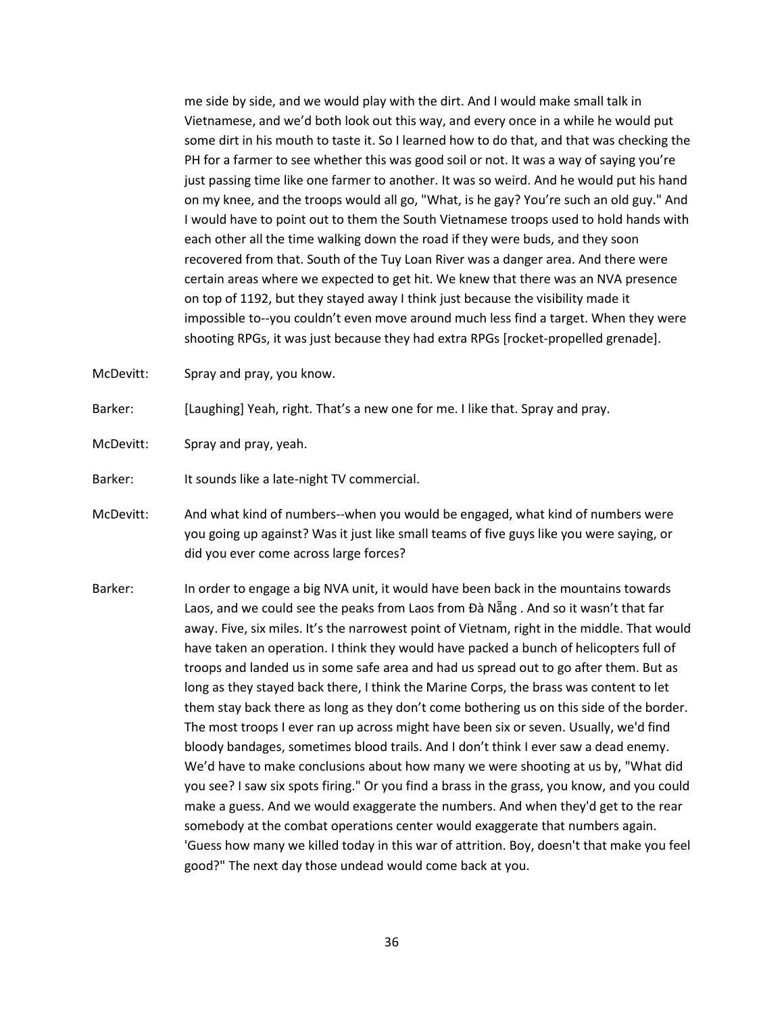me side by side, and we would play with the dirt. And I would make small talk in Vietnamese, and we'd both look out this way, and every once in a while he would put some dirt in his mouth to taste it. So I learned how to do that, and that was checking the PH for a farmer to see whether this was good soil or not. It was a way of saying you're just passing time like one farmer to another. It was so weird. And he would put his hand on my knee, and the troops would all go, "What, is he gay? You're such an old guy." And I would have to point out to them the South Vietnamese troops used to hold hands with each other all the time walking down the road if they were buds, and they soon recovered from that. South of the Tuy Loan River was a danger area. And there were certain areas where we expected to get hit. We knew that there was an NVA presence on top of 1192, but they stayed away I think just because the visibility made it impossible to--you couldn't even move around much less find a target. When they were shooting RPGs, it was just because they had extra RPGs [rocket-propelled grenade].

McDevitt: Spray and pray, you know.

Barker: [Laughing] Yeah, right. That's a new one for me. I like that. Spray and pray.

McDevitt: Spray and pray, yeah.

Barker: It sounds like a late-night TV commercial.

- McDevitt: And what kind of numbers--when you would be engaged, what kind of numbers were you going up against? Was it just like small teams of five guys like you were saying, or did you ever come across large forces?
- Barker: In order to engage a big NVA unit, it would have been back in the mountains towards Laos, and we could see the peaks from Laos from Đà Nẵng . And so it wasn't that far away. Five, six miles. It's the narrowest point of Vietnam, right in the middle. That would have taken an operation. I think they would have packed a bunch of helicopters full of troops and landed us in some safe area and had us spread out to go after them. But as long as they stayed back there, I think the Marine Corps, the brass was content to let them stay back there as long as they don't come bothering us on this side of the border. The most troops I ever ran up across might have been six or seven. Usually, we'd find bloody bandages, sometimes blood trails. And I don't think I ever saw a dead enemy. We'd have to make conclusions about how many we were shooting at us by, "What did you see? I saw six spots firing." Or you find a brass in the grass, you know, and you could make a guess. And we would exaggerate the numbers. And when they'd get to the rear somebody at the combat operations center would exaggerate that numbers again. 'Guess how many we killed today in this war of attrition. Boy, doesn't that make you feel good?" The next day those undead would come back at you.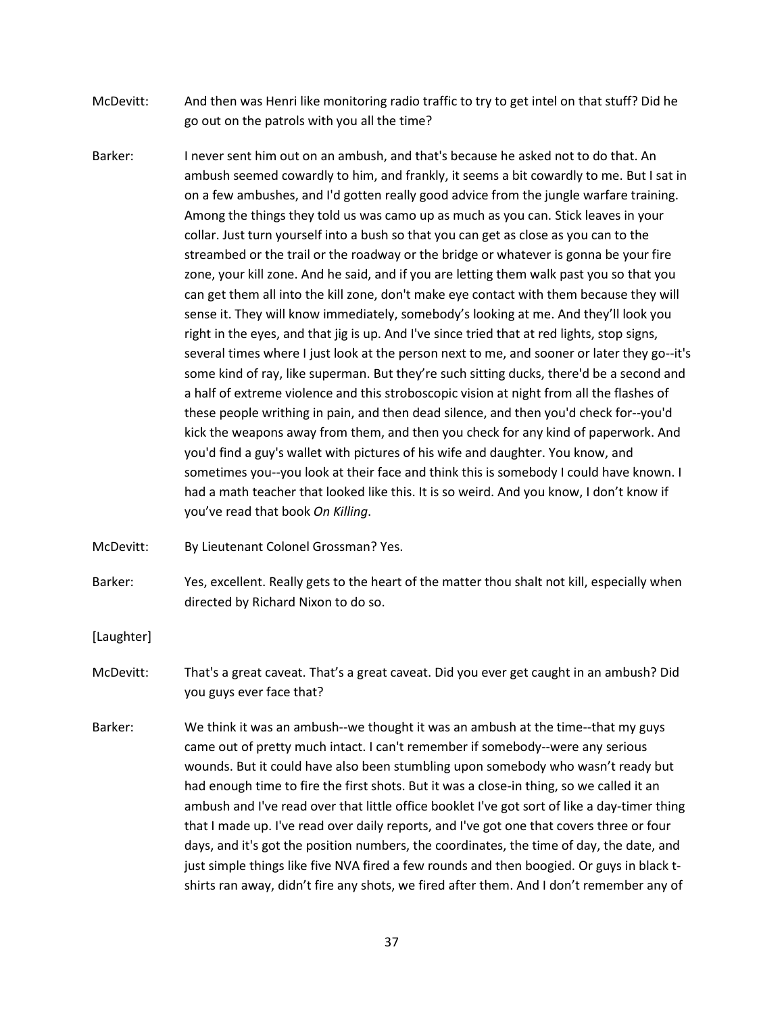- McDevitt: And then was Henri like monitoring radio traffic to try to get intel on that stuff? Did he go out on the patrols with you all the time?
- Barker: I never sent him out on an ambush, and that's because he asked not to do that. An ambush seemed cowardly to him, and frankly, it seems a bit cowardly to me. But I sat in on a few ambushes, and I'd gotten really good advice from the jungle warfare training. Among the things they told us was camo up as much as you can. Stick leaves in your collar. Just turn yourself into a bush so that you can get as close as you can to the streambed or the trail or the roadway or the bridge or whatever is gonna be your fire zone, your kill zone. And he said, and if you are letting them walk past you so that you can get them all into the kill zone, don't make eye contact with them because they will sense it. They will know immediately, somebody's looking at me. And they'll look you right in the eyes, and that jig is up. And I've since tried that at red lights, stop signs, several times where I just look at the person next to me, and sooner or later they go--it's some kind of ray, like superman. But they're such sitting ducks, there'd be a second and a half of extreme violence and this stroboscopic vision at night from all the flashes of these people writhing in pain, and then dead silence, and then you'd check for--you'd kick the weapons away from them, and then you check for any kind of paperwork. And you'd find a guy's wallet with pictures of his wife and daughter. You know, and sometimes you--you look at their face and think this is somebody I could have known. I had a math teacher that looked like this. It is so weird. And you know, I don't know if you've read that book *On Killing*.

McDevitt: By Lieutenant Colonel Grossman? Yes.

Barker: Yes, excellent. Really gets to the heart of the matter thou shalt not kill, especially when directed by Richard Nixon to do so.

[Laughter]

- McDevitt: That's a great caveat. That's a great caveat. Did you ever get caught in an ambush? Did you guys ever face that?
- Barker: We think it was an ambush--we thought it was an ambush at the time--that my guys came out of pretty much intact. I can't remember if somebody--were any serious wounds. But it could have also been stumbling upon somebody who wasn't ready but had enough time to fire the first shots. But it was a close-in thing, so we called it an ambush and I've read over that little office booklet I've got sort of like a day-timer thing that I made up. I've read over daily reports, and I've got one that covers three or four days, and it's got the position numbers, the coordinates, the time of day, the date, and just simple things like five NVA fired a few rounds and then boogied. Or guys in black tshirts ran away, didn't fire any shots, we fired after them. And I don't remember any of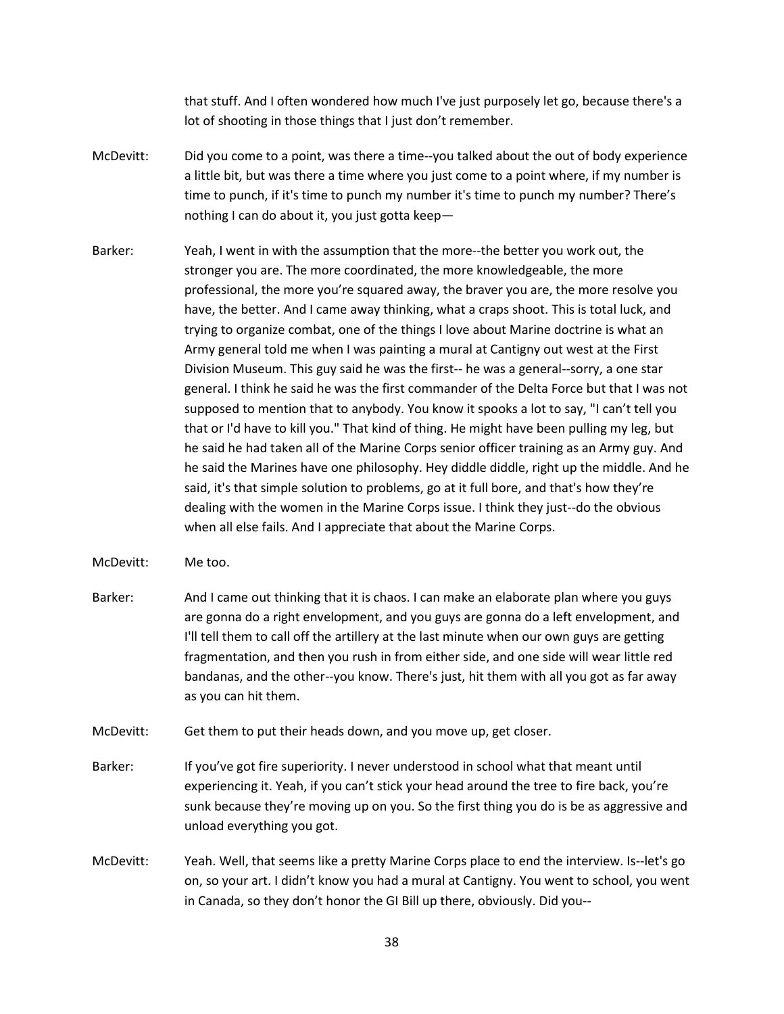that stuff. And I often wondered how much I've just purposely let go, because there's a lot of shooting in those things that I just don't remember.

- McDevitt: Did you come to a point, was there a time--you talked about the out of body experience a little bit, but was there a time where you just come to a point where, if my number is time to punch, if it's time to punch my number it's time to punch my number? There's nothing I can do about it, you just gotta keep—
- Barker: Yeah, I went in with the assumption that the more--the better you work out, the stronger you are. The more coordinated, the more knowledgeable, the more professional, the more you're squared away, the braver you are, the more resolve you have, the better. And I came away thinking, what a craps shoot. This is total luck, and trying to organize combat, one of the things I love about Marine doctrine is what an Army general told me when I was painting a mural at Cantigny out west at the First Division Museum. This guy said he was the first-- he was a general--sorry, a one star general. I think he said he was the first commander of the Delta Force but that I was not supposed to mention that to anybody. You know it spooks a lot to say, "I can't tell you that or I'd have to kill you." That kind of thing. He might have been pulling my leg, but he said he had taken all of the Marine Corps senior officer training as an Army guy. And he said the Marines have one philosophy. Hey diddle diddle, right up the middle. And he said, it's that simple solution to problems, go at it full bore, and that's how they're dealing with the women in the Marine Corps issue. I think they just--do the obvious when all else fails. And I appreciate that about the Marine Corps.
- McDevitt: Me too.
- Barker: And I came out thinking that it is chaos. I can make an elaborate plan where you guys are gonna do a right envelopment, and you guys are gonna do a left envelopment, and I'll tell them to call off the artillery at the last minute when our own guys are getting fragmentation, and then you rush in from either side, and one side will wear little red bandanas, and the other--you know. There's just, hit them with all you got as far away as you can hit them.
- McDevitt: Get them to put their heads down, and you move up, get closer.
- Barker: If you've got fire superiority. I never understood in school what that meant until experiencing it. Yeah, if you can't stick your head around the tree to fire back, you're sunk because they're moving up on you. So the first thing you do is be as aggressive and unload everything you got.
- McDevitt: Yeah. Well, that seems like a pretty Marine Corps place to end the interview. Is--let's go on, so your art. I didn't know you had a mural at Cantigny. You went to school, you went in Canada, so they don't honor the GI Bill up there, obviously. Did you--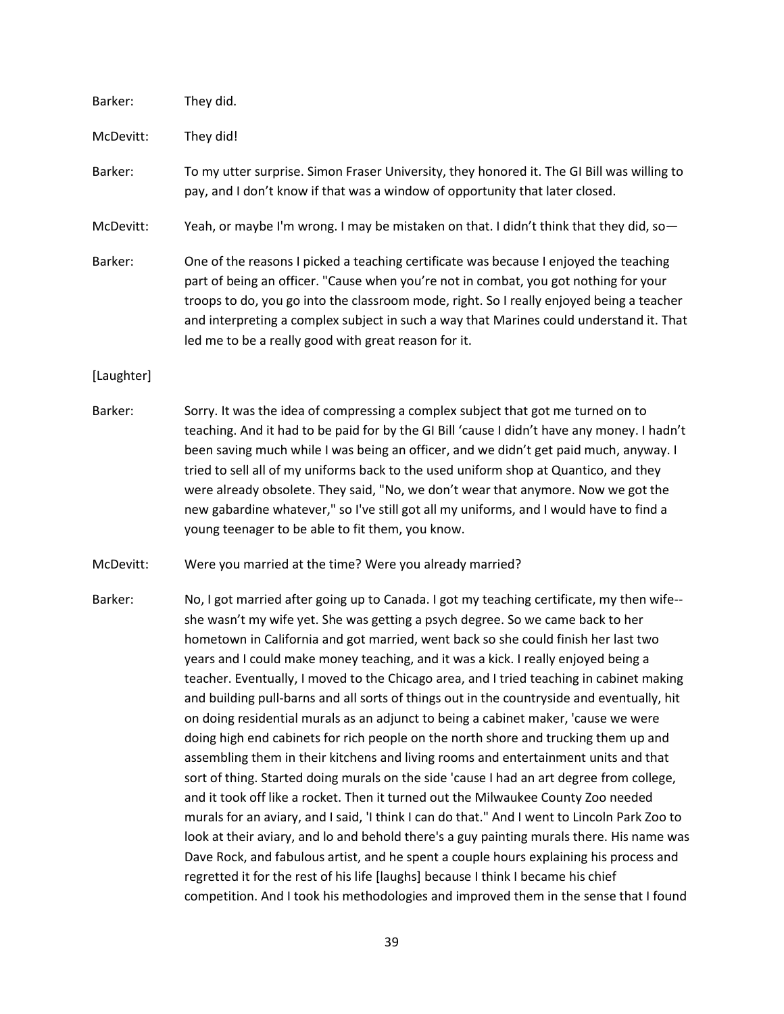| Barker:    | They did.                                                                                                                                                                                                                                                                                                                                                                                                                                                                                                                                                                                           |
|------------|-----------------------------------------------------------------------------------------------------------------------------------------------------------------------------------------------------------------------------------------------------------------------------------------------------------------------------------------------------------------------------------------------------------------------------------------------------------------------------------------------------------------------------------------------------------------------------------------------------|
| McDevitt:  | They did!                                                                                                                                                                                                                                                                                                                                                                                                                                                                                                                                                                                           |
| Barker:    | To my utter surprise. Simon Fraser University, they honored it. The GI Bill was willing to<br>pay, and I don't know if that was a window of opportunity that later closed.                                                                                                                                                                                                                                                                                                                                                                                                                          |
| McDevitt:  | Yeah, or maybe I'm wrong. I may be mistaken on that. I didn't think that they did, so-                                                                                                                                                                                                                                                                                                                                                                                                                                                                                                              |
| Barker:    | One of the reasons I picked a teaching certificate was because I enjoyed the teaching<br>part of being an officer. "Cause when you're not in combat, you got nothing for your<br>troops to do, you go into the classroom mode, right. So I really enjoyed being a teacher<br>and interpreting a complex subject in such a way that Marines could understand it. That<br>led me to be a really good with great reason for it.                                                                                                                                                                        |
| [Laughter] |                                                                                                                                                                                                                                                                                                                                                                                                                                                                                                                                                                                                     |
| Barker:    | Sorry. It was the idea of compressing a complex subject that got me turned on to<br>teaching. And it had to be paid for by the GI Bill 'cause I didn't have any money. I hadn't<br>been saving much while I was being an officer, and we didn't get paid much, anyway. I<br>tried to sell all of my uniforms back to the used uniform shop at Quantico, and they<br>were already obsolete. They said, "No, we don't wear that anymore. Now we got the<br>new gabardine whatever," so I've still got all my uniforms, and I would have to find a<br>young teenager to be able to fit them, you know. |

McDevitt: Were you married at the time? Were you already married?

Barker: No, I got married after going up to Canada. I got my teaching certificate, my then wife-she wasn't my wife yet. She was getting a psych degree. So we came back to her hometown in California and got married, went back so she could finish her last two years and I could make money teaching, and it was a kick. I really enjoyed being a teacher. Eventually, I moved to the Chicago area, and I tried teaching in cabinet making and building pull-barns and all sorts of things out in the countryside and eventually, hit on doing residential murals as an adjunct to being a cabinet maker, 'cause we were doing high end cabinets for rich people on the north shore and trucking them up and assembling them in their kitchens and living rooms and entertainment units and that sort of thing. Started doing murals on the side 'cause I had an art degree from college, and it took off like a rocket. Then it turned out the Milwaukee County Zoo needed murals for an aviary, and I said, 'I think I can do that." And I went to Lincoln Park Zoo to look at their aviary, and lo and behold there's a guy painting murals there. His name was Dave Rock, and fabulous artist, and he spent a couple hours explaining his process and regretted it for the rest of his life [laughs] because I think I became his chief competition. And I took his methodologies and improved them in the sense that I found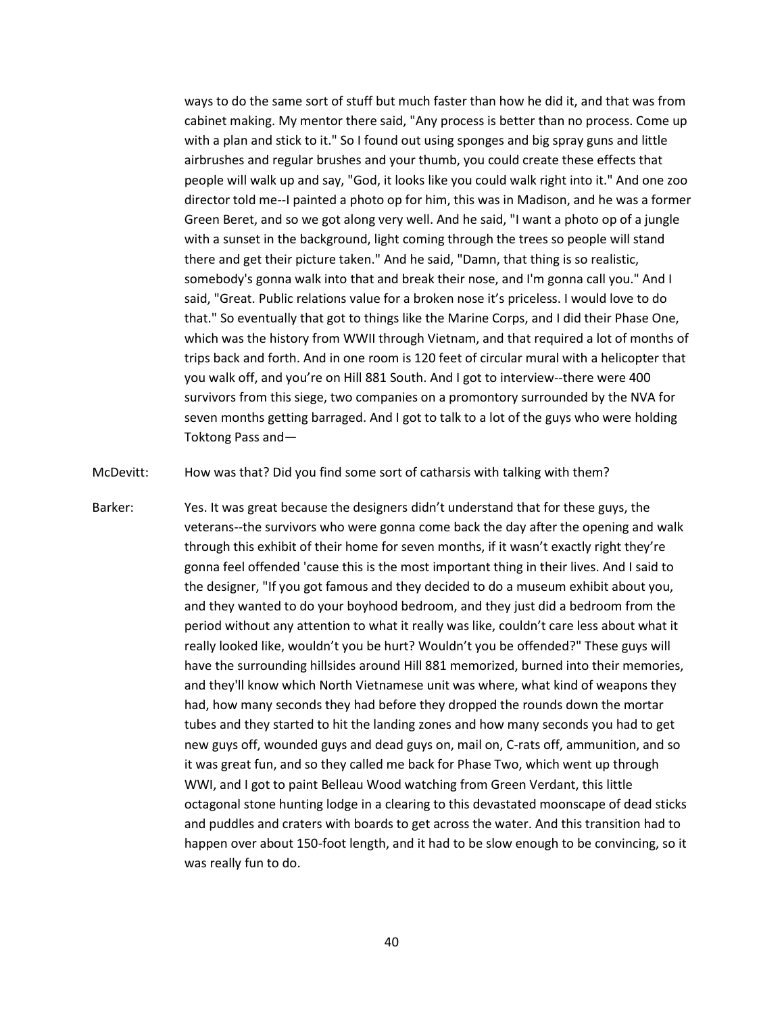ways to do the same sort of stuff but much faster than how he did it, and that was from cabinet making. My mentor there said, "Any process is better than no process. Come up with a plan and stick to it." So I found out using sponges and big spray guns and little airbrushes and regular brushes and your thumb, you could create these effects that people will walk up and say, "God, it looks like you could walk right into it." And one zoo director told me--I painted a photo op for him, this was in Madison, and he was a former Green Beret, and so we got along very well. And he said, "I want a photo op of a jungle with a sunset in the background, light coming through the trees so people will stand there and get their picture taken." And he said, "Damn, that thing is so realistic, somebody's gonna walk into that and break their nose, and I'm gonna call you." And I said, "Great. Public relations value for a broken nose it's priceless. I would love to do that." So eventually that got to things like the Marine Corps, and I did their Phase One, which was the history from WWII through Vietnam, and that required a lot of months of trips back and forth. And in one room is 120 feet of circular mural with a helicopter that you walk off, and you're on Hill 881 South. And I got to interview--there were 400 survivors from this siege, two companies on a promontory surrounded by the NVA for seven months getting barraged. And I got to talk to a lot of the guys who were holding Toktong Pass and—

McDevitt: How was that? Did you find some sort of catharsis with talking with them?

Barker: Yes. It was great because the designers didn't understand that for these guys, the veterans--the survivors who were gonna come back the day after the opening and walk through this exhibit of their home for seven months, if it wasn't exactly right they're gonna feel offended 'cause this is the most important thing in their lives. And I said to the designer, "If you got famous and they decided to do a museum exhibit about you, and they wanted to do your boyhood bedroom, and they just did a bedroom from the period without any attention to what it really was like, couldn't care less about what it really looked like, wouldn't you be hurt? Wouldn't you be offended?" These guys will have the surrounding hillsides around Hill 881 memorized, burned into their memories, and they'll know which North Vietnamese unit was where, what kind of weapons they had, how many seconds they had before they dropped the rounds down the mortar tubes and they started to hit the landing zones and how many seconds you had to get new guys off, wounded guys and dead guys on, mail on, C-rats off, ammunition, and so it was great fun, and so they called me back for Phase Two, which went up through WWI, and I got to paint Belleau Wood watching from Green Verdant, this little octagonal stone hunting lodge in a clearing to this devastated moonscape of dead sticks and puddles and craters with boards to get across the water. And this transition had to happen over about 150-foot length, and it had to be slow enough to be convincing, so it was really fun to do.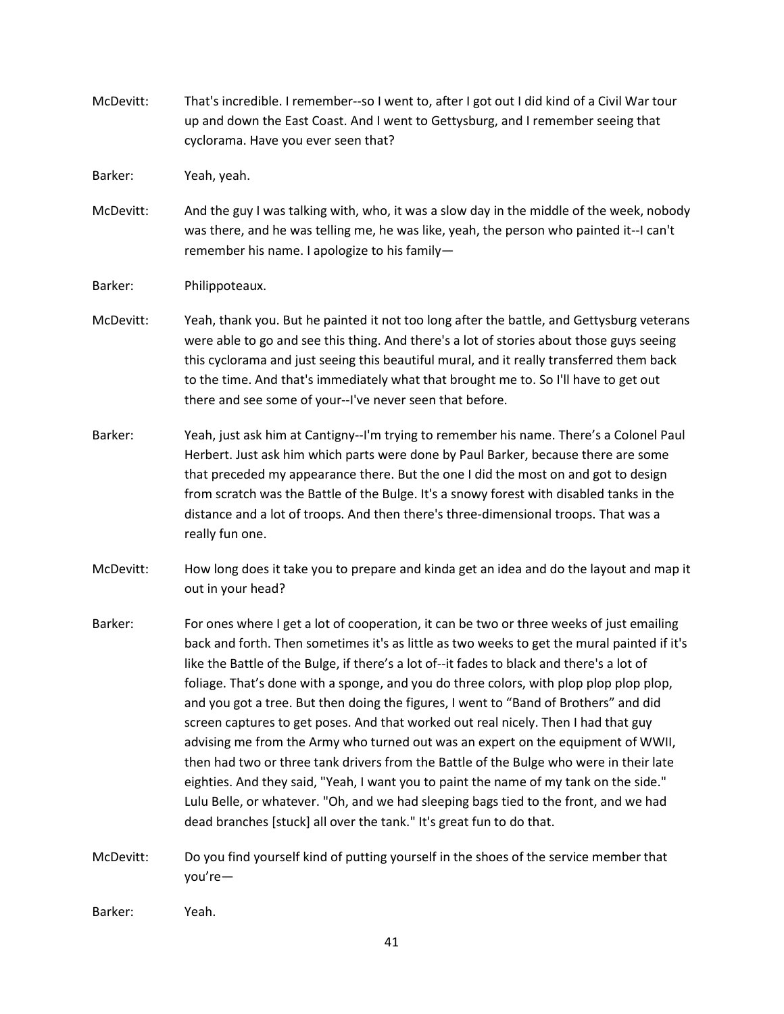McDevitt: That's incredible. I remember--so I went to, after I got out I did kind of a Civil War tour up and down the East Coast. And I went to Gettysburg, and I remember seeing that cyclorama. Have you ever seen that?

Barker: Yeah, yeah.

McDevitt: And the guy I was talking with, who, it was a slow day in the middle of the week, nobody was there, and he was telling me, he was like, yeah, the person who painted it--I can't remember his name. I apologize to his family—

Barker: Philippoteaux.

- McDevitt: Yeah, thank you. But he painted it not too long after the battle, and Gettysburg veterans were able to go and see this thing. And there's a lot of stories about those guys seeing this cyclorama and just seeing this beautiful mural, and it really transferred them back to the time. And that's immediately what that brought me to. So I'll have to get out there and see some of your--I've never seen that before.
- Barker: Yeah, just ask him at Cantigny--I'm trying to remember his name. There's a Colonel Paul Herbert. Just ask him which parts were done by Paul Barker, because there are some that preceded my appearance there. But the one I did the most on and got to design from scratch was the Battle of the Bulge. It's a snowy forest with disabled tanks in the distance and a lot of troops. And then there's three-dimensional troops. That was a really fun one.
- McDevitt: How long does it take you to prepare and kinda get an idea and do the layout and map it out in your head?
- Barker: For ones where I get a lot of cooperation, it can be two or three weeks of just emailing back and forth. Then sometimes it's as little as two weeks to get the mural painted if it's like the Battle of the Bulge, if there's a lot of--it fades to black and there's a lot of foliage. That's done with a sponge, and you do three colors, with plop plop plop plop, and you got a tree. But then doing the figures, I went to "Band of Brothers" and did screen captures to get poses. And that worked out real nicely. Then I had that guy advising me from the Army who turned out was an expert on the equipment of WWII, then had two or three tank drivers from the Battle of the Bulge who were in their late eighties. And they said, "Yeah, I want you to paint the name of my tank on the side." Lulu Belle, or whatever. "Oh, and we had sleeping bags tied to the front, and we had dead branches [stuck] all over the tank." It's great fun to do that.

McDevitt: Do you find yourself kind of putting yourself in the shoes of the service member that you're—

Barker: Yeah.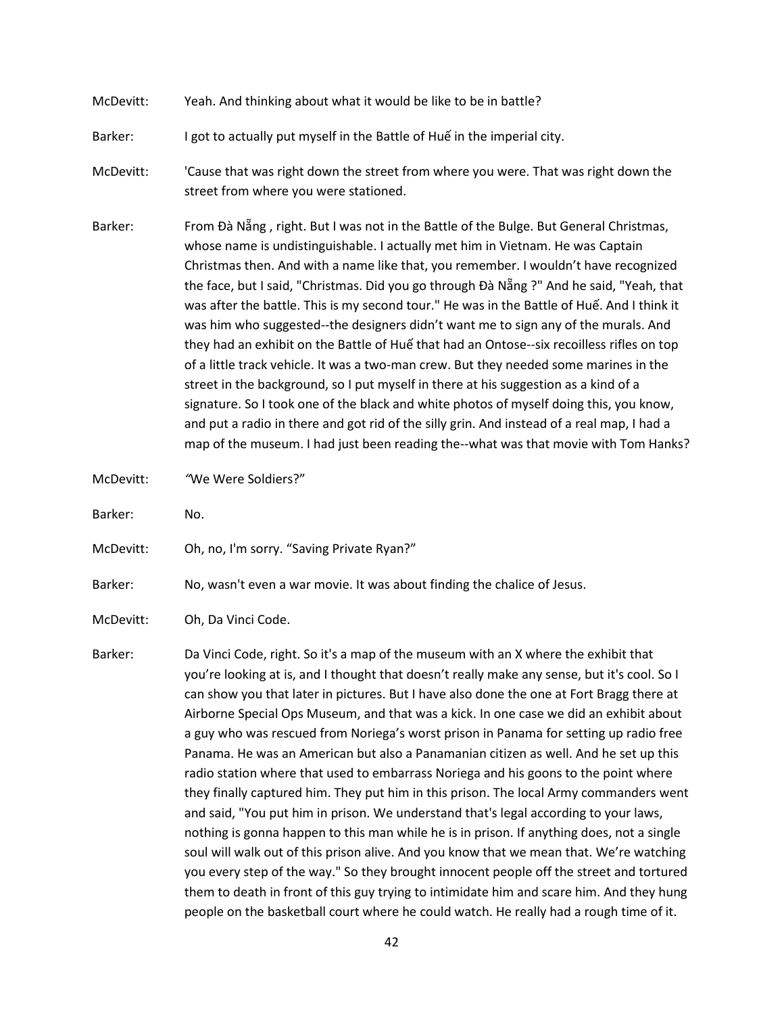- McDevitt: Yeah. And thinking about what it would be like to be in battle?
- Barker: I got to actually put myself in the Battle of Huế in the imperial city.
- McDevitt: 'Cause that was right down the street from where you were. That was right down the street from where you were stationed.
- Barker: From Đà Nẵng, right. But I was not in the Battle of the Bulge. But General Christmas, whose name is undistinguishable. I actually met him in Vietnam. He was Captain Christmas then. And with a name like that, you remember. I wouldn't have recognized the face, but I said, "Christmas. Did you go through Đà Nẵng ?" And he said, "Yeah, that was after the battle. This is my second tour." He was in the Battle of Huế. And I think it was him who suggested--the designers didn't want me to sign any of the murals. And they had an exhibit on the Battle of Huế that had an Ontose--six recoilless rifles on top of a little track vehicle. It was a two-man crew. But they needed some marines in the street in the background, so I put myself in there at his suggestion as a kind of a signature. So I took one of the black and white photos of myself doing this, you know, and put a radio in there and got rid of the silly grin. And instead of a real map, I had a map of the museum. I had just been reading the--what was that movie with Tom Hanks?
- McDevitt: *"*We Were Soldiers?"
- Barker: No.
- McDevitt: Oh, no, I'm sorry. "Saving Private Ryan?"
- Barker: No, wasn't even a war movie. It was about finding the chalice of Jesus.
- McDevitt: Oh, Da Vinci Code.
- Barker: Da Vinci Code, right. So it's a map of the museum with an X where the exhibit that you're looking at is, and I thought that doesn't really make any sense, but it's cool. So I can show you that later in pictures. But I have also done the one at Fort Bragg there at Airborne Special Ops Museum, and that was a kick. In one case we did an exhibit about a guy who was rescued from Noriega's worst prison in Panama for setting up radio free Panama. He was an American but also a Panamanian citizen as well. And he set up this radio station where that used to embarrass Noriega and his goons to the point where they finally captured him. They put him in this prison. The local Army commanders went and said, "You put him in prison. We understand that's legal according to your laws, nothing is gonna happen to this man while he is in prison. If anything does, not a single soul will walk out of this prison alive. And you know that we mean that. We're watching you every step of the way." So they brought innocent people off the street and tortured them to death in front of this guy trying to intimidate him and scare him. And they hung people on the basketball court where he could watch. He really had a rough time of it.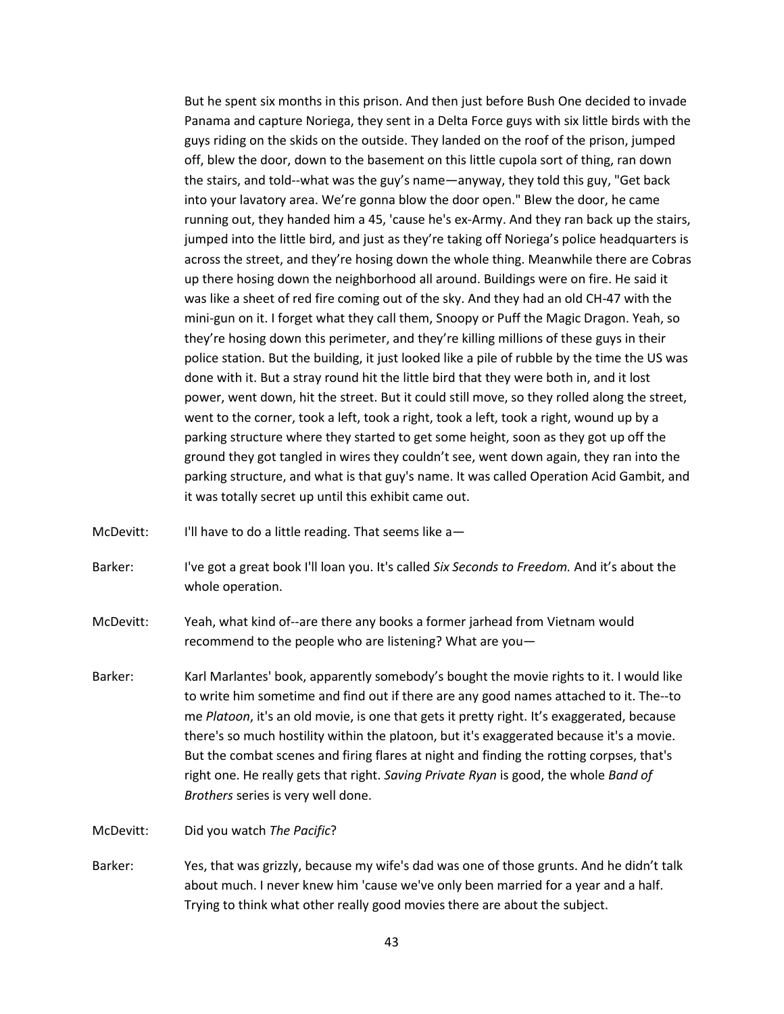But he spent six months in this prison. And then just before Bush One decided to invade Panama and capture Noriega, they sent in a Delta Force guys with six little birds with the guys riding on the skids on the outside. They landed on the roof of the prison, jumped off, blew the door, down to the basement on this little cupola sort of thing, ran down the stairs, and told--what was the guy's name—anyway, they told this guy, "Get back into your lavatory area. We're gonna blow the door open." Blew the door, he came running out, they handed him a 45, 'cause he's ex-Army. And they ran back up the stairs, jumped into the little bird, and just as they're taking off Noriega's police headquarters is across the street, and they're hosing down the whole thing. Meanwhile there are Cobras up there hosing down the neighborhood all around. Buildings were on fire. He said it was like a sheet of red fire coming out of the sky. And they had an old CH-47 with the mini-gun on it. I forget what they call them, Snoopy or Puff the Magic Dragon. Yeah, so they're hosing down this perimeter, and they're killing millions of these guys in their police station. But the building, it just looked like a pile of rubble by the time the US was done with it. But a stray round hit the little bird that they were both in, and it lost power, went down, hit the street. But it could still move, so they rolled along the street, went to the corner, took a left, took a right, took a left, took a right, wound up by a parking structure where they started to get some height, soon as they got up off the ground they got tangled in wires they couldn't see, went down again, they ran into the parking structure, and what is that guy's name. It was called Operation Acid Gambit, and it was totally secret up until this exhibit came out.

McDevitt: I'll have to do a little reading. That seems like a-

Barker: I've got a great book I'll loan you. It's called *Six Seconds to Freedom.* And it's about the whole operation.

McDevitt: Yeah, what kind of--are there any books a former jarhead from Vietnam would recommend to the people who are listening? What are you—

Barker: Karl Marlantes' book, apparently somebody's bought the movie rights to it. I would like to write him sometime and find out if there are any good names attached to it. The--to me *Platoon*, it's an old movie, is one that gets it pretty right. It's exaggerated, because there's so much hostility within the platoon, but it's exaggerated because it's a movie. But the combat scenes and firing flares at night and finding the rotting corpses, that's right one. He really gets that right. *Saving Private Ryan* is good, the whole *Band of Brothers* series is very well done.

McDevitt: Did you watch *The Pacific*?

Barker: Yes, that was grizzly, because my wife's dad was one of those grunts. And he didn't talk about much. I never knew him 'cause we've only been married for a year and a half. Trying to think what other really good movies there are about the subject.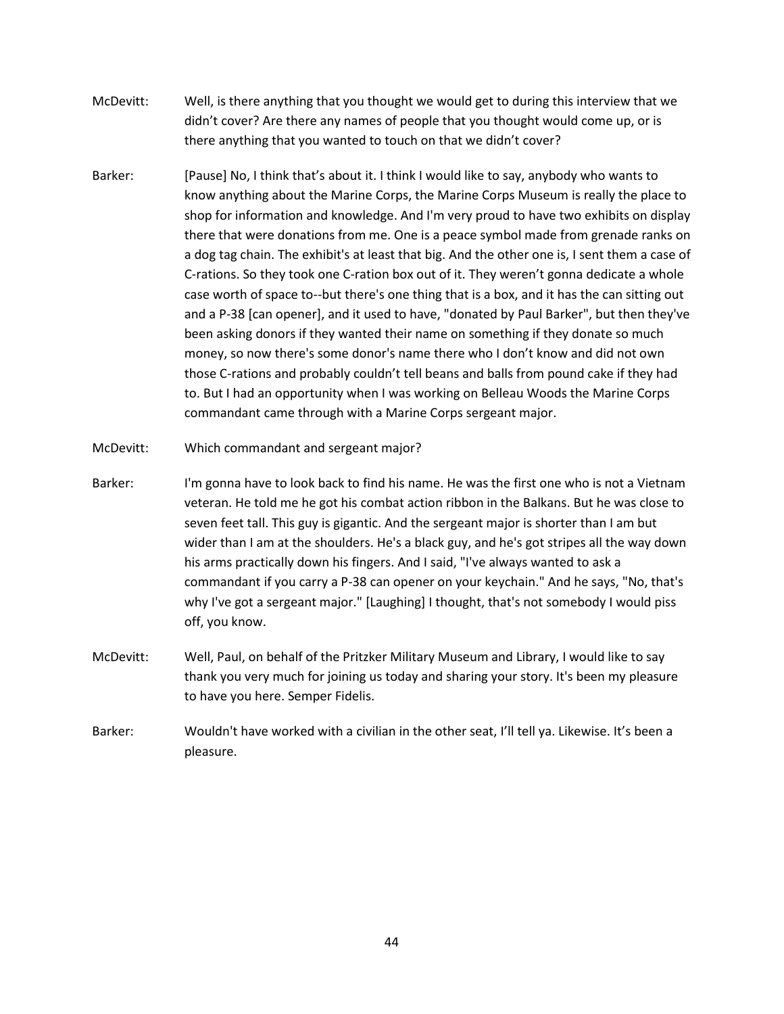- McDevitt: Well, is there anything that you thought we would get to during this interview that we didn't cover? Are there any names of people that you thought would come up, or is there anything that you wanted to touch on that we didn't cover?
- Barker: [Pause] No, I think that's about it. I think I would like to say, anybody who wants to know anything about the Marine Corps, the Marine Corps Museum is really the place to shop for information and knowledge. And I'm very proud to have two exhibits on display there that were donations from me. One is a peace symbol made from grenade ranks on a dog tag chain. The exhibit's at least that big. And the other one is, I sent them a case of C-rations. So they took one C-ration box out of it. They weren't gonna dedicate a whole case worth of space to--but there's one thing that is a box, and it has the can sitting out and a P-38 [can opener], and it used to have, "donated by Paul Barker", but then they've been asking donors if they wanted their name on something if they donate so much money, so now there's some donor's name there who I don't know and did not own those C-rations and probably couldn't tell beans and balls from pound cake if they had to. But I had an opportunity when I was working on Belleau Woods the Marine Corps commandant came through with a Marine Corps sergeant major.
- McDevitt: Which commandant and sergeant major?
- Barker: I'm gonna have to look back to find his name. He was the first one who is not a Vietnam veteran. He told me he got his combat action ribbon in the Balkans. But he was close to seven feet tall. This guy is gigantic. And the sergeant major is shorter than I am but wider than I am at the shoulders. He's a black guy, and he's got stripes all the way down his arms practically down his fingers. And I said, "I've always wanted to ask a commandant if you carry a P-38 can opener on your keychain." And he says, "No, that's why I've got a sergeant major." [Laughing] I thought, that's not somebody I would piss off, you know.
- McDevitt: Well, Paul, on behalf of the Pritzker Military Museum and Library, I would like to say thank you very much for joining us today and sharing your story. It's been my pleasure to have you here. Semper Fidelis.
- Barker: Wouldn't have worked with a civilian in the other seat, I'll tell ya. Likewise. It's been a pleasure.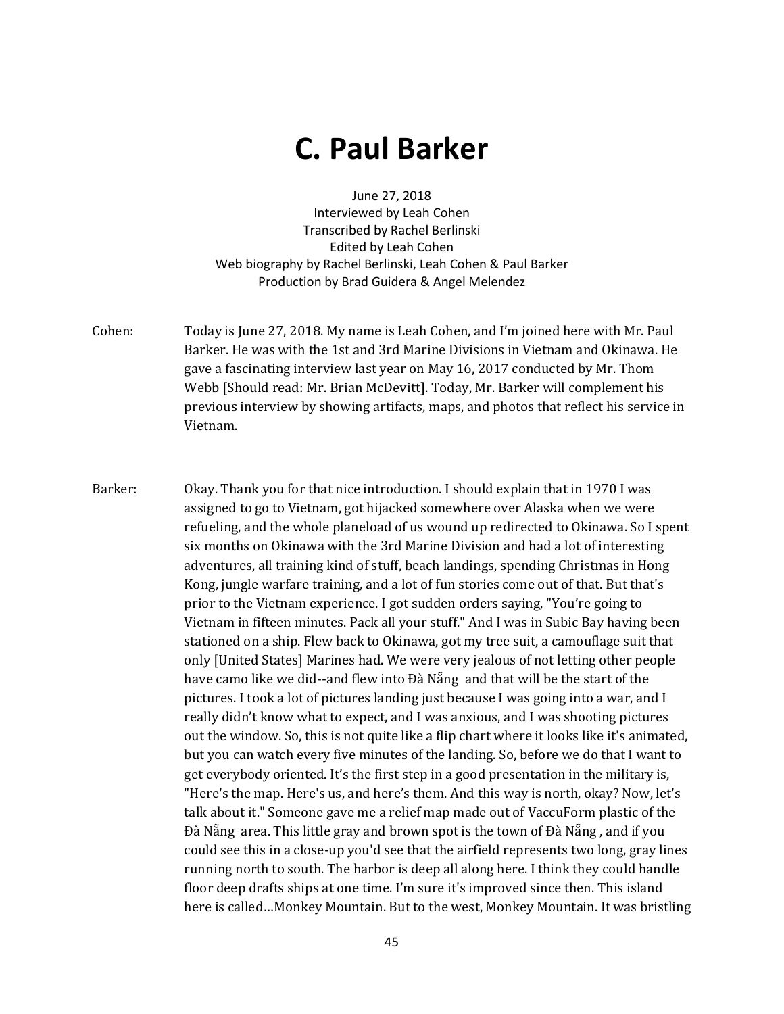# **C. Paul Barker**

June 27, 2018 Interviewed by Leah Cohen Transcribed by Rachel Berlinski Edited by Leah Cohen Web biography by Rachel Berlinski, Leah Cohen & Paul Barker Production by Brad Guidera & Angel Melendez

- Cohen: Today is June 27, 2018. My name is Leah Cohen, and I'm joined here with Mr. Paul Barker. He was with the 1st and 3rd Marine Divisions in Vietnam and Okinawa. He gave a fascinating interview last year on May 16, 2017 conducted by Mr. Thom Webb [Should read: Mr. Brian McDevitt]. Today, Mr. Barker will complement his previous interview by showing artifacts, maps, and photos that reflect his service in Vietnam.
- Barker: Okay. Thank you for that nice introduction. I should explain that in 1970 I was assigned to go to Vietnam, got hijacked somewhere over Alaska when we were refueling, and the whole planeload of us wound up redirected to Okinawa. So I spent six months on Okinawa with the 3rd Marine Division and had a lot of interesting adventures, all training kind of stuff, beach landings, spending Christmas in Hong Kong, jungle warfare training, and a lot of fun stories come out of that. But that's prior to the Vietnam experience. I got sudden orders saying, "You're going to Vietnam in fifteen minutes. Pack all your stuff." And I was in Subic Bay having been stationed on a ship. Flew back to Okinawa, got my tree suit, a camouflage suit that only [United States] Marines had. We were very jealous of not letting other people have camo like we did--and flew into Đà Nẵng and that will be the start of the pictures. I took a lot of pictures landing just because I was going into a war, and I really didn't know what to expect, and I was anxious, and I was shooting pictures out the window. So, this is not quite like a flip chart where it looks like it's animated, but you can watch every five minutes of the landing. So, before we do that I want to get everybody oriented. It's the first step in a good presentation in the military is, "Here's the map. Here's us, and here's them. And this way is north, okay? Now, let's talk about it." Someone gave me a relief map made out of VaccuForm plastic of the Đà Nẵng area. This little gray and brown spot is the town of Đà Nẵng, and if you could see this in a close-up you'd see that the airfield represents two long, gray lines running north to south. The harbor is deep all along here. I think they could handle floor deep drafts ships at one time. I'm sure it's improved since then. This island here is called…Monkey Mountain. But to the west, Monkey Mountain. It was bristling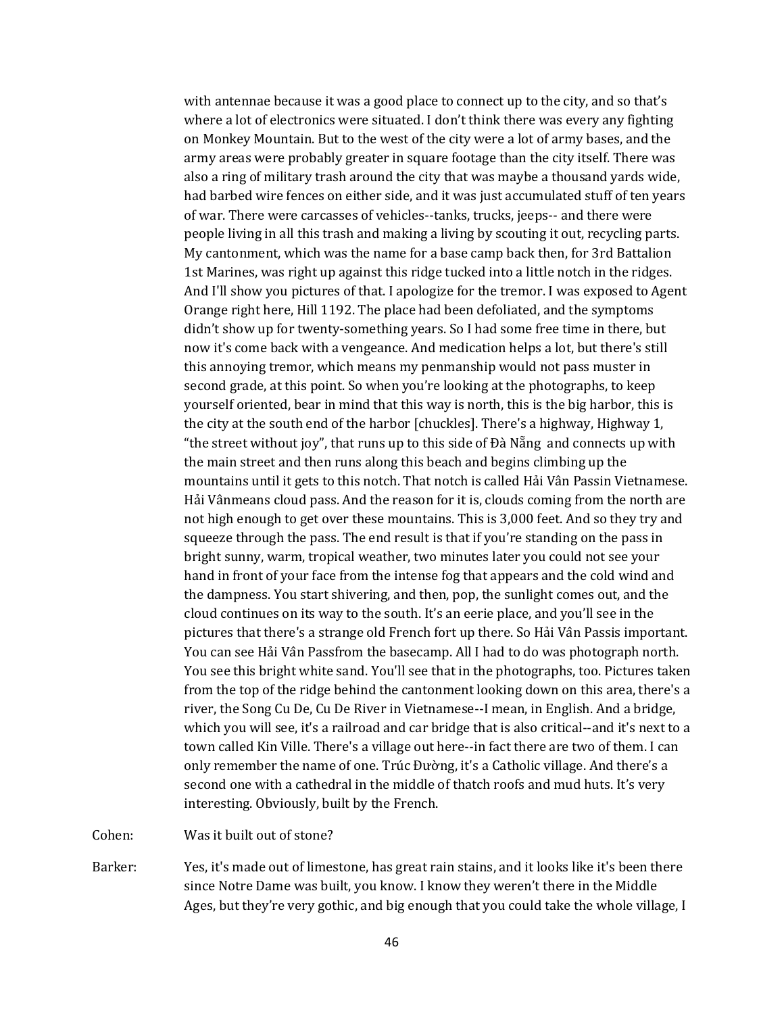with antennae because it was a good place to connect up to the city, and so that's where a lot of electronics were situated. I don't think there was every any fighting on Monkey Mountain. But to the west of the city were a lot of army bases, and the army areas were probably greater in square footage than the city itself. There was also a ring of military trash around the city that was maybe a thousand yards wide, had barbed wire fences on either side, and it was just accumulated stuff of ten years of war. There were carcasses of vehicles--tanks, trucks, jeeps-- and there were people living in all this trash and making a living by scouting it out, recycling parts. My cantonment, which was the name for a base camp back then, for 3rd Battalion 1st Marines, was right up against this ridge tucked into a little notch in the ridges. And I'll show you pictures of that. I apologize for the tremor. I was exposed to Agent Orange right here, Hill 1192. The place had been defoliated, and the symptoms didn't show up for twenty-something years. So I had some free time in there, but now it's come back with a vengeance. And medication helps a lot, but there's still this annoying tremor, which means my penmanship would not pass muster in second grade, at this point. So when you're looking at the photographs, to keep yourself oriented, bear in mind that this way is north, this is the big harbor, this is the city at the south end of the harbor [chuckles]. There's a highway, Highway 1, "the street without joy", that runs up to this side of Đà Nẵng and connects up with the main street and then runs along this beach and begins climbing up the mountains until it gets to this notch. That notch is called Hải Vân Passin Vietnamese. Hải Vânmeans cloud pass. And the reason for it is, clouds coming from the north are not high enough to get over these mountains. This is 3,000 feet. And so they try and squeeze through the pass. The end result is that if you're standing on the pass in bright sunny, warm, tropical weather, two minutes later you could not see your hand in front of your face from the intense fog that appears and the cold wind and the dampness. You start shivering, and then, pop, the sunlight comes out, and the cloud continues on its way to the south. It's an eerie place, and you'll see in the pictures that there's a strange old French fort up there. So Hải Vân Passis important. You can see Hải Vân Passfrom the basecamp. All I had to do was photograph north. You see this bright white sand. You'll see that in the photographs, too. Pictures taken from the top of the ridge behind the cantonment looking down on this area, there's a river, the Song Cu De, Cu De River in Vietnamese--I mean, in English. And a bridge, which you will see, it's a railroad and car bridge that is also critical--and it's next to a town called Kin Ville. There's a village out here--in fact there are two of them. I can only remember the name of one. Trúc Đường, it's a Catholic village. And there's a second one with a cathedral in the middle of thatch roofs and mud huts. It's very interesting. Obviously, built by the French.

Cohen: Was it built out of stone?

Barker: Yes, it's made out of limestone, has great rain stains, and it looks like it's been there since Notre Dame was built, you know. I know they weren't there in the Middle Ages, but they're very gothic, and big enough that you could take the whole village, I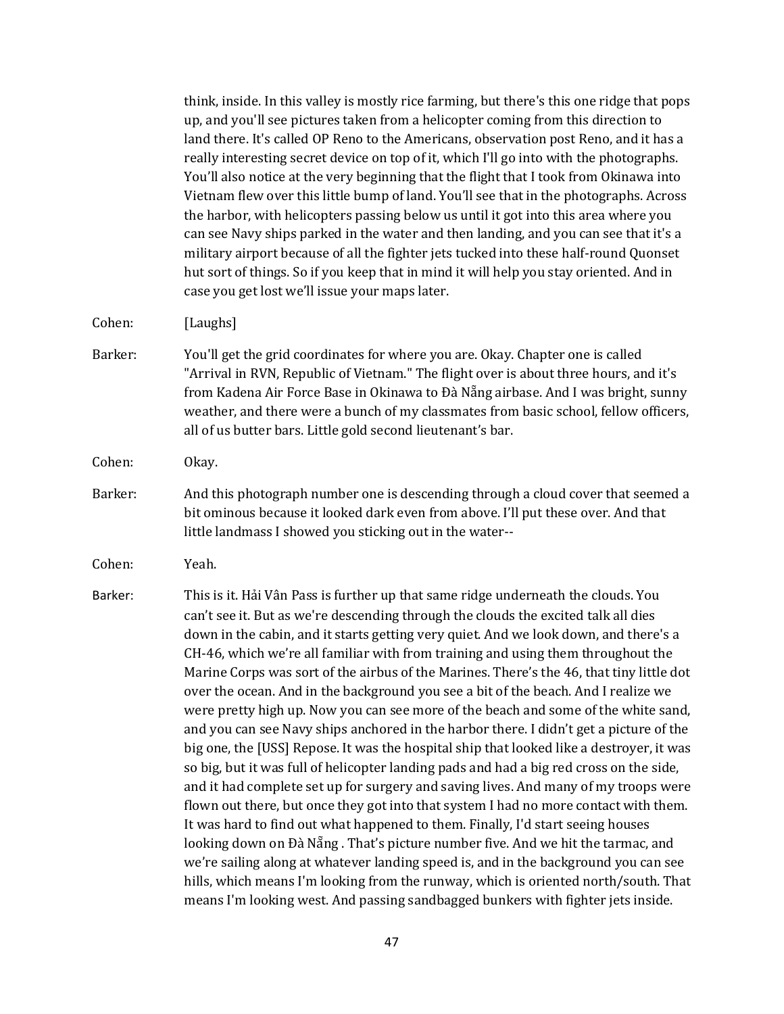|         | think, inside. In this valley is mostly rice farming, but there's this one ridge that pops<br>up, and you'll see pictures taken from a helicopter coming from this direction to<br>land there. It's called OP Reno to the Americans, observation post Reno, and it has a<br>really interesting secret device on top of it, which I'll go into with the photographs.<br>You'll also notice at the very beginning that the flight that I took from Okinawa into<br>Vietnam flew over this little bump of land. You'll see that in the photographs. Across<br>the harbor, with helicopters passing below us until it got into this area where you<br>can see Navy ships parked in the water and then landing, and you can see that it's a<br>military airport because of all the fighter jets tucked into these half-round Quonset<br>hut sort of things. So if you keep that in mind it will help you stay oriented. And in<br>case you get lost we'll issue your maps later.                                                                                                                                                                                                                                                                                                                                                                                                                                                                                                                                                          |
|---------|--------------------------------------------------------------------------------------------------------------------------------------------------------------------------------------------------------------------------------------------------------------------------------------------------------------------------------------------------------------------------------------------------------------------------------------------------------------------------------------------------------------------------------------------------------------------------------------------------------------------------------------------------------------------------------------------------------------------------------------------------------------------------------------------------------------------------------------------------------------------------------------------------------------------------------------------------------------------------------------------------------------------------------------------------------------------------------------------------------------------------------------------------------------------------------------------------------------------------------------------------------------------------------------------------------------------------------------------------------------------------------------------------------------------------------------------------------------------------------------------------------------------------------------|
| Cohen:  | [Laughs]                                                                                                                                                                                                                                                                                                                                                                                                                                                                                                                                                                                                                                                                                                                                                                                                                                                                                                                                                                                                                                                                                                                                                                                                                                                                                                                                                                                                                                                                                                                             |
| Barker: | You'll get the grid coordinates for where you are. Okay. Chapter one is called<br>"Arrival in RVN, Republic of Vietnam." The flight over is about three hours, and it's<br>from Kadena Air Force Base in Okinawa to Đà Nẵng airbase. And I was bright, sunny<br>weather, and there were a bunch of my classmates from basic school, fellow officers,<br>all of us butter bars. Little gold second lieutenant's bar.                                                                                                                                                                                                                                                                                                                                                                                                                                                                                                                                                                                                                                                                                                                                                                                                                                                                                                                                                                                                                                                                                                                  |
| Cohen:  | Okay.                                                                                                                                                                                                                                                                                                                                                                                                                                                                                                                                                                                                                                                                                                                                                                                                                                                                                                                                                                                                                                                                                                                                                                                                                                                                                                                                                                                                                                                                                                                                |
| Barker: | And this photograph number one is descending through a cloud cover that seemed a<br>bit ominous because it looked dark even from above. I'll put these over. And that<br>little landmass I showed you sticking out in the water--                                                                                                                                                                                                                                                                                                                                                                                                                                                                                                                                                                                                                                                                                                                                                                                                                                                                                                                                                                                                                                                                                                                                                                                                                                                                                                    |
| Cohen:  | Yeah.                                                                                                                                                                                                                                                                                                                                                                                                                                                                                                                                                                                                                                                                                                                                                                                                                                                                                                                                                                                                                                                                                                                                                                                                                                                                                                                                                                                                                                                                                                                                |
| Barker: | This is it. Hải Vân Pass is further up that same ridge underneath the clouds. You<br>can't see it. But as we're descending through the clouds the excited talk all dies<br>down in the cabin, and it starts getting very quiet. And we look down, and there's a<br>CH-46, which we're all familiar with from training and using them throughout the<br>Marine Corps was sort of the airbus of the Marines. There's the 46, that tiny little dot<br>over the ocean. And in the background you see a bit of the beach. And I realize we<br>were pretty high up. Now you can see more of the beach and some of the white sand,<br>and you can see Navy ships anchored in the harbor there. I didn't get a picture of the<br>big one, the [USS] Repose. It was the hospital ship that looked like a destroyer, it was<br>so big, but it was full of helicopter landing pads and had a big red cross on the side,<br>and it had complete set up for surgery and saving lives. And many of my troops were<br>flown out there, but once they got into that system I had no more contact with them.<br>It was hard to find out what happened to them. Finally, I'd start seeing houses<br>looking down on Đà Nẵng . That's picture number five. And we hit the tarmac, and<br>we're sailing along at whatever landing speed is, and in the background you can see<br>hills, which means I'm looking from the runway, which is oriented north/south. That<br>means I'm looking west. And passing sandbagged bunkers with fighter jets inside. |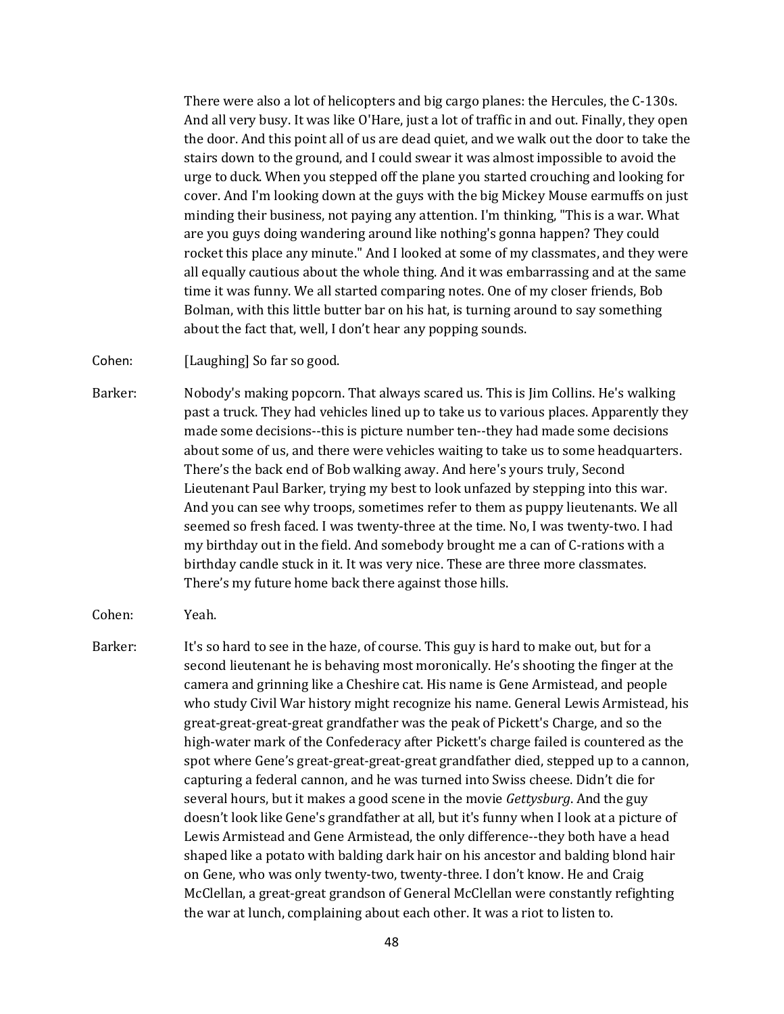There were also a lot of helicopters and big cargo planes: the Hercules, the C-130s. And all very busy. It was like O'Hare, just a lot of traffic in and out. Finally, they open the door. And this point all of us are dead quiet, and we walk out the door to take the stairs down to the ground, and I could swear it was almost impossible to avoid the urge to duck. When you stepped off the plane you started crouching and looking for cover. And I'm looking down at the guys with the big Mickey Mouse earmuffs on just minding their business, not paying any attention. I'm thinking, "This is a war. What are you guys doing wandering around like nothing's gonna happen? They could rocket this place any minute." And I looked at some of my classmates, and they were all equally cautious about the whole thing. And it was embarrassing and at the same time it was funny. We all started comparing notes. One of my closer friends, Bob Bolman, with this little butter bar on his hat, is turning around to say something about the fact that, well, I don't hear any popping sounds.

Cohen: [Laughing] So far so good.

Barker: Nobody's making popcorn. That always scared us. This is Jim Collins. He's walking past a truck. They had vehicles lined up to take us to various places. Apparently they made some decisions--this is picture number ten--they had made some decisions about some of us, and there were vehicles waiting to take us to some headquarters. There's the back end of Bob walking away. And here's yours truly, Second Lieutenant Paul Barker, trying my best to look unfazed by stepping into this war. And you can see why troops, sometimes refer to them as puppy lieutenants. We all seemed so fresh faced. I was twenty-three at the time. No, I was twenty-two. I had my birthday out in the field. And somebody brought me a can of C-rations with a birthday candle stuck in it. It was very nice. These are three more classmates. There's my future home back there against those hills.

Cohen: Yeah.

Barker: It's so hard to see in the haze, of course. This guy is hard to make out, but for a second lieutenant he is behaving most moronically. He's shooting the finger at the camera and grinning like a Cheshire cat. His name is Gene Armistead, and people who study Civil War history might recognize his name. General Lewis Armistead, his great-great-great-great grandfather was the peak of Pickett's Charge, and so the high-water mark of the Confederacy after Pickett's charge failed is countered as the spot where Gene's great-great-great-great grandfather died, stepped up to a cannon, capturing a federal cannon, and he was turned into Swiss cheese. Didn't die for several hours, but it makes a good scene in the movie *Gettysburg*. And the guy doesn't look like Gene's grandfather at all, but it's funny when I look at a picture of Lewis Armistead and Gene Armistead, the only difference--they both have a head shaped like a potato with balding dark hair on his ancestor and balding blond hair on Gene, who was only twenty-two, twenty-three. I don't know. He and Craig McClellan, a great-great grandson of General McClellan were constantly refighting the war at lunch, complaining about each other. It was a riot to listen to.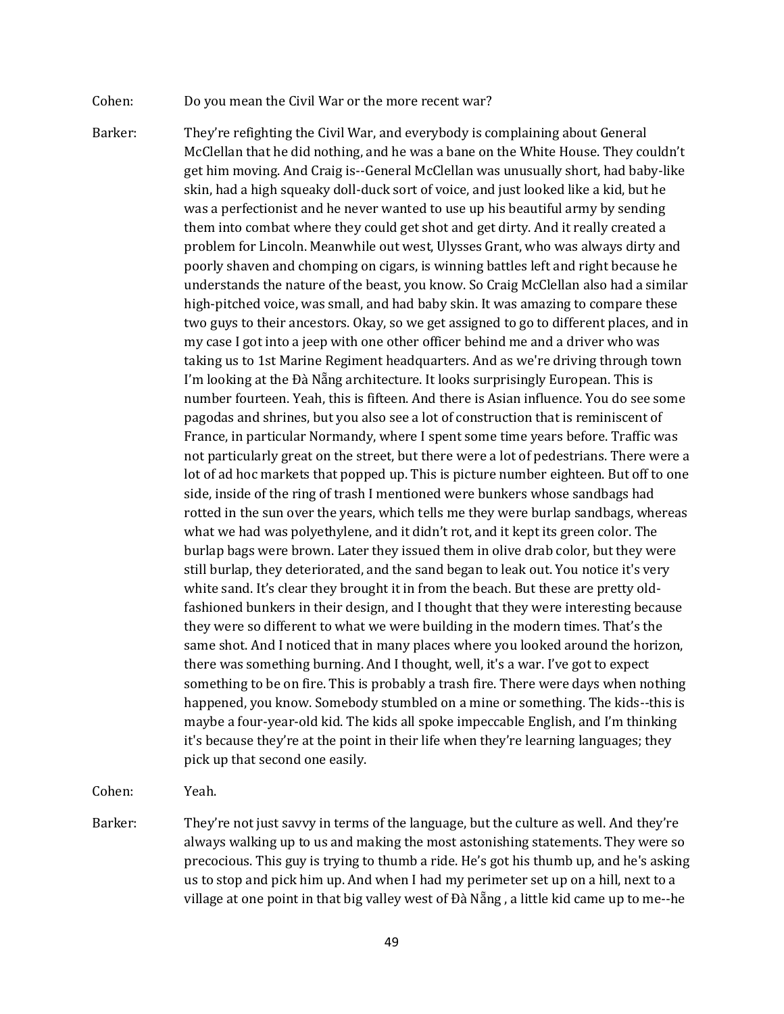- Cohen: Do you mean the Civil War or the more recent war?
- Barker: They're refighting the Civil War, and everybody is complaining about General McClellan that he did nothing, and he was a bane on the White House. They couldn't get him moving. And Craig is--General McClellan was unusually short, had baby-like skin, had a high squeaky doll-duck sort of voice, and just looked like a kid, but he was a perfectionist and he never wanted to use up his beautiful army by sending them into combat where they could get shot and get dirty. And it really created a problem for Lincoln. Meanwhile out west, Ulysses Grant, who was always dirty and poorly shaven and chomping on cigars, is winning battles left and right because he understands the nature of the beast, you know. So Craig McClellan also had a similar high-pitched voice, was small, and had baby skin. It was amazing to compare these two guys to their ancestors. Okay, so we get assigned to go to different places, and in my case I got into a jeep with one other officer behind me and a driver who was taking us to 1st Marine Regiment headquarters. And as we're driving through town I'm looking at the Đà Nẵng architecture. It looks surprisingly European. This is number fourteen. Yeah, this is fifteen. And there is Asian influence. You do see some pagodas and shrines, but you also see a lot of construction that is reminiscent of France, in particular Normandy, where I spent some time years before. Traffic was not particularly great on the street, but there were a lot of pedestrians. There were a lot of ad hoc markets that popped up. This is picture number eighteen. But off to one side, inside of the ring of trash I mentioned were bunkers whose sandbags had rotted in the sun over the years, which tells me they were burlap sandbags, whereas what we had was polyethylene, and it didn't rot, and it kept its green color. The burlap bags were brown. Later they issued them in olive drab color, but they were still burlap, they deteriorated, and the sand began to leak out. You notice it's very white sand. It's clear they brought it in from the beach. But these are pretty oldfashioned bunkers in their design, and I thought that they were interesting because they were so different to what we were building in the modern times. That's the same shot. And I noticed that in many places where you looked around the horizon, there was something burning. And I thought, well, it's a war. I've got to expect something to be on fire. This is probably a trash fire. There were days when nothing happened, you know. Somebody stumbled on a mine or something. The kids--this is maybe a four-year-old kid. The kids all spoke impeccable English, and I'm thinking it's because they're at the point in their life when they're learning languages; they pick up that second one easily.

Cohen: Yeah.

Barker: They're not just savvy in terms of the language, but the culture as well. And they're always walking up to us and making the most astonishing statements. They were so precocious. This guy is trying to thumb a ride. He's got his thumb up, and he's asking us to stop and pick him up. And when I had my perimeter set up on a hill, next to a village at one point in that big valley west of Đà Nẵng, a little kid came up to me--he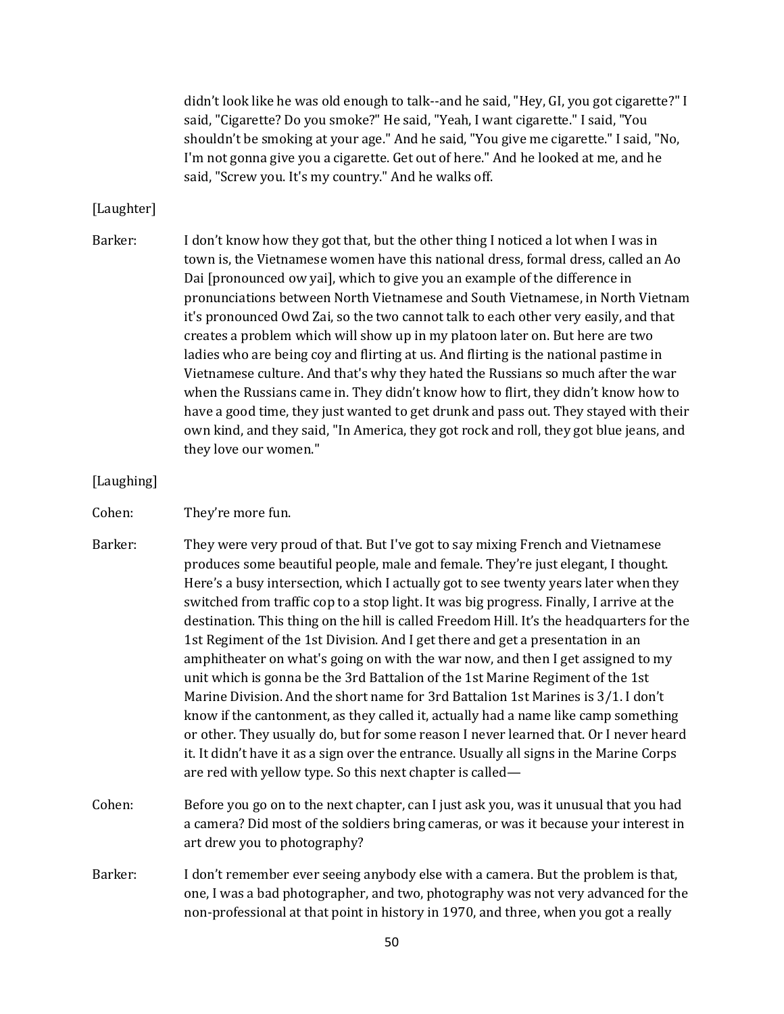didn't look like he was old enough to talk--and he said, "Hey, GI, you got cigarette?" I said, "Cigarette? Do you smoke?" He said, "Yeah, I want cigarette." I said, "You shouldn't be smoking at your age." And he said, "You give me cigarette." I said, "No, I'm not gonna give you a cigarette. Get out of here." And he looked at me, and he said, "Screw you. It's my country." And he walks off.

### [Laughter]

- Barker: I don't know how they got that, but the other thing I noticed a lot when I was in town is, the Vietnamese women have this national dress, formal dress, called an Ao Dai [pronounced ow yai], which to give you an example of the difference in pronunciations between North Vietnamese and South Vietnamese, in North Vietnam it's pronounced Owd Zai, so the two cannot talk to each other very easily, and that creates a problem which will show up in my platoon later on. But here are two ladies who are being coy and flirting at us. And flirting is the national pastime in Vietnamese culture. And that's why they hated the Russians so much after the war when the Russians came in. They didn't know how to flirt, they didn't know how to have a good time, they just wanted to get drunk and pass out. They stayed with their own kind, and they said, "In America, they got rock and roll, they got blue jeans, and they love our women."
- [Laughing]
- Cohen: They're more fun.
- Barker: They were very proud of that. But I've got to say mixing French and Vietnamese produces some beautiful people, male and female. They're just elegant, I thought. Here's a busy intersection, which I actually got to see twenty years later when they switched from traffic cop to a stop light. It was big progress. Finally, I arrive at the destination. This thing on the hill is called Freedom Hill. It's the headquarters for the 1st Regiment of the 1st Division. And I get there and get a presentation in an amphitheater on what's going on with the war now, and then I get assigned to my unit which is gonna be the 3rd Battalion of the 1st Marine Regiment of the 1st Marine Division. And the short name for 3rd Battalion 1st Marines is 3/1. I don't know if the cantonment, as they called it, actually had a name like camp something or other. They usually do, but for some reason I never learned that. Or I never heard it. It didn't have it as a sign over the entrance. Usually all signs in the Marine Corps are red with yellow type. So this next chapter is called—
- Cohen: Before you go on to the next chapter, can I just ask you, was it unusual that you had a camera? Did most of the soldiers bring cameras, or was it because your interest in art drew you to photography?
- Barker: I don't remember ever seeing anybody else with a camera. But the problem is that, one, I was a bad photographer, and two, photography was not very advanced for the non-professional at that point in history in 1970, and three, when you got a really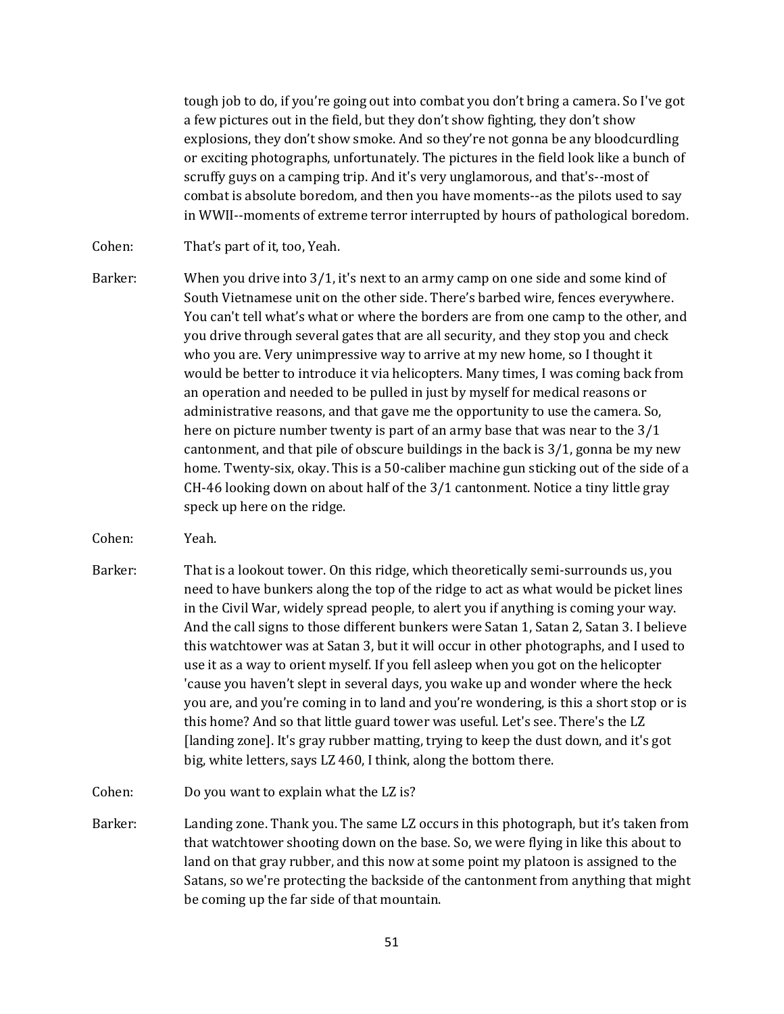tough job to do, if you're going out into combat you don't bring a camera. So I've got a few pictures out in the field, but they don't show fighting, they don't show explosions, they don't show smoke. And so they're not gonna be any bloodcurdling or exciting photographs, unfortunately. The pictures in the field look like a bunch of scruffy guys on a camping trip. And it's very unglamorous, and that's--most of combat is absolute boredom, and then you have moments--as the pilots used to say in WWII--moments of extreme terror interrupted by hours of pathological boredom.

Cohen: That's part of it, too, Yeah.

- Barker: When you drive into 3/1, it's next to an army camp on one side and some kind of South Vietnamese unit on the other side. There's barbed wire, fences everywhere. You can't tell what's what or where the borders are from one camp to the other, and you drive through several gates that are all security, and they stop you and check who you are. Very unimpressive way to arrive at my new home, so I thought it would be better to introduce it via helicopters. Many times, I was coming back from an operation and needed to be pulled in just by myself for medical reasons or administrative reasons, and that gave me the opportunity to use the camera. So, here on picture number twenty is part of an army base that was near to the 3/1 cantonment, and that pile of obscure buildings in the back is 3/1, gonna be my new home. Twenty-six, okay. This is a 50-caliber machine gun sticking out of the side of a CH-46 looking down on about half of the 3/1 cantonment. Notice a tiny little gray speck up here on the ridge.
- Cohen: Yeah.
- Barker: That is a lookout tower. On this ridge, which theoretically semi-surrounds us, you need to have bunkers along the top of the ridge to act as what would be picket lines in the Civil War, widely spread people, to alert you if anything is coming your way. And the call signs to those different bunkers were Satan 1, Satan 2, Satan 3. I believe this watchtower was at Satan 3, but it will occur in other photographs, and I used to use it as a way to orient myself. If you fell asleep when you got on the helicopter 'cause you haven't slept in several days, you wake up and wonder where the heck you are, and you're coming in to land and you're wondering, is this a short stop or is this home? And so that little guard tower was useful. Let's see. There's the LZ [landing zone]. It's gray rubber matting, trying to keep the dust down, and it's got big, white letters, says LZ 460, I think, along the bottom there.
- Cohen: Do you want to explain what the LZ is?
- Barker: Landing zone. Thank you. The same LZ occurs in this photograph, but it's taken from that watchtower shooting down on the base. So, we were flying in like this about to land on that gray rubber, and this now at some point my platoon is assigned to the Satans, so we're protecting the backside of the cantonment from anything that might be coming up the far side of that mountain.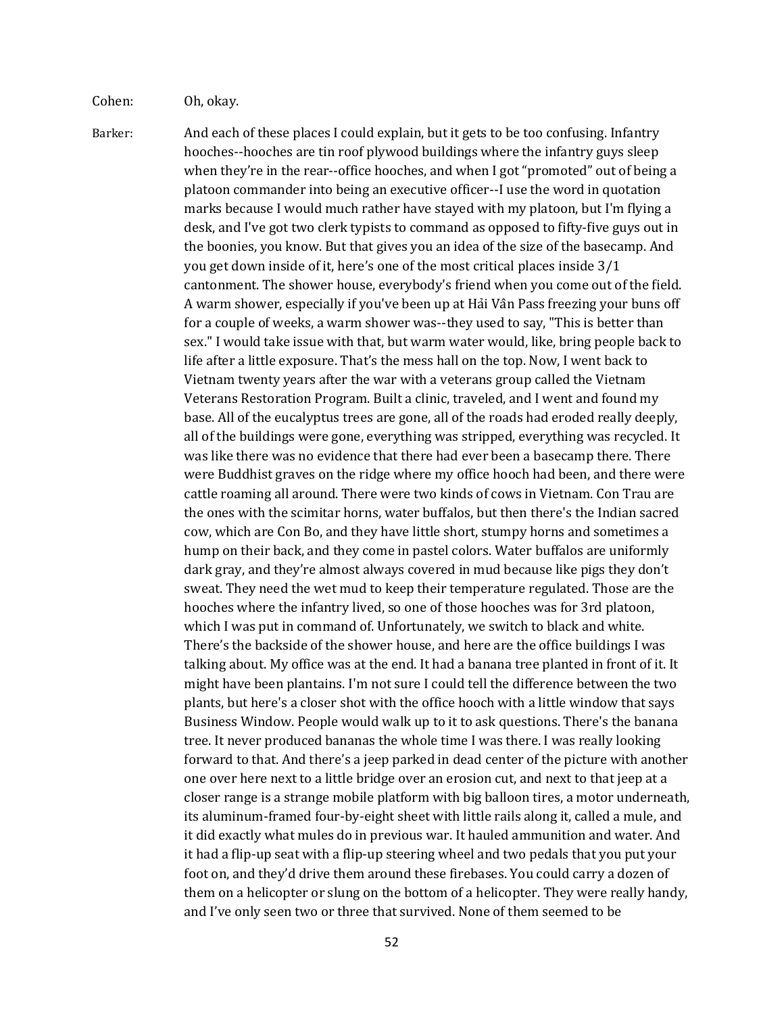Cohen: Oh, okay.

Barker: And each of these places I could explain, but it gets to be too confusing. Infantry hooches--hooches are tin roof plywood buildings where the infantry guys sleep when they're in the rear--office hooches, and when I got "promoted" out of being a platoon commander into being an executive officer--I use the word in quotation marks because I would much rather have stayed with my platoon, but I'm flying a desk, and I've got two clerk typists to command as opposed to fifty-five guys out in the boonies, you know. But that gives you an idea of the size of the basecamp. And you get down inside of it, here's one of the most critical places inside 3/1 cantonment. The shower house, everybody's friend when you come out of the field. A warm shower, especially if you've been up at Hải Vân Pass freezing your buns off for a couple of weeks, a warm shower was--they used to say, "This is better than sex." I would take issue with that, but warm water would, like, bring people back to life after a little exposure. That's the mess hall on the top. Now, I went back to Vietnam twenty years after the war with a veterans group called the Vietnam Veterans Restoration Program. Built a clinic, traveled, and I went and found my base. All of the eucalyptus trees are gone, all of the roads had eroded really deeply, all of the buildings were gone, everything was stripped, everything was recycled. It was like there was no evidence that there had ever been a basecamp there. There were Buddhist graves on the ridge where my office hooch had been, and there were cattle roaming all around. There were two kinds of cows in Vietnam. Con Trau are the ones with the scimitar horns, water buffalos, but then there's the Indian sacred cow, which are Con Bo, and they have little short, stumpy horns and sometimes a hump on their back, and they come in pastel colors. Water buffalos are uniformly dark gray, and they're almost always covered in mud because like pigs they don't sweat. They need the wet mud to keep their temperature regulated. Those are the hooches where the infantry lived, so one of those hooches was for 3rd platoon, which I was put in command of. Unfortunately, we switch to black and white. There's the backside of the shower house, and here are the office buildings I was talking about. My office was at the end. It had a banana tree planted in front of it. It might have been plantains. I'm not sure I could tell the difference between the two plants, but here's a closer shot with the office hooch with a little window that says Business Window. People would walk up to it to ask questions. There's the banana tree. It never produced bananas the whole time I was there. I was really looking forward to that. And there's a jeep parked in dead center of the picture with another one over here next to a little bridge over an erosion cut, and next to that jeep at a closer range is a strange mobile platform with big balloon tires, a motor underneath, its aluminum-framed four-by-eight sheet with little rails along it, called a mule, and it did exactly what mules do in previous war. It hauled ammunition and water. And it had a flip-up seat with a flip-up steering wheel and two pedals that you put your foot on, and they'd drive them around these firebases. You could carry a dozen of them on a helicopter or slung on the bottom of a helicopter. They were really handy, and I've only seen two or three that survived. None of them seemed to be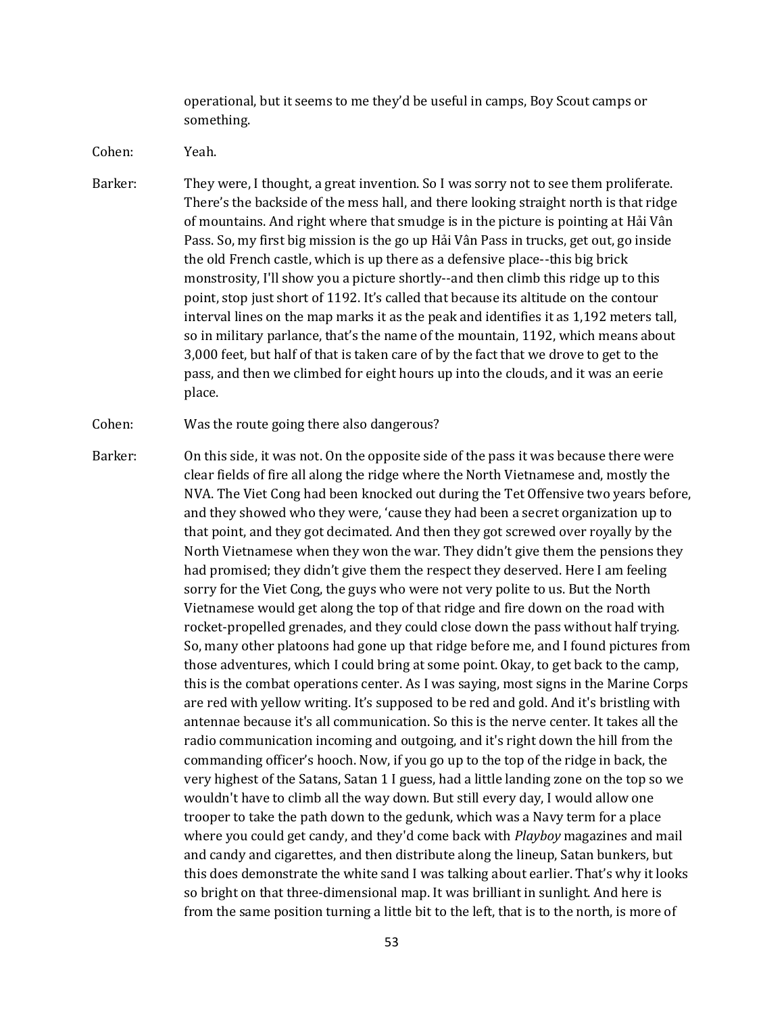operational, but it seems to me they'd be useful in camps, Boy Scout camps or something.

Cohen: Yeah.

Barker: They were, I thought, a great invention. So I was sorry not to see them proliferate. There's the backside of the mess hall, and there looking straight north is that ridge of mountains. And right where that smudge is in the picture is pointing at Hải Vân Pass. So, my first big mission is the go up Hải Vân Pass in trucks, get out, go inside the old French castle, which is up there as a defensive place--this big brick monstrosity, I'll show you a picture shortly--and then climb this ridge up to this point, stop just short of 1192. It's called that because its altitude on the contour interval lines on the map marks it as the peak and identifies it as 1,192 meters tall, so in military parlance, that's the name of the mountain, 1192, which means about 3,000 feet, but half of that is taken care of by the fact that we drove to get to the pass, and then we climbed for eight hours up into the clouds, and it was an eerie place.

Cohen: Was the route going there also dangerous?

Barker: On this side, it was not. On the opposite side of the pass it was because there were clear fields of fire all along the ridge where the North Vietnamese and, mostly the NVA. The Viet Cong had been knocked out during the Tet Offensive two years before, and they showed who they were, 'cause they had been a secret organization up to that point, and they got decimated. And then they got screwed over royally by the North Vietnamese when they won the war. They didn't give them the pensions they had promised; they didn't give them the respect they deserved. Here I am feeling sorry for the Viet Cong, the guys who were not very polite to us. But the North Vietnamese would get along the top of that ridge and fire down on the road with rocket-propelled grenades, and they could close down the pass without half trying. So, many other platoons had gone up that ridge before me, and I found pictures from those adventures, which I could bring at some point. Okay, to get back to the camp, this is the combat operations center. As I was saying, most signs in the Marine Corps are red with yellow writing. It's supposed to be red and gold. And it's bristling with antennae because it's all communication. So this is the nerve center. It takes all the radio communication incoming and outgoing, and it's right down the hill from the commanding officer's hooch. Now, if you go up to the top of the ridge in back, the very highest of the Satans, Satan 1 I guess, had a little landing zone on the top so we wouldn't have to climb all the way down. But still every day, I would allow one trooper to take the path down to the gedunk, which was a Navy term for a place where you could get candy, and they'd come back with *Playboy* magazines and mail and candy and cigarettes, and then distribute along the lineup, Satan bunkers, but this does demonstrate the white sand I was talking about earlier. That's why it looks so bright on that three-dimensional map. It was brilliant in sunlight. And here is from the same position turning a little bit to the left, that is to the north, is more of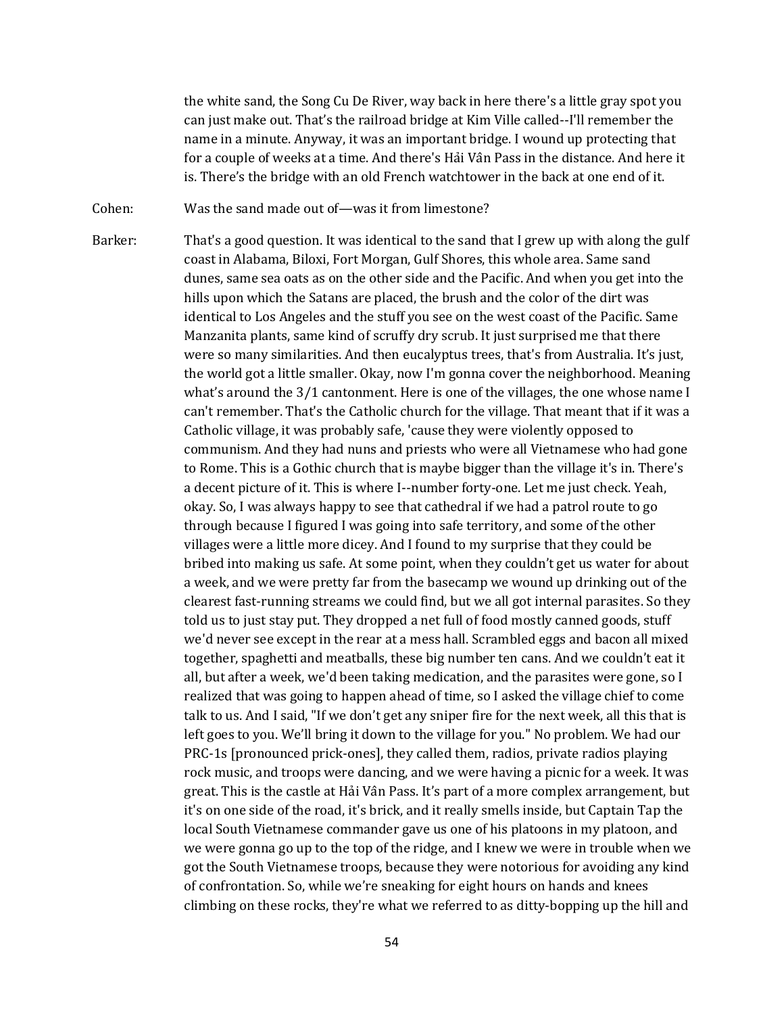the white sand, the Song Cu De River, way back in here there's a little gray spot you can just make out. That's the railroad bridge at Kim Ville called--I'll remember the name in a minute. Anyway, it was an important bridge. I wound up protecting that for a couple of weeks at a time. And there's Hải Vân Pass in the distance. And here it is. There's the bridge with an old French watchtower in the back at one end of it.

Cohen: Was the sand made out of—was it from limestone?

Barker: That's a good question. It was identical to the sand that I grew up with along the gulf coast in Alabama, Biloxi, Fort Morgan, Gulf Shores, this whole area. Same sand dunes, same sea oats as on the other side and the Pacific. And when you get into the hills upon which the Satans are placed, the brush and the color of the dirt was identical to Los Angeles and the stuff you see on the west coast of the Pacific. Same Manzanita plants, same kind of scruffy dry scrub. It just surprised me that there were so many similarities. And then eucalyptus trees, that's from Australia. It's just, the world got a little smaller. Okay, now I'm gonna cover the neighborhood. Meaning what's around the 3/1 cantonment. Here is one of the villages, the one whose name I can't remember. That's the Catholic church for the village. That meant that if it was a Catholic village, it was probably safe, 'cause they were violently opposed to communism. And they had nuns and priests who were all Vietnamese who had gone to Rome. This is a Gothic church that is maybe bigger than the village it's in. There's a decent picture of it. This is where I--number forty-one. Let me just check. Yeah, okay. So, I was always happy to see that cathedral if we had a patrol route to go through because I figured I was going into safe territory, and some of the other villages were a little more dicey. And I found to my surprise that they could be bribed into making us safe. At some point, when they couldn't get us water for about a week, and we were pretty far from the basecamp we wound up drinking out of the clearest fast-running streams we could find, but we all got internal parasites. So they told us to just stay put. They dropped a net full of food mostly canned goods, stuff we'd never see except in the rear at a mess hall. Scrambled eggs and bacon all mixed together, spaghetti and meatballs, these big number ten cans. And we couldn't eat it all, but after a week, we'd been taking medication, and the parasites were gone, so I realized that was going to happen ahead of time, so I asked the village chief to come talk to us. And I said, "If we don't get any sniper fire for the next week, all this that is left goes to you. We'll bring it down to the village for you." No problem. We had our PRC-1s [pronounced prick-ones], they called them, radios, private radios playing rock music, and troops were dancing, and we were having a picnic for a week. It was great. This is the castle at Hải Vân Pass. It's part of a more complex arrangement, but it's on one side of the road, it's brick, and it really smells inside, but Captain Tap the local South Vietnamese commander gave us one of his platoons in my platoon, and we were gonna go up to the top of the ridge, and I knew we were in trouble when we got the South Vietnamese troops, because they were notorious for avoiding any kind of confrontation. So, while we're sneaking for eight hours on hands and knees climbing on these rocks, they're what we referred to as ditty-bopping up the hill and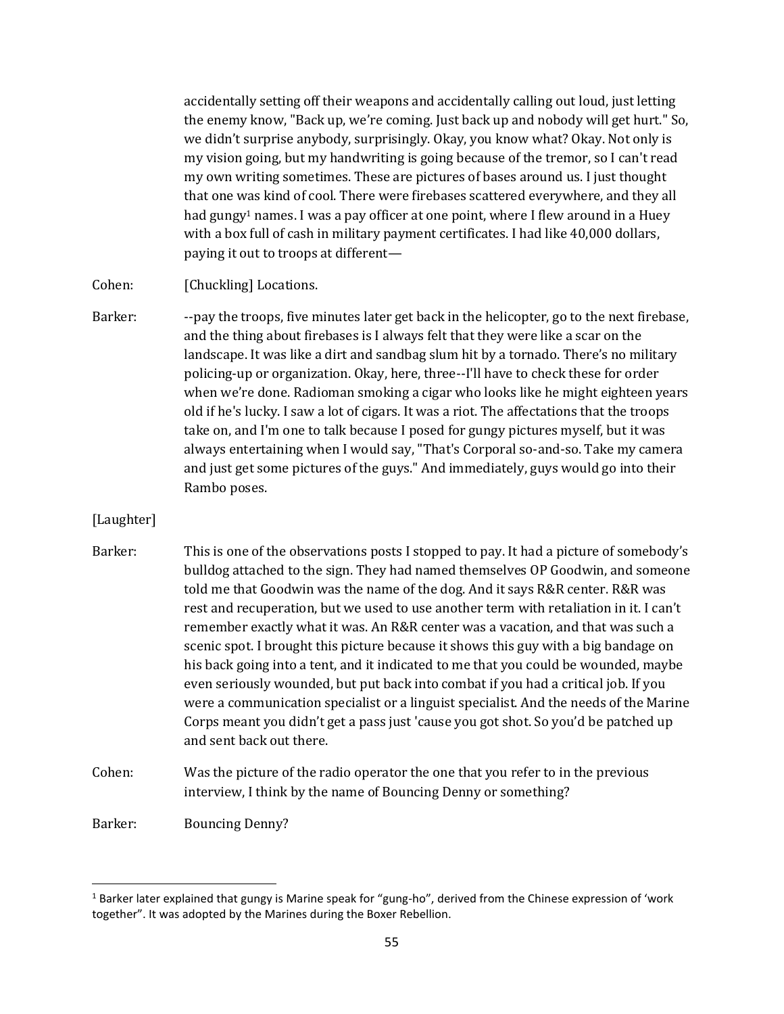accidentally setting off their weapons and accidentally calling out loud, just letting the enemy know, "Back up, we're coming. Just back up and nobody will get hurt." So, we didn't surprise anybody, surprisingly. Okay, you know what? Okay. Not only is my vision going, but my handwriting is going because of the tremor, so I can't read my own writing sometimes. These are pictures of bases around us. I just thought that one was kind of cool. There were firebases scattered everywhere, and they all had gungy<sup>1</sup> names. I was a pay officer at one point, where I flew around in a Huey with a box full of cash in military payment certificates. I had like 40,000 dollars, paying it out to troops at different—

Cohen: [Chuckling] Locations.

Barker: --pay the troops, five minutes later get back in the helicopter, go to the next firebase, and the thing about firebases is I always felt that they were like a scar on the landscape. It was like a dirt and sandbag slum hit by a tornado. There's no military policing-up or organization. Okay, here, three--I'll have to check these for order when we're done. Radioman smoking a cigar who looks like he might eighteen years old if he's lucky. I saw a lot of cigars. It was a riot. The affectations that the troops take on, and I'm one to talk because I posed for gungy pictures myself, but it was always entertaining when I would say, "That's Corporal so-and-so. Take my camera and just get some pictures of the guys." And immediately, guys would go into their Rambo poses.

## [Laughter]

- Barker: This is one of the observations posts I stopped to pay. It had a picture of somebody's bulldog attached to the sign. They had named themselves OP Goodwin, and someone told me that Goodwin was the name of the dog. And it says R&R center. R&R was rest and recuperation, but we used to use another term with retaliation in it. I can't remember exactly what it was. An R&R center was a vacation, and that was such a scenic spot. I brought this picture because it shows this guy with a big bandage on his back going into a tent, and it indicated to me that you could be wounded, maybe even seriously wounded, but put back into combat if you had a critical job. If you were a communication specialist or a linguist specialist. And the needs of the Marine Corps meant you didn't get a pass just 'cause you got shot. So you'd be patched up and sent back out there.
- Cohen: Was the picture of the radio operator the one that you refer to in the previous interview, I think by the name of Bouncing Denny or something?

Barker: Bouncing Denny?

 $1$  Barker later explained that gungy is Marine speak for "gung-ho", derived from the Chinese expression of 'work together". It was adopted by the Marines during the Boxer Rebellion.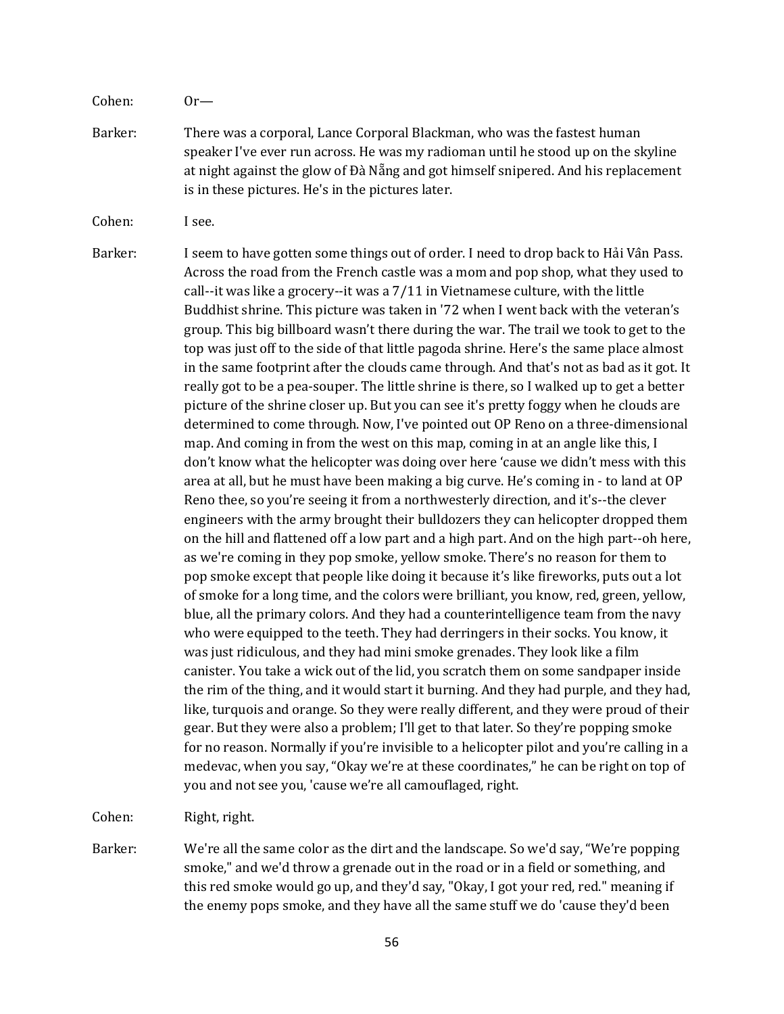Cohen: Or—

Barker: There was a corporal, Lance Corporal Blackman, who was the fastest human speaker I've ever run across. He was my radioman until he stood up on the skyline at night against the glow of Đà Nẵng and got himself snipered. And his replacement is in these pictures. He's in the pictures later.

Cohen: I see.

Barker: I seem to have gotten some things out of order. I need to drop back to Hải Vân Pass. Across the road from the French castle was a mom and pop shop, what they used to call--it was like a grocery--it was a 7/11 in Vietnamese culture, with the little Buddhist shrine. This picture was taken in '72 when I went back with the veteran's group. This big billboard wasn't there during the war. The trail we took to get to the top was just off to the side of that little pagoda shrine. Here's the same place almost in the same footprint after the clouds came through. And that's not as bad as it got. It really got to be a pea-souper. The little shrine is there, so I walked up to get a better picture of the shrine closer up. But you can see it's pretty foggy when he clouds are determined to come through. Now, I've pointed out OP Reno on a three-dimensional map. And coming in from the west on this map, coming in at an angle like this, I don't know what the helicopter was doing over here 'cause we didn't mess with this area at all, but he must have been making a big curve. He's coming in - to land at OP Reno thee, so you're seeing it from a northwesterly direction, and it's--the clever engineers with the army brought their bulldozers they can helicopter dropped them on the hill and flattened off a low part and a high part. And on the high part--oh here, as we're coming in they pop smoke, yellow smoke. There's no reason for them to pop smoke except that people like doing it because it's like fireworks, puts out a lot of smoke for a long time, and the colors were brilliant, you know, red, green, yellow, blue, all the primary colors. And they had a counterintelligence team from the navy who were equipped to the teeth. They had derringers in their socks. You know, it was just ridiculous, and they had mini smoke grenades. They look like a film canister. You take a wick out of the lid, you scratch them on some sandpaper inside the rim of the thing, and it would start it burning. And they had purple, and they had, like, turquois and orange. So they were really different, and they were proud of their gear. But they were also a problem; I'll get to that later. So they're popping smoke for no reason. Normally if you're invisible to a helicopter pilot and you're calling in a medevac, when you say, "Okay we're at these coordinates," he can be right on top of you and not see you, 'cause we're all camouflaged, right.

Cohen: Right, right.

Barker: We're all the same color as the dirt and the landscape. So we'd say, "We're popping smoke," and we'd throw a grenade out in the road or in a field or something, and this red smoke would go up, and they'd say, "Okay, I got your red, red." meaning if the enemy pops smoke, and they have all the same stuff we do 'cause they'd been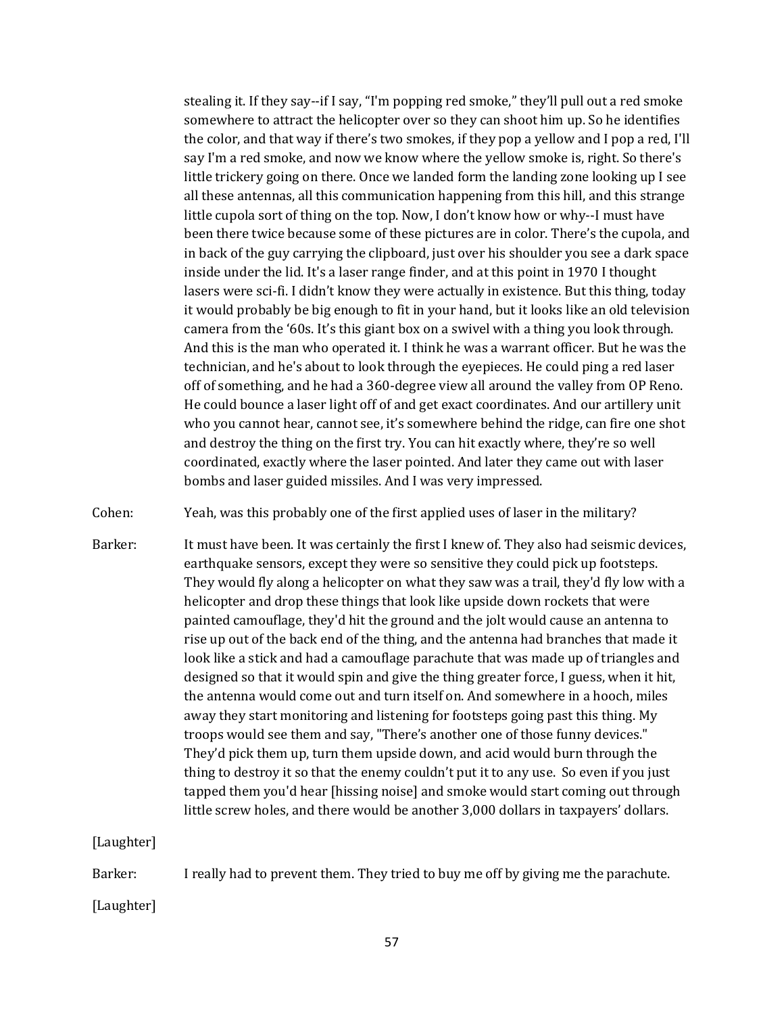stealing it. If they say--if I say, "I'm popping red smoke," they'll pull out a red smoke somewhere to attract the helicopter over so they can shoot him up. So he identifies the color, and that way if there's two smokes, if they pop a yellow and I pop a red, I'll say I'm a red smoke, and now we know where the yellow smoke is, right. So there's little trickery going on there. Once we landed form the landing zone looking up I see all these antennas, all this communication happening from this hill, and this strange little cupola sort of thing on the top. Now, I don't know how or why--I must have been there twice because some of these pictures are in color. There's the cupola, and in back of the guy carrying the clipboard, just over his shoulder you see a dark space inside under the lid. It's a laser range finder, and at this point in 1970 I thought lasers were sci-fi. I didn't know they were actually in existence. But this thing, today it would probably be big enough to fit in your hand, but it looks like an old television camera from the '60s. It's this giant box on a swivel with a thing you look through. And this is the man who operated it. I think he was a warrant officer. But he was the technician, and he's about to look through the eyepieces. He could ping a red laser off of something, and he had a 360-degree view all around the valley from OP Reno. He could bounce a laser light off of and get exact coordinates. And our artillery unit who you cannot hear, cannot see, it's somewhere behind the ridge, can fire one shot and destroy the thing on the first try. You can hit exactly where, they're so well coordinated, exactly where the laser pointed. And later they came out with laser bombs and laser guided missiles. And I was very impressed.

Cohen: Yeah, was this probably one of the first applied uses of laser in the military?

Barker: It must have been. It was certainly the first I knew of. They also had seismic devices, earthquake sensors, except they were so sensitive they could pick up footsteps. They would fly along a helicopter on what they saw was a trail, they'd fly low with a helicopter and drop these things that look like upside down rockets that were painted camouflage, they'd hit the ground and the jolt would cause an antenna to rise up out of the back end of the thing, and the antenna had branches that made it look like a stick and had a camouflage parachute that was made up of triangles and designed so that it would spin and give the thing greater force, I guess, when it hit, the antenna would come out and turn itself on. And somewhere in a hooch, miles away they start monitoring and listening for footsteps going past this thing. My troops would see them and say, "There's another one of those funny devices." They'd pick them up, turn them upside down, and acid would burn through the thing to destroy it so that the enemy couldn't put it to any use. So even if you just tapped them you'd hear [hissing noise] and smoke would start coming out through little screw holes, and there would be another 3,000 dollars in taxpayers' dollars.

[Laughter]

Barker: I really had to prevent them. They tried to buy me off by giving me the parachute.

[Laughter]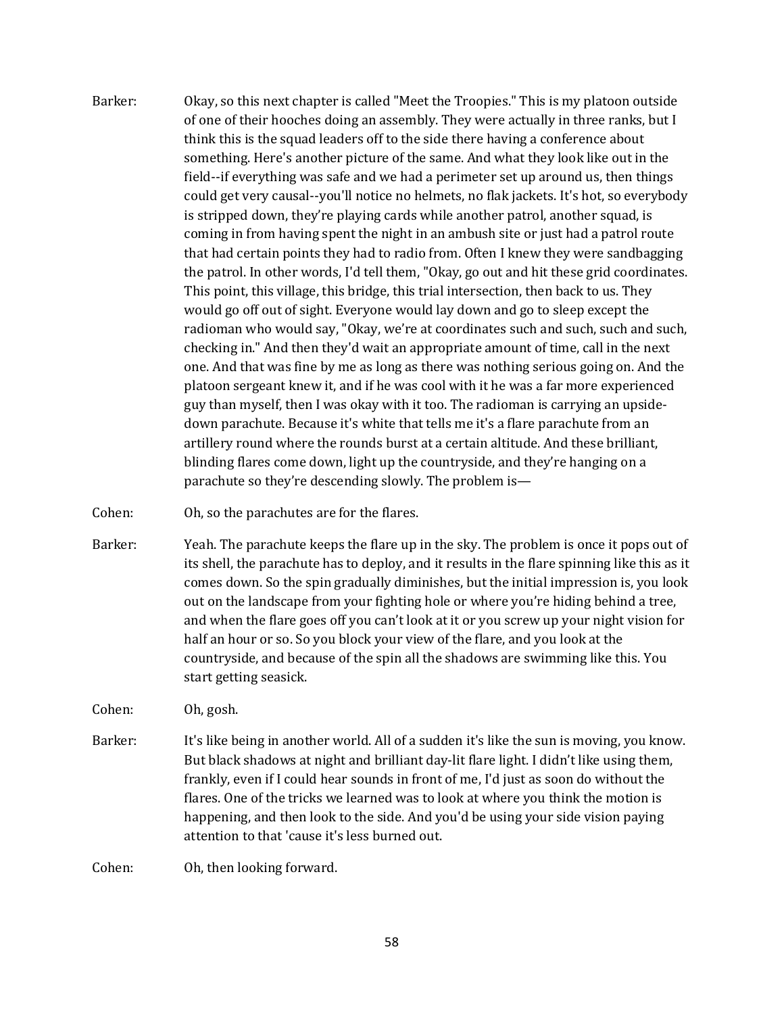Barker: Okay, so this next chapter is called "Meet the Troopies." This is my platoon outside of one of their hooches doing an assembly. They were actually in three ranks, but I think this is the squad leaders off to the side there having a conference about something. Here's another picture of the same. And what they look like out in the field--if everything was safe and we had a perimeter set up around us, then things could get very causal--you'll notice no helmets, no flak jackets. It's hot, so everybody is stripped down, they're playing cards while another patrol, another squad, is coming in from having spent the night in an ambush site or just had a patrol route that had certain points they had to radio from. Often I knew they were sandbagging the patrol. In other words, I'd tell them, "Okay, go out and hit these grid coordinates. This point, this village, this bridge, this trial intersection, then back to us. They would go off out of sight. Everyone would lay down and go to sleep except the radioman who would say, "Okay, we're at coordinates such and such, such and such, checking in." And then they'd wait an appropriate amount of time, call in the next one. And that was fine by me as long as there was nothing serious going on. And the platoon sergeant knew it, and if he was cool with it he was a far more experienced guy than myself, then I was okay with it too. The radioman is carrying an upsidedown parachute. Because it's white that tells me it's a flare parachute from an artillery round where the rounds burst at a certain altitude. And these brilliant, blinding flares come down, light up the countryside, and they're hanging on a parachute so they're descending slowly. The problem is—

Cohen: Oh, so the parachutes are for the flares.

Barker: Yeah. The parachute keeps the flare up in the sky. The problem is once it pops out of its shell, the parachute has to deploy, and it results in the flare spinning like this as it comes down. So the spin gradually diminishes, but the initial impression is, you look out on the landscape from your fighting hole or where you're hiding behind a tree, and when the flare goes off you can't look at it or you screw up your night vision for half an hour or so. So you block your view of the flare, and you look at the countryside, and because of the spin all the shadows are swimming like this. You start getting seasick.

Cohen: Oh, gosh.

Barker: It's like being in another world. All of a sudden it's like the sun is moving, you know. But black shadows at night and brilliant day-lit flare light. I didn't like using them, frankly, even if I could hear sounds in front of me, I'd just as soon do without the flares. One of the tricks we learned was to look at where you think the motion is happening, and then look to the side. And you'd be using your side vision paying attention to that 'cause it's less burned out.

Cohen: Oh, then looking forward.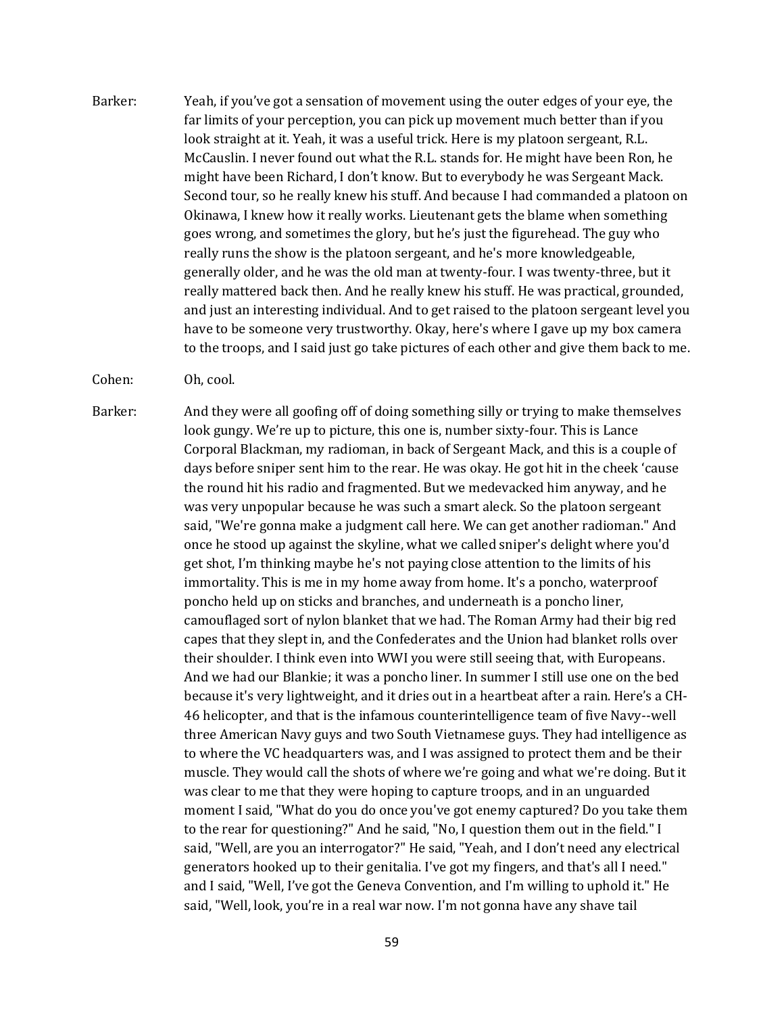Barker: Yeah, if you've got a sensation of movement using the outer edges of your eye, the far limits of your perception, you can pick up movement much better than if you look straight at it. Yeah, it was a useful trick. Here is my platoon sergeant, R.L. McCauslin. I never found out what the R.L. stands for. He might have been Ron, he might have been Richard, I don't know. But to everybody he was Sergeant Mack. Second tour, so he really knew his stuff. And because I had commanded a platoon on Okinawa, I knew how it really works. Lieutenant gets the blame when something goes wrong, and sometimes the glory, but he's just the figurehead. The guy who really runs the show is the platoon sergeant, and he's more knowledgeable, generally older, and he was the old man at twenty-four. I was twenty-three, but it really mattered back then. And he really knew his stuff. He was practical, grounded, and just an interesting individual. And to get raised to the platoon sergeant level you have to be someone very trustworthy. Okay, here's where I gave up my box camera to the troops, and I said just go take pictures of each other and give them back to me.

Cohen: Oh, cool.

Barker: And they were all goofing off of doing something silly or trying to make themselves look gungy. We're up to picture, this one is, number sixty-four. This is Lance Corporal Blackman, my radioman, in back of Sergeant Mack, and this is a couple of days before sniper sent him to the rear. He was okay. He got hit in the cheek 'cause the round hit his radio and fragmented. But we medevacked him anyway, and he was very unpopular because he was such a smart aleck. So the platoon sergeant said, "We're gonna make a judgment call here. We can get another radioman." And once he stood up against the skyline, what we called sniper's delight where you'd get shot, I'm thinking maybe he's not paying close attention to the limits of his immortality. This is me in my home away from home. It's a poncho, waterproof poncho held up on sticks and branches, and underneath is a poncho liner, camouflaged sort of nylon blanket that we had. The Roman Army had their big red capes that they slept in, and the Confederates and the Union had blanket rolls over their shoulder. I think even into WWI you were still seeing that, with Europeans. And we had our Blankie; it was a poncho liner. In summer I still use one on the bed because it's very lightweight, and it dries out in a heartbeat after a rain. Here's a CH-46 helicopter, and that is the infamous counterintelligence team of five Navy--well three American Navy guys and two South Vietnamese guys. They had intelligence as to where the VC headquarters was, and I was assigned to protect them and be their muscle. They would call the shots of where we're going and what we're doing. But it was clear to me that they were hoping to capture troops, and in an unguarded moment I said, "What do you do once you've got enemy captured? Do you take them to the rear for questioning?" And he said, "No, I question them out in the field." I said, "Well, are you an interrogator?" He said, "Yeah, and I don't need any electrical generators hooked up to their genitalia. I've got my fingers, and that's all I need." and I said, "Well, I've got the Geneva Convention, and I'm willing to uphold it." He said, "Well, look, you're in a real war now. I'm not gonna have any shave tail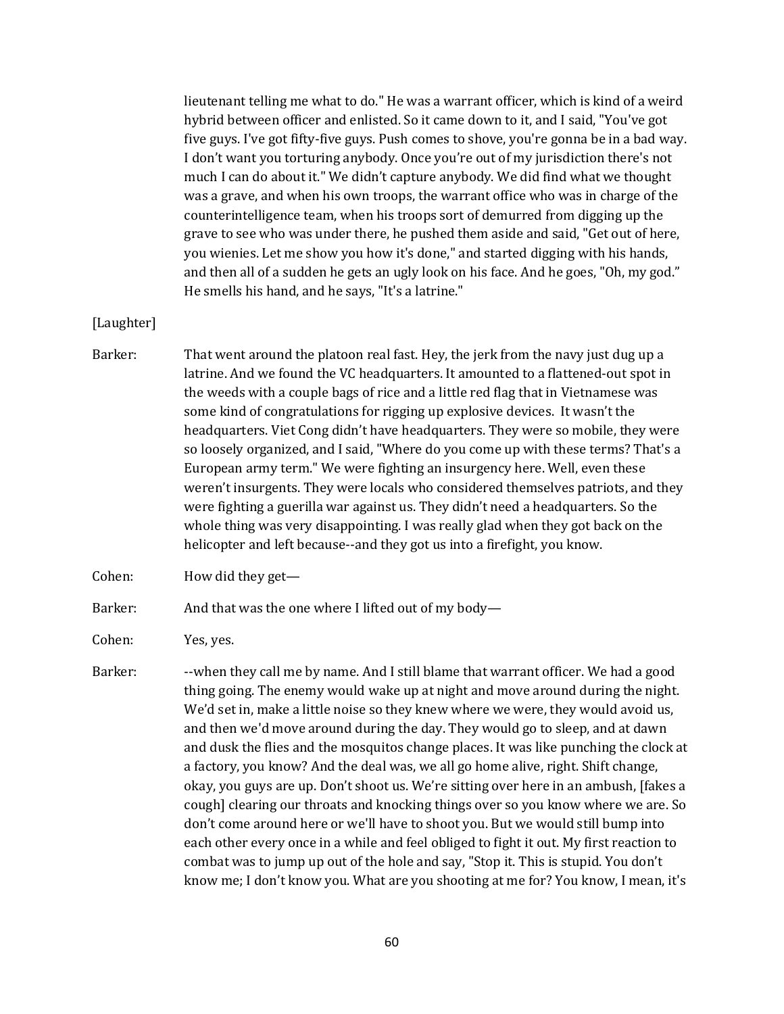lieutenant telling me what to do." He was a warrant officer, which is kind of a weird hybrid between officer and enlisted. So it came down to it, and I said, "You've got five guys. I've got fifty-five guys. Push comes to shove, you're gonna be in a bad way. I don't want you torturing anybody. Once you're out of my jurisdiction there's not much I can do about it." We didn't capture anybody. We did find what we thought was a grave, and when his own troops, the warrant office who was in charge of the counterintelligence team, when his troops sort of demurred from digging up the grave to see who was under there, he pushed them aside and said, "Get out of here, you wienies. Let me show you how it's done," and started digging with his hands, and then all of a sudden he gets an ugly look on his face. And he goes, "Oh, my god." He smells his hand, and he says, "It's a latrine."

## [Laughter]

- Barker: That went around the platoon real fast. Hey, the jerk from the navy just dug up a latrine. And we found the VC headquarters. It amounted to a flattened-out spot in the weeds with a couple bags of rice and a little red flag that in Vietnamese was some kind of congratulations for rigging up explosive devices. It wasn't the headquarters. Viet Cong didn't have headquarters. They were so mobile, they were so loosely organized, and I said, "Where do you come up with these terms? That's a European army term." We were fighting an insurgency here. Well, even these weren't insurgents. They were locals who considered themselves patriots, and they were fighting a guerilla war against us. They didn't need a headquarters. So the whole thing was very disappointing. I was really glad when they got back on the helicopter and left because--and they got us into a firefight, you know.
- Cohen: How did they get—

#### Barker: And that was the one where I lifted out of my body-

Cohen: Yes, yes.

Barker: --when they call me by name. And I still blame that warrant officer. We had a good thing going. The enemy would wake up at night and move around during the night. We'd set in, make a little noise so they knew where we were, they would avoid us, and then we'd move around during the day. They would go to sleep, and at dawn and dusk the flies and the mosquitos change places. It was like punching the clock at a factory, you know? And the deal was, we all go home alive, right. Shift change, okay, you guys are up. Don't shoot us. We're sitting over here in an ambush, [fakes a cough] clearing our throats and knocking things over so you know where we are. So don't come around here or we'll have to shoot you. But we would still bump into each other every once in a while and feel obliged to fight it out. My first reaction to combat was to jump up out of the hole and say, "Stop it. This is stupid. You don't know me; I don't know you. What are you shooting at me for? You know, I mean, it's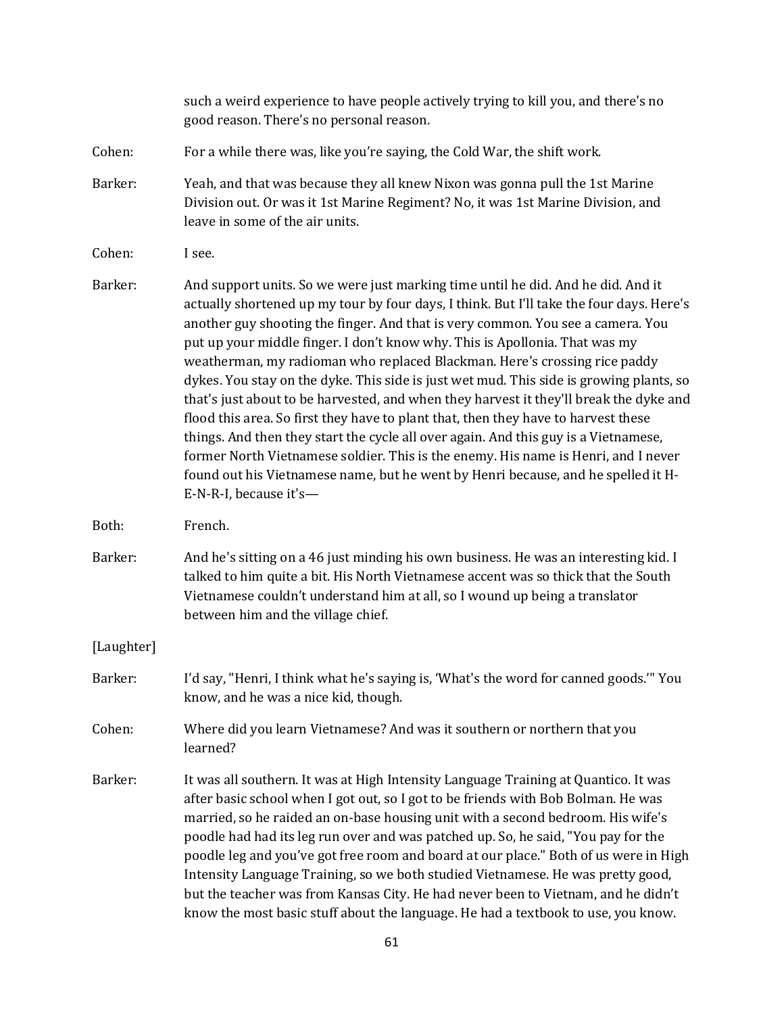|            | such a weird experience to have people actively trying to kill you, and there's no<br>good reason. There's no personal reason.                                                                                                                                                                                                                                                                                                                                                                                                                                                                                                                                                                                                                                                                                                                                                                                                                                                                     |
|------------|----------------------------------------------------------------------------------------------------------------------------------------------------------------------------------------------------------------------------------------------------------------------------------------------------------------------------------------------------------------------------------------------------------------------------------------------------------------------------------------------------------------------------------------------------------------------------------------------------------------------------------------------------------------------------------------------------------------------------------------------------------------------------------------------------------------------------------------------------------------------------------------------------------------------------------------------------------------------------------------------------|
| Cohen:     | For a while there was, like you're saying, the Cold War, the shift work.                                                                                                                                                                                                                                                                                                                                                                                                                                                                                                                                                                                                                                                                                                                                                                                                                                                                                                                           |
| Barker:    | Yeah, and that was because they all knew Nixon was gonna pull the 1st Marine<br>Division out. Or was it 1st Marine Regiment? No, it was 1st Marine Division, and<br>leave in some of the air units.                                                                                                                                                                                                                                                                                                                                                                                                                                                                                                                                                                                                                                                                                                                                                                                                |
| Cohen:     | I see.                                                                                                                                                                                                                                                                                                                                                                                                                                                                                                                                                                                                                                                                                                                                                                                                                                                                                                                                                                                             |
| Barker:    | And support units. So we were just marking time until he did. And he did. And it<br>actually shortened up my tour by four days, I think. But I'll take the four days. Here's<br>another guy shooting the finger. And that is very common. You see a camera. You<br>put up your middle finger. I don't know why. This is Apollonia. That was my<br>weatherman, my radioman who replaced Blackman. Here's crossing rice paddy<br>dykes. You stay on the dyke. This side is just wet mud. This side is growing plants, so<br>that's just about to be harvested, and when they harvest it they'll break the dyke and<br>flood this area. So first they have to plant that, then they have to harvest these<br>things. And then they start the cycle all over again. And this guy is a Vietnamese,<br>former North Vietnamese soldier. This is the enemy. His name is Henri, and I never<br>found out his Vietnamese name, but he went by Henri because, and he spelled it H-<br>E-N-R-I, because it's- |
| Both:      | French.                                                                                                                                                                                                                                                                                                                                                                                                                                                                                                                                                                                                                                                                                                                                                                                                                                                                                                                                                                                            |
| Barker:    | And he's sitting on a 46 just minding his own business. He was an interesting kid. I<br>talked to him quite a bit. His North Vietnamese accent was so thick that the South<br>Vietnamese couldn't understand him at all, so I wound up being a translator<br>between him and the village chief.                                                                                                                                                                                                                                                                                                                                                                                                                                                                                                                                                                                                                                                                                                    |
| [Laughter] |                                                                                                                                                                                                                                                                                                                                                                                                                                                                                                                                                                                                                                                                                                                                                                                                                                                                                                                                                                                                    |
| Barker:    | I'd say, "Henri, I think what he's saying is, 'What's the word for canned goods." You<br>know, and he was a nice kid, though.                                                                                                                                                                                                                                                                                                                                                                                                                                                                                                                                                                                                                                                                                                                                                                                                                                                                      |
| Cohen:     | Where did you learn Vietnamese? And was it southern or northern that you<br>learned?                                                                                                                                                                                                                                                                                                                                                                                                                                                                                                                                                                                                                                                                                                                                                                                                                                                                                                               |
| Barker:    | It was all southern. It was at High Intensity Language Training at Quantico. It was<br>after basic school when I got out, so I got to be friends with Bob Bolman. He was<br>married, so he raided an on-base housing unit with a second bedroom. His wife's<br>poodle had had its leg run over and was patched up. So, he said, "You pay for the<br>poodle leg and you've got free room and board at our place." Both of us were in High<br>Intensity Language Training, so we both studied Vietnamese. He was pretty good,<br>but the teacher was from Kansas City. He had never been to Vietnam, and he didn't<br>know the most basic stuff about the language. He had a textbook to use, you know.                                                                                                                                                                                                                                                                                              |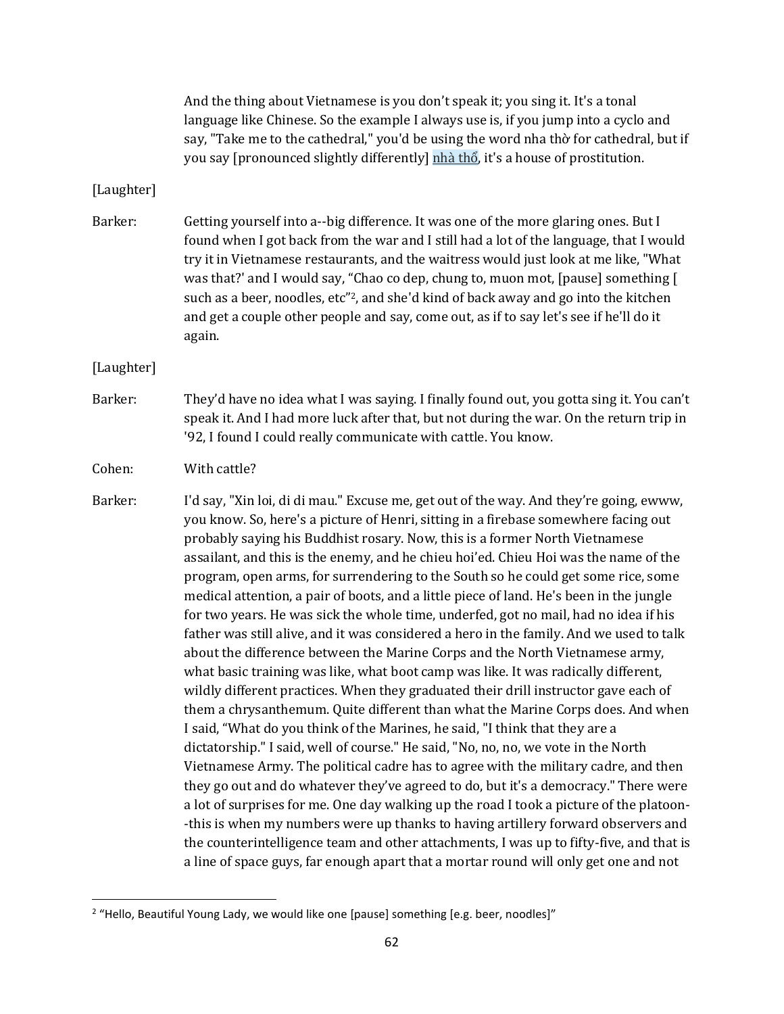|            | And the thing about Vietnamese is you don't speak it; you sing it. It's a tonal<br>language like Chinese. So the example I always use is, if you jump into a cyclo and<br>say, "Take me to the cathedral," you'd be using the word nha thò for cathedral, but if<br>you say [pronounced slightly differently] nhà thổ, it's a house of prostitution.                                                                                                                                                                                                                                                                                                                                                                                                                                                                                                                                                                                                                                                                                                                                                                                                                                                                                                                                                                                                                                                                                                                                                                                                                                                                                                                                                                                                                                           |
|------------|------------------------------------------------------------------------------------------------------------------------------------------------------------------------------------------------------------------------------------------------------------------------------------------------------------------------------------------------------------------------------------------------------------------------------------------------------------------------------------------------------------------------------------------------------------------------------------------------------------------------------------------------------------------------------------------------------------------------------------------------------------------------------------------------------------------------------------------------------------------------------------------------------------------------------------------------------------------------------------------------------------------------------------------------------------------------------------------------------------------------------------------------------------------------------------------------------------------------------------------------------------------------------------------------------------------------------------------------------------------------------------------------------------------------------------------------------------------------------------------------------------------------------------------------------------------------------------------------------------------------------------------------------------------------------------------------------------------------------------------------------------------------------------------------|
| [Laughter] |                                                                                                                                                                                                                                                                                                                                                                                                                                                                                                                                                                                                                                                                                                                                                                                                                                                                                                                                                                                                                                                                                                                                                                                                                                                                                                                                                                                                                                                                                                                                                                                                                                                                                                                                                                                                |
| Barker:    | Getting yourself into a--big difference. It was one of the more glaring ones. But I<br>found when I got back from the war and I still had a lot of the language, that I would<br>try it in Vietnamese restaurants, and the waitress would just look at me like, "What<br>was that?' and I would say, "Chao co dep, chung to, muon mot, [pause] something [<br>such as a beer, noodles, etc"2, and she'd kind of back away and go into the kitchen<br>and get a couple other people and say, come out, as if to say let's see if he'll do it<br>again.                                                                                                                                                                                                                                                                                                                                                                                                                                                                                                                                                                                                                                                                                                                                                                                                                                                                                                                                                                                                                                                                                                                                                                                                                                          |
| [Laughter] |                                                                                                                                                                                                                                                                                                                                                                                                                                                                                                                                                                                                                                                                                                                                                                                                                                                                                                                                                                                                                                                                                                                                                                                                                                                                                                                                                                                                                                                                                                                                                                                                                                                                                                                                                                                                |
| Barker:    | They'd have no idea what I was saying. I finally found out, you gotta sing it. You can't<br>speak it. And I had more luck after that, but not during the war. On the return trip in<br>'92, I found I could really communicate with cattle. You know.                                                                                                                                                                                                                                                                                                                                                                                                                                                                                                                                                                                                                                                                                                                                                                                                                                                                                                                                                                                                                                                                                                                                                                                                                                                                                                                                                                                                                                                                                                                                          |
| Cohen:     | With cattle?                                                                                                                                                                                                                                                                                                                                                                                                                                                                                                                                                                                                                                                                                                                                                                                                                                                                                                                                                                                                                                                                                                                                                                                                                                                                                                                                                                                                                                                                                                                                                                                                                                                                                                                                                                                   |
| Barker:    | I'd say, "Xin loi, di di mau." Excuse me, get out of the way. And they're going, ewww,<br>you know. So, here's a picture of Henri, sitting in a firebase somewhere facing out<br>probably saying his Buddhist rosary. Now, this is a former North Vietnamese<br>assailant, and this is the enemy, and he chieu hoi'ed. Chieu Hoi was the name of the<br>program, open arms, for surrendering to the South so he could get some rice, some<br>medical attention, a pair of boots, and a little piece of land. He's been in the jungle<br>for two years. He was sick the whole time, underfed, got no mail, had no idea if his<br>father was still alive, and it was considered a hero in the family. And we used to talk<br>about the difference between the Marine Corps and the North Vietnamese army,<br>what basic training was like, what boot camp was like. It was radically different,<br>wildly different practices. When they graduated their drill instructor gave each of<br>them a chrysanthemum. Quite different than what the Marine Corps does. And when<br>I said, "What do you think of the Marines, he said, "I think that they are a<br>dictatorship." I said, well of course." He said, "No, no, no, we vote in the North<br>Vietnamese Army. The political cadre has to agree with the military cadre, and then<br>they go out and do whatever they've agreed to do, but it's a democracy." There were<br>a lot of surprises for me. One day walking up the road I took a picture of the platoon-<br>-this is when my numbers were up thanks to having artillery forward observers and<br>the counterintelligence team and other attachments, I was up to fifty-five, and that is<br>a line of space guys, far enough apart that a mortar round will only get one and not |

<sup>&</sup>lt;sup>2</sup> "Hello, Beautiful Young Lady, we would like one [pause] something [e.g. beer, noodles]"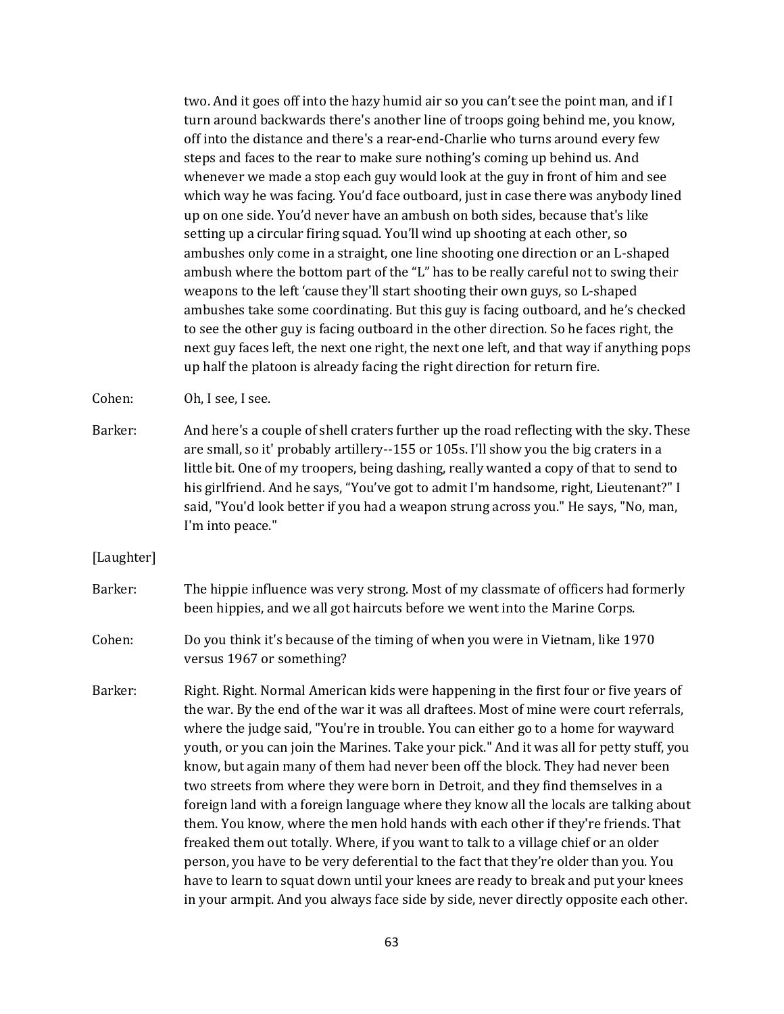two. And it goes off into the hazy humid air so you can't see the point man, and if I turn around backwards there's another line of troops going behind me, you know, off into the distance and there's a rear-end-Charlie who turns around every few steps and faces to the rear to make sure nothing's coming up behind us. And whenever we made a stop each guy would look at the guy in front of him and see which way he was facing. You'd face outboard, just in case there was anybody lined up on one side. You'd never have an ambush on both sides, because that's like setting up a circular firing squad. You'll wind up shooting at each other, so ambushes only come in a straight, one line shooting one direction or an L-shaped ambush where the bottom part of the "L" has to be really careful not to swing their weapons to the left 'cause they'll start shooting their own guys, so L-shaped ambushes take some coordinating. But this guy is facing outboard, and he's checked to see the other guy is facing outboard in the other direction. So he faces right, the next guy faces left, the next one right, the next one left, and that way if anything pops up half the platoon is already facing the right direction for return fire.

Cohen: Oh, I see, I see.

Barker: And here's a couple of shell craters further up the road reflecting with the sky. These are small, so it' probably artillery--155 or 105s. I'll show you the big craters in a little bit. One of my troopers, being dashing, really wanted a copy of that to send to his girlfriend. And he says, "You've got to admit I'm handsome, right, Lieutenant?" I said, "You'd look better if you had a weapon strung across you." He says, "No, man, I'm into peace."

[Laughter]

- Barker: The hippie influence was very strong. Most of my classmate of officers had formerly been hippies, and we all got haircuts before we went into the Marine Corps.
- Cohen: Do you think it's because of the timing of when you were in Vietnam, like 1970 versus 1967 or something?
- Barker: Right. Right. Normal American kids were happening in the first four or five years of the war. By the end of the war it was all draftees. Most of mine were court referrals, where the judge said, "You're in trouble. You can either go to a home for wayward youth, or you can join the Marines. Take your pick." And it was all for petty stuff, you know, but again many of them had never been off the block. They had never been two streets from where they were born in Detroit, and they find themselves in a foreign land with a foreign language where they know all the locals are talking about them. You know, where the men hold hands with each other if they're friends. That freaked them out totally. Where, if you want to talk to a village chief or an older person, you have to be very deferential to the fact that they're older than you. You have to learn to squat down until your knees are ready to break and put your knees in your armpit. And you always face side by side, never directly opposite each other.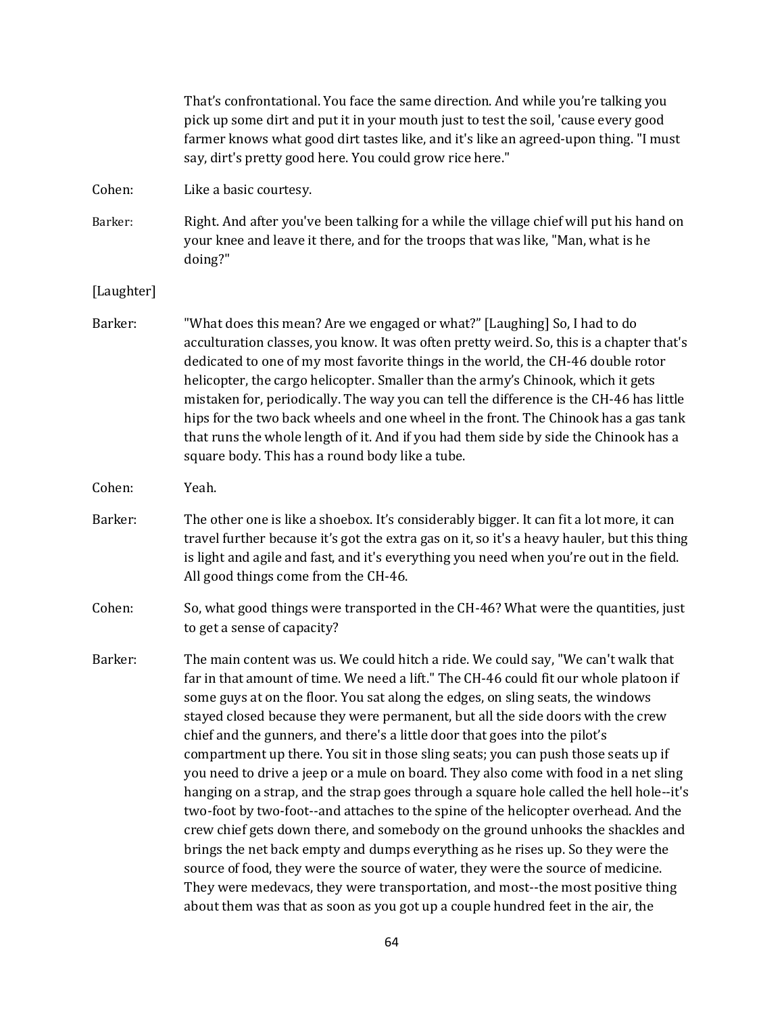|            | That's confrontational. You face the same direction. And while you're talking you<br>pick up some dirt and put it in your mouth just to test the soil, 'cause every good<br>farmer knows what good dirt tastes like, and it's like an agreed-upon thing. "I must<br>say, dirt's pretty good here. You could grow rice here."                                                                                                                                                                                                                                                                                                                                                                                                                                                                                                                                                                                                                                                                                                                                                                                                                                                                                                    |
|------------|---------------------------------------------------------------------------------------------------------------------------------------------------------------------------------------------------------------------------------------------------------------------------------------------------------------------------------------------------------------------------------------------------------------------------------------------------------------------------------------------------------------------------------------------------------------------------------------------------------------------------------------------------------------------------------------------------------------------------------------------------------------------------------------------------------------------------------------------------------------------------------------------------------------------------------------------------------------------------------------------------------------------------------------------------------------------------------------------------------------------------------------------------------------------------------------------------------------------------------|
| Cohen:     | Like a basic courtesy.                                                                                                                                                                                                                                                                                                                                                                                                                                                                                                                                                                                                                                                                                                                                                                                                                                                                                                                                                                                                                                                                                                                                                                                                          |
| Barker:    | Right. And after you've been talking for a while the village chief will put his hand on<br>your knee and leave it there, and for the troops that was like, "Man, what is he<br>doing?"                                                                                                                                                                                                                                                                                                                                                                                                                                                                                                                                                                                                                                                                                                                                                                                                                                                                                                                                                                                                                                          |
| [Laughter] |                                                                                                                                                                                                                                                                                                                                                                                                                                                                                                                                                                                                                                                                                                                                                                                                                                                                                                                                                                                                                                                                                                                                                                                                                                 |
| Barker:    | "What does this mean? Are we engaged or what?" [Laughing] So, I had to do<br>acculturation classes, you know. It was often pretty weird. So, this is a chapter that's<br>dedicated to one of my most favorite things in the world, the CH-46 double rotor<br>helicopter, the cargo helicopter. Smaller than the army's Chinook, which it gets<br>mistaken for, periodically. The way you can tell the difference is the CH-46 has little<br>hips for the two back wheels and one wheel in the front. The Chinook has a gas tank<br>that runs the whole length of it. And if you had them side by side the Chinook has a<br>square body. This has a round body like a tube.                                                                                                                                                                                                                                                                                                                                                                                                                                                                                                                                                      |
| Cohen:     | Yeah.                                                                                                                                                                                                                                                                                                                                                                                                                                                                                                                                                                                                                                                                                                                                                                                                                                                                                                                                                                                                                                                                                                                                                                                                                           |
| Barker:    | The other one is like a shoebox. It's considerably bigger. It can fit a lot more, it can<br>travel further because it's got the extra gas on it, so it's a heavy hauler, but this thing<br>is light and agile and fast, and it's everything you need when you're out in the field.<br>All good things come from the CH-46.                                                                                                                                                                                                                                                                                                                                                                                                                                                                                                                                                                                                                                                                                                                                                                                                                                                                                                      |
| Cohen:     | So, what good things were transported in the CH-46? What were the quantities, just<br>to get a sense of capacity?                                                                                                                                                                                                                                                                                                                                                                                                                                                                                                                                                                                                                                                                                                                                                                                                                                                                                                                                                                                                                                                                                                               |
| Barker:    | The main content was us. We could hitch a ride. We could say, "We can't walk that<br>far in that amount of time. We need a lift." The CH-46 could fit our whole platoon if<br>some guys at on the floor. You sat along the edges, on sling seats, the windows<br>stayed closed because they were permanent, but all the side doors with the crew<br>chief and the gunners, and there's a little door that goes into the pilot's<br>compartment up there. You sit in those sling seats; you can push those seats up if<br>you need to drive a jeep or a mule on board. They also come with food in a net sling<br>hanging on a strap, and the strap goes through a square hole called the hell hole--it's<br>two-foot by two-foot--and attaches to the spine of the helicopter overhead. And the<br>crew chief gets down there, and somebody on the ground unhooks the shackles and<br>brings the net back empty and dumps everything as he rises up. So they were the<br>source of food, they were the source of water, they were the source of medicine.<br>They were medevacs, they were transportation, and most--the most positive thing<br>about them was that as soon as you got up a couple hundred feet in the air, the |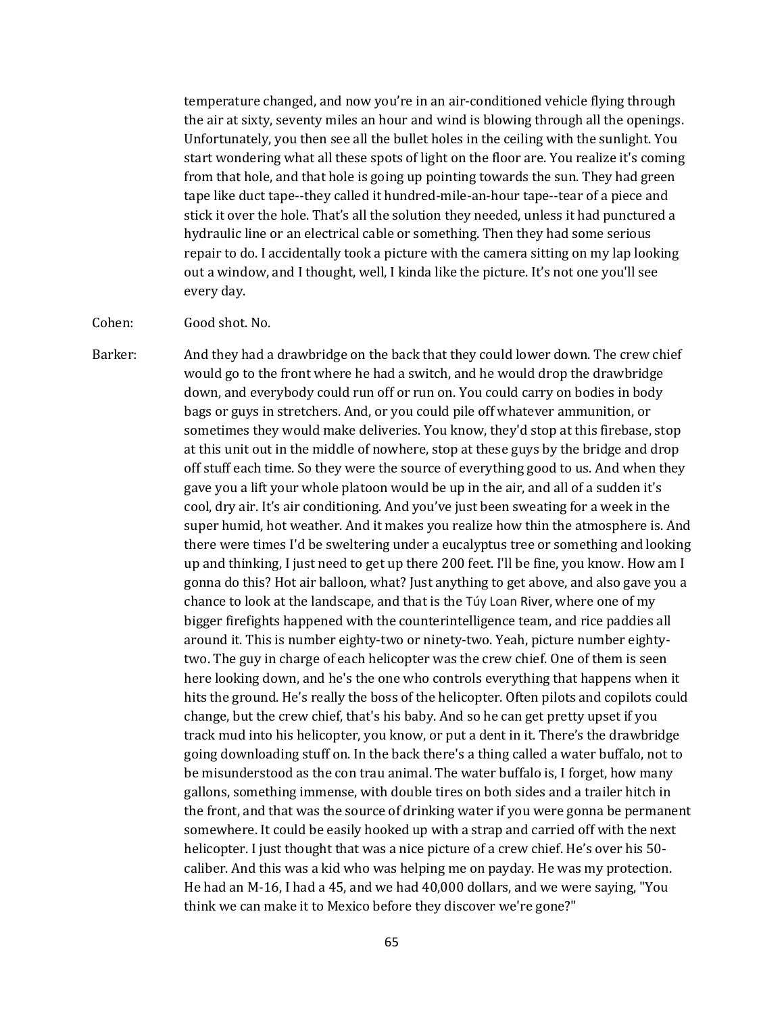temperature changed, and now you're in an air-conditioned vehicle flying through the air at sixty, seventy miles an hour and wind is blowing through all the openings. Unfortunately, you then see all the bullet holes in the ceiling with the sunlight. You start wondering what all these spots of light on the floor are. You realize it's coming from that hole, and that hole is going up pointing towards the sun. They had green tape like duct tape--they called it hundred-mile-an-hour tape--tear of a piece and stick it over the hole. That's all the solution they needed, unless it had punctured a hydraulic line or an electrical cable or something. Then they had some serious repair to do. I accidentally took a picture with the camera sitting on my lap looking out a window, and I thought, well, I kinda like the picture. It's not one you'll see every day.

Cohen: Good shot. No.

Barker: And they had a drawbridge on the back that they could lower down. The crew chief would go to the front where he had a switch, and he would drop the drawbridge down, and everybody could run off or run on. You could carry on bodies in body bags or guys in stretchers. And, or you could pile off whatever ammunition, or sometimes they would make deliveries. You know, they'd stop at this firebase, stop at this unit out in the middle of nowhere, stop at these guys by the bridge and drop off stuff each time. So they were the source of everything good to us. And when they gave you a lift your whole platoon would be up in the air, and all of a sudden it's cool, dry air. It's air conditioning. And you've just been sweating for a week in the super humid, hot weather. And it makes you realize how thin the atmosphere is. And there were times I'd be sweltering under a eucalyptus tree or something and looking up and thinking, I just need to get up there 200 feet. I'll be fine, you know. How am I gonna do this? Hot air balloon, what? Just anything to get above, and also gave you a chance to look at the landscape, and that is the Túy Loan River, where one of my bigger firefights happened with the counterintelligence team, and rice paddies all around it. This is number eighty-two or ninety-two. Yeah, picture number eightytwo. The guy in charge of each helicopter was the crew chief. One of them is seen here looking down, and he's the one who controls everything that happens when it hits the ground. He's really the boss of the helicopter. Often pilots and copilots could change, but the crew chief, that's his baby. And so he can get pretty upset if you track mud into his helicopter, you know, or put a dent in it. There's the drawbridge going downloading stuff on. In the back there's a thing called a water buffalo, not to be misunderstood as the con trau animal. The water buffalo is, I forget, how many gallons, something immense, with double tires on both sides and a trailer hitch in the front, and that was the source of drinking water if you were gonna be permanent somewhere. It could be easily hooked up with a strap and carried off with the next helicopter. I just thought that was a nice picture of a crew chief. He's over his 50 caliber. And this was a kid who was helping me on payday. He was my protection. He had an M-16, I had a 45, and we had 40,000 dollars, and we were saying, "You think we can make it to Mexico before they discover we're gone?"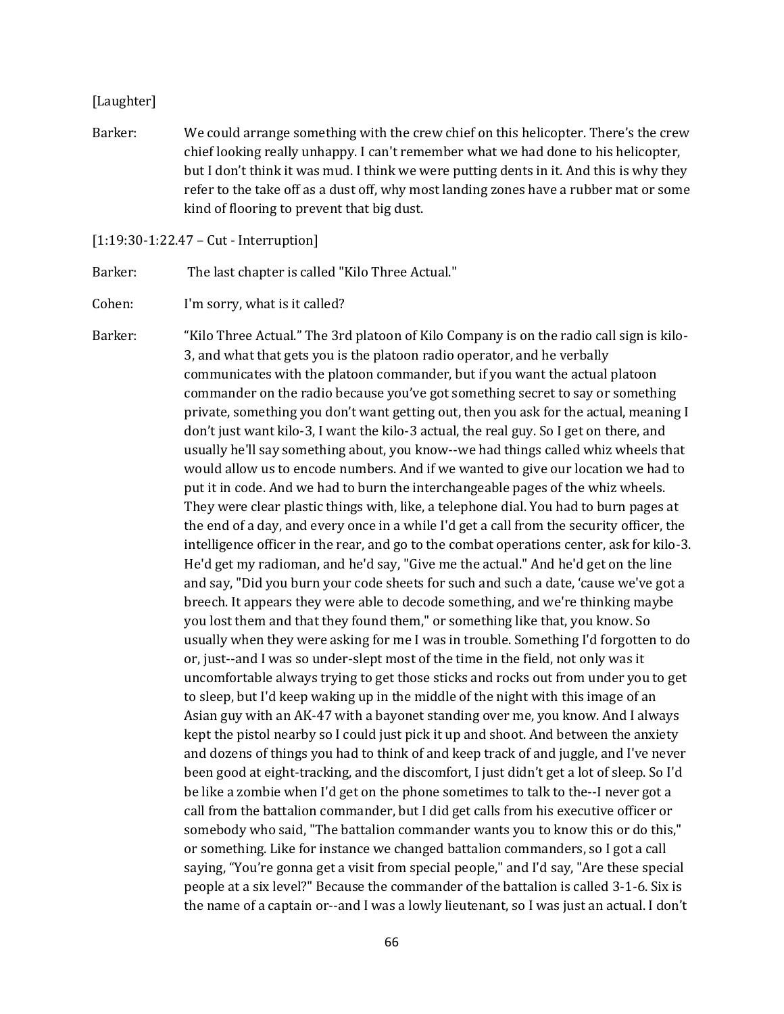#### [Laughter]

Barker: We could arrange something with the crew chief on this helicopter. There's the crew chief looking really unhappy. I can't remember what we had done to his helicopter, but I don't think it was mud. I think we were putting dents in it. And this is why they refer to the take off as a dust off, why most landing zones have a rubber mat or some kind of flooring to prevent that big dust.

#### [1:19:30-1:22.47 – Cut - Interruption]

Barker: The last chapter is called "Kilo Three Actual."

Cohen: I'm sorry, what is it called?

Barker: "Kilo Three Actual." The 3rd platoon of Kilo Company is on the radio call sign is kilo-3, and what that gets you is the platoon radio operator, and he verbally communicates with the platoon commander, but if you want the actual platoon commander on the radio because you've got something secret to say or something private, something you don't want getting out, then you ask for the actual, meaning I don't just want kilo-3, I want the kilo-3 actual, the real guy. So I get on there, and usually he'll say something about, you know--we had things called whiz wheels that would allow us to encode numbers. And if we wanted to give our location we had to put it in code. And we had to burn the interchangeable pages of the whiz wheels. They were clear plastic things with, like, a telephone dial. You had to burn pages at the end of a day, and every once in a while I'd get a call from the security officer, the intelligence officer in the rear, and go to the combat operations center, ask for kilo-3. He'd get my radioman, and he'd say, "Give me the actual." And he'd get on the line and say, "Did you burn your code sheets for such and such a date, 'cause we've got a breech. It appears they were able to decode something, and we're thinking maybe you lost them and that they found them," or something like that, you know. So usually when they were asking for me I was in trouble. Something I'd forgotten to do or, just--and I was so under-slept most of the time in the field, not only was it uncomfortable always trying to get those sticks and rocks out from under you to get to sleep, but I'd keep waking up in the middle of the night with this image of an Asian guy with an AK-47 with a bayonet standing over me, you know. And I always kept the pistol nearby so I could just pick it up and shoot. And between the anxiety and dozens of things you had to think of and keep track of and juggle, and I've never been good at eight-tracking, and the discomfort, I just didn't get a lot of sleep. So I'd be like a zombie when I'd get on the phone sometimes to talk to the--I never got a call from the battalion commander, but I did get calls from his executive officer or somebody who said, "The battalion commander wants you to know this or do this," or something. Like for instance we changed battalion commanders, so I got a call saying, "You're gonna get a visit from special people," and I'd say, "Are these special people at a six level?" Because the commander of the battalion is called 3-1-6. Six is the name of a captain or--and I was a lowly lieutenant, so I was just an actual. I don't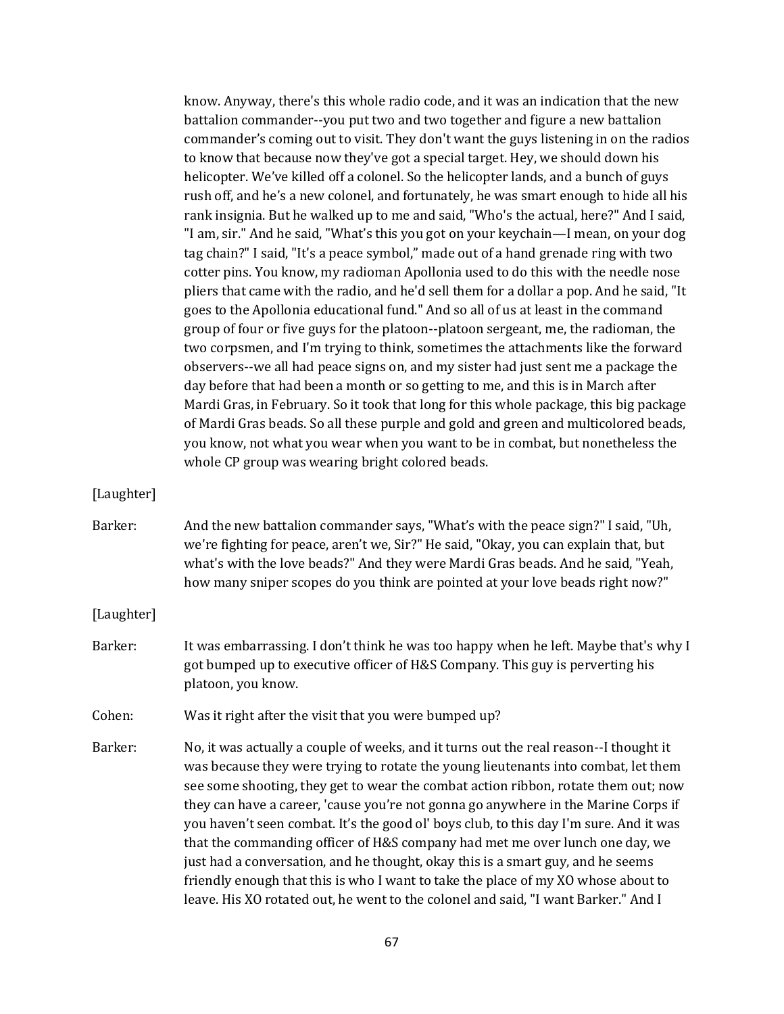know. Anyway, there's this whole radio code, and it was an indication that the new battalion commander--you put two and two together and figure a new battalion commander's coming out to visit. They don't want the guys listening in on the radios to know that because now they've got a special target. Hey, we should down his helicopter. We've killed off a colonel. So the helicopter lands, and a bunch of guys rush off, and he's a new colonel, and fortunately, he was smart enough to hide all his rank insignia. But he walked up to me and said, "Who's the actual, here?" And I said, "I am, sir." And he said, "What's this you got on your keychain—I mean, on your dog tag chain?" I said, "It's a peace symbol," made out of a hand grenade ring with two cotter pins. You know, my radioman Apollonia used to do this with the needle nose pliers that came with the radio, and he'd sell them for a dollar a pop. And he said, "It goes to the Apollonia educational fund." And so all of us at least in the command group of four or five guys for the platoon--platoon sergeant, me, the radioman, the two corpsmen, and I'm trying to think, sometimes the attachments like the forward observers--we all had peace signs on, and my sister had just sent me a package the day before that had been a month or so getting to me, and this is in March after Mardi Gras, in February. So it took that long for this whole package, this big package of Mardi Gras beads. So all these purple and gold and green and multicolored beads, you know, not what you wear when you want to be in combat, but nonetheless the whole CP group was wearing bright colored beads.

[Laughter]

Barker: And the new battalion commander says, "What's with the peace sign?" I said, "Uh, we're fighting for peace, aren't we, Sir?" He said, "Okay, you can explain that, but what's with the love beads?" And they were Mardi Gras beads. And he said, "Yeah, how many sniper scopes do you think are pointed at your love beads right now?"

[Laughter]

Barker: It was embarrassing. I don't think he was too happy when he left. Maybe that's why I got bumped up to executive officer of H&S Company. This guy is perverting his platoon, you know.

Cohen: Was it right after the visit that you were bumped up?

Barker: No, it was actually a couple of weeks, and it turns out the real reason--I thought it was because they were trying to rotate the young lieutenants into combat, let them see some shooting, they get to wear the combat action ribbon, rotate them out; now they can have a career, 'cause you're not gonna go anywhere in the Marine Corps if you haven't seen combat. It's the good ol' boys club, to this day I'm sure. And it was that the commanding officer of H&S company had met me over lunch one day, we just had a conversation, and he thought, okay this is a smart guy, and he seems friendly enough that this is who I want to take the place of my XO whose about to leave. His XO rotated out, he went to the colonel and said, "I want Barker." And I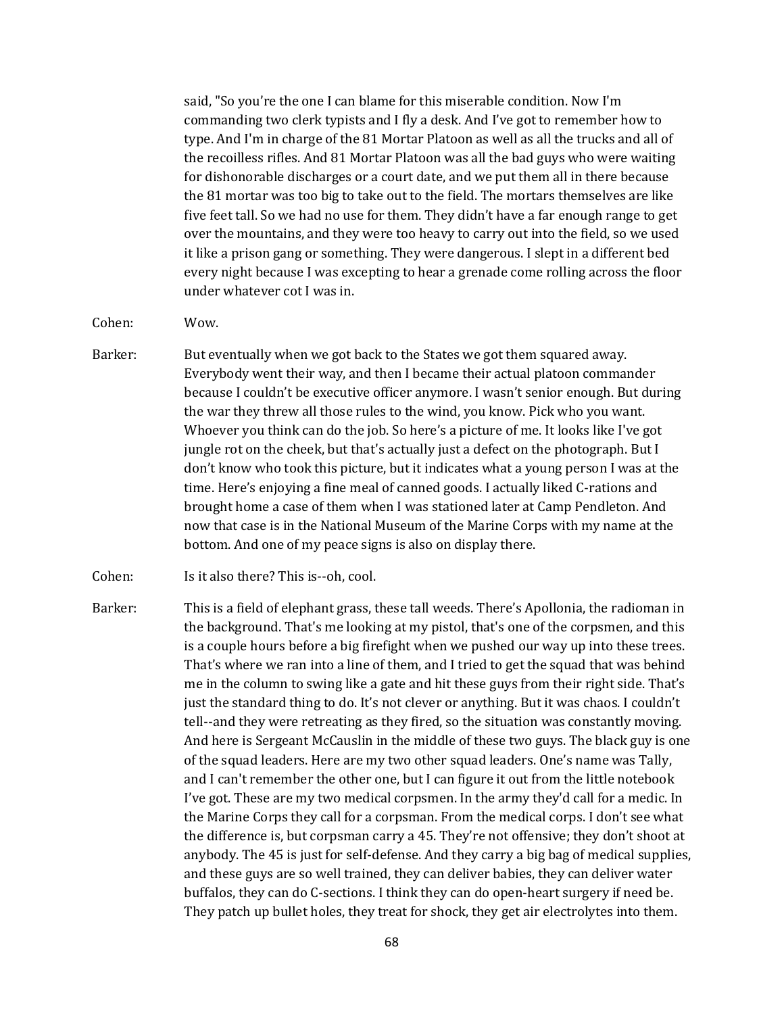said, "So you're the one I can blame for this miserable condition. Now I'm commanding two clerk typists and I fly a desk. And I've got to remember how to type. And I'm in charge of the 81 Mortar Platoon as well as all the trucks and all of the recoilless rifles. And 81 Mortar Platoon was all the bad guys who were waiting for dishonorable discharges or a court date, and we put them all in there because the 81 mortar was too big to take out to the field. The mortars themselves are like five feet tall. So we had no use for them. They didn't have a far enough range to get over the mountains, and they were too heavy to carry out into the field, so we used it like a prison gang or something. They were dangerous. I slept in a different bed every night because I was excepting to hear a grenade come rolling across the floor under whatever cot I was in.

Cohen: Wow.

- Barker: But eventually when we got back to the States we got them squared away. Everybody went their way, and then I became their actual platoon commander because I couldn't be executive officer anymore. I wasn't senior enough. But during the war they threw all those rules to the wind, you know. Pick who you want. Whoever you think can do the job. So here's a picture of me. It looks like I've got jungle rot on the cheek, but that's actually just a defect on the photograph. But I don't know who took this picture, but it indicates what a young person I was at the time. Here's enjoying a fine meal of canned goods. I actually liked C-rations and brought home a case of them when I was stationed later at Camp Pendleton. And now that case is in the National Museum of the Marine Corps with my name at the bottom. And one of my peace signs is also on display there.
- Cohen: Is it also there? This is--oh, cool.
- Barker: This is a field of elephant grass, these tall weeds. There's Apollonia, the radioman in the background. That's me looking at my pistol, that's one of the corpsmen, and this is a couple hours before a big firefight when we pushed our way up into these trees. That's where we ran into a line of them, and I tried to get the squad that was behind me in the column to swing like a gate and hit these guys from their right side. That's just the standard thing to do. It's not clever or anything. But it was chaos. I couldn't tell--and they were retreating as they fired, so the situation was constantly moving. And here is Sergeant McCauslin in the middle of these two guys. The black guy is one of the squad leaders. Here are my two other squad leaders. One's name was Tally, and I can't remember the other one, but I can figure it out from the little notebook I've got. These are my two medical corpsmen. In the army they'd call for a medic. In the Marine Corps they call for a corpsman. From the medical corps. I don't see what the difference is, but corpsman carry a 45. They're not offensive; they don't shoot at anybody. The 45 is just for self-defense. And they carry a big bag of medical supplies, and these guys are so well trained, they can deliver babies, they can deliver water buffalos, they can do C-sections. I think they can do open-heart surgery if need be. They patch up bullet holes, they treat for shock, they get air electrolytes into them.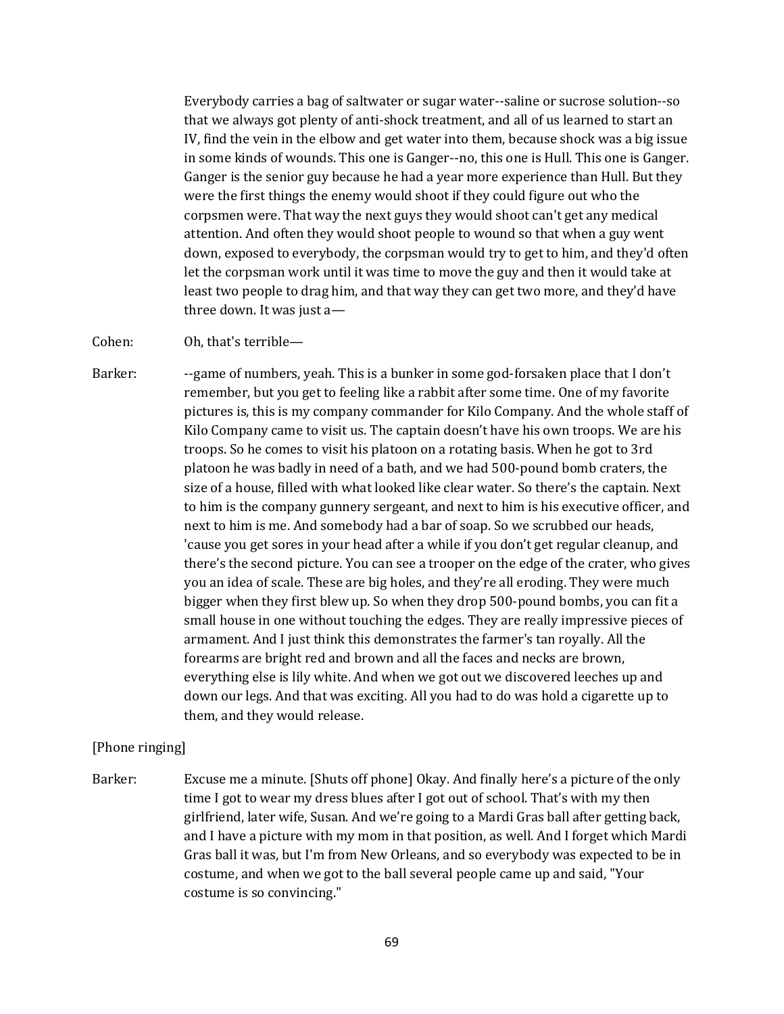Everybody carries a bag of saltwater or sugar water--saline or sucrose solution--so that we always got plenty of anti-shock treatment, and all of us learned to start an IV, find the vein in the elbow and get water into them, because shock was a big issue in some kinds of wounds. This one is Ganger--no, this one is Hull. This one is Ganger. Ganger is the senior guy because he had a year more experience than Hull. But they were the first things the enemy would shoot if they could figure out who the corpsmen were. That way the next guys they would shoot can't get any medical attention. And often they would shoot people to wound so that when a guy went down, exposed to everybody, the corpsman would try to get to him, and they'd often let the corpsman work until it was time to move the guy and then it would take at least two people to drag him, and that way they can get two more, and they'd have three down. It was just a—

Cohen: Oh, that's terrible—

Barker: --game of numbers, yeah. This is a bunker in some god-forsaken place that I don't remember, but you get to feeling like a rabbit after some time. One of my favorite pictures is, this is my company commander for Kilo Company. And the whole staff of Kilo Company came to visit us. The captain doesn't have his own troops. We are his troops. So he comes to visit his platoon on a rotating basis. When he got to 3rd platoon he was badly in need of a bath, and we had 500-pound bomb craters, the size of a house, filled with what looked like clear water. So there's the captain. Next to him is the company gunnery sergeant, and next to him is his executive officer, and next to him is me. And somebody had a bar of soap. So we scrubbed our heads, 'cause you get sores in your head after a while if you don't get regular cleanup, and there's the second picture. You can see a trooper on the edge of the crater, who gives you an idea of scale. These are big holes, and they're all eroding. They were much bigger when they first blew up. So when they drop 500-pound bombs, you can fit a small house in one without touching the edges. They are really impressive pieces of armament. And I just think this demonstrates the farmer's tan royally. All the forearms are bright red and brown and all the faces and necks are brown, everything else is lily white. And when we got out we discovered leeches up and down our legs. And that was exciting. All you had to do was hold a cigarette up to them, and they would release.

## [Phone ringing]

Barker: Excuse me a minute. [Shuts off phone] Okay. And finally here's a picture of the only time I got to wear my dress blues after I got out of school. That's with my then girlfriend, later wife, Susan. And we're going to a Mardi Gras ball after getting back, and I have a picture with my mom in that position, as well. And I forget which Mardi Gras ball it was, but I'm from New Orleans, and so everybody was expected to be in costume, and when we got to the ball several people came up and said, "Your costume is so convincing."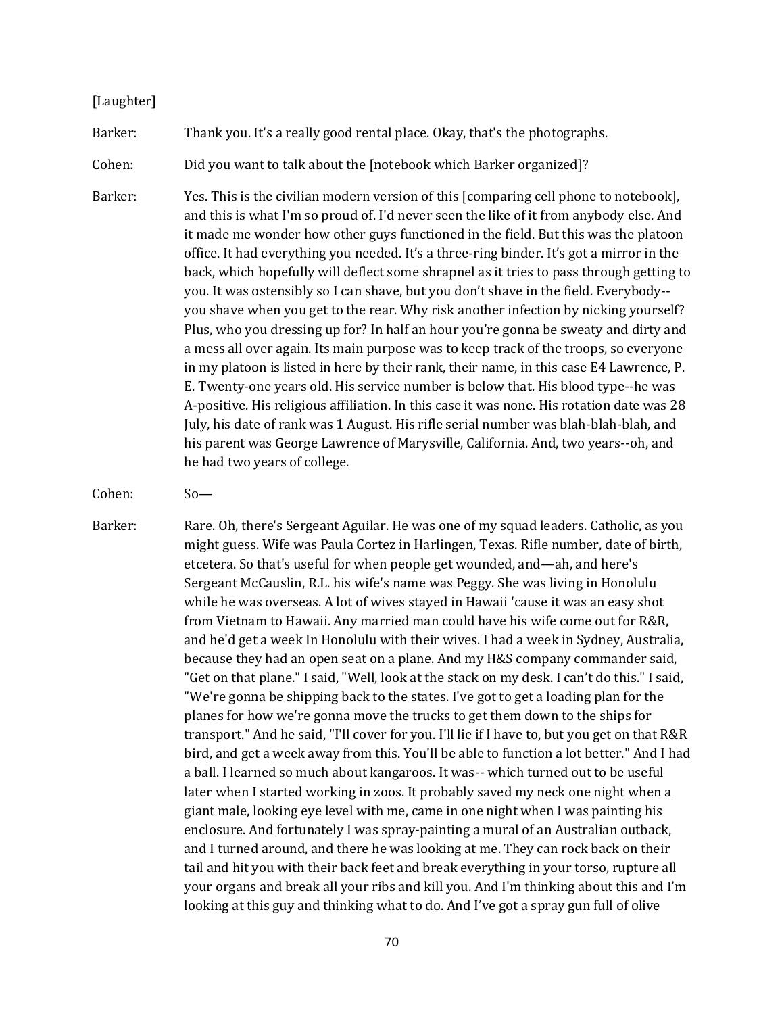#### [Laughter]

Barker: Thank you. It's a really good rental place. Okay, that's the photographs.

Cohen: Did you want to talk about the [notebook which Barker organized]?

Barker: Yes. This is the civilian modern version of this [comparing cell phone to notebook], and this is what I'm so proud of. I'd never seen the like of it from anybody else. And it made me wonder how other guys functioned in the field. But this was the platoon office. It had everything you needed. It's a three-ring binder. It's got a mirror in the back, which hopefully will deflect some shrapnel as it tries to pass through getting to you. It was ostensibly so I can shave, but you don't shave in the field. Everybody- you shave when you get to the rear. Why risk another infection by nicking yourself? Plus, who you dressing up for? In half an hour you're gonna be sweaty and dirty and a mess all over again. Its main purpose was to keep track of the troops, so everyone in my platoon is listed in here by their rank, their name, in this case E4 Lawrence, P. E. Twenty-one years old. His service number is below that. His blood type--he was A-positive. His religious affiliation. In this case it was none. His rotation date was 28 July, his date of rank was 1 August. His rifle serial number was blah-blah-blah, and his parent was George Lawrence of Marysville, California. And, two years--oh, and he had two years of college.

Barker: Rare. Oh, there's Sergeant Aguilar. He was one of my squad leaders. Catholic, as you might guess. Wife was Paula Cortez in Harlingen, Texas. Rifle number, date of birth, etcetera. So that's useful for when people get wounded, and—ah, and here's Sergeant McCauslin, R.L. his wife's name was Peggy. She was living in Honolulu while he was overseas. A lot of wives stayed in Hawaii 'cause it was an easy shot from Vietnam to Hawaii. Any married man could have his wife come out for R&R, and he'd get a week In Honolulu with their wives. I had a week in Sydney, Australia, because they had an open seat on a plane. And my H&S company commander said, "Get on that plane." I said, "Well, look at the stack on my desk. I can't do this." I said, "We're gonna be shipping back to the states. I've got to get a loading plan for the planes for how we're gonna move the trucks to get them down to the ships for transport." And he said, "I'll cover for you. I'll lie if I have to, but you get on that R&R bird, and get a week away from this. You'll be able to function a lot better." And I had a ball. I learned so much about kangaroos. It was-- which turned out to be useful later when I started working in zoos. It probably saved my neck one night when a giant male, looking eye level with me, came in one night when I was painting his enclosure. And fortunately I was spray-painting a mural of an Australian outback, and I turned around, and there he was looking at me. They can rock back on their tail and hit you with their back feet and break everything in your torso, rupture all your organs and break all your ribs and kill you. And I'm thinking about this and I'm looking at this guy and thinking what to do. And I've got a spray gun full of olive

Cohen: So—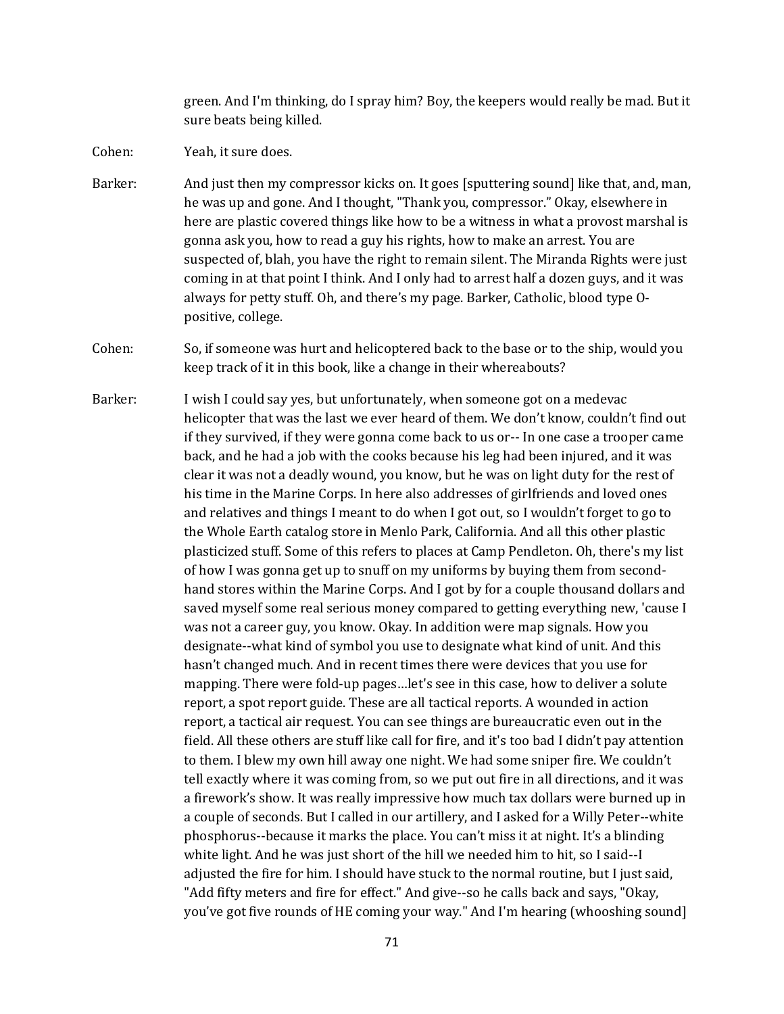green. And I'm thinking, do I spray him? Boy, the keepers would really be mad. But it sure beats being killed.

- Cohen: Yeah, it sure does.
- Barker: And just then my compressor kicks on. It goes [sputtering sound] like that, and, man, he was up and gone. And I thought, "Thank you, compressor." Okay, elsewhere in here are plastic covered things like how to be a witness in what a provost marshal is gonna ask you, how to read a guy his rights, how to make an arrest. You are suspected of, blah, you have the right to remain silent. The Miranda Rights were just coming in at that point I think. And I only had to arrest half a dozen guys, and it was always for petty stuff. Oh, and there's my page. Barker, Catholic, blood type Opositive, college.
- Cohen: So, if someone was hurt and helicoptered back to the base or to the ship, would you keep track of it in this book, like a change in their whereabouts?
- Barker: I wish I could say yes, but unfortunately, when someone got on a medevac helicopter that was the last we ever heard of them. We don't know, couldn't find out if they survived, if they were gonna come back to us or-- In one case a trooper came back, and he had a job with the cooks because his leg had been injured, and it was clear it was not a deadly wound, you know, but he was on light duty for the rest of his time in the Marine Corps. In here also addresses of girlfriends and loved ones and relatives and things I meant to do when I got out, so I wouldn't forget to go to the Whole Earth catalog store in Menlo Park, California. And all this other plastic plasticized stuff. Some of this refers to places at Camp Pendleton. Oh, there's my list of how I was gonna get up to snuff on my uniforms by buying them from secondhand stores within the Marine Corps. And I got by for a couple thousand dollars and saved myself some real serious money compared to getting everything new, 'cause I was not a career guy, you know. Okay. In addition were map signals. How you designate--what kind of symbol you use to designate what kind of unit. And this hasn't changed much. And in recent times there were devices that you use for mapping. There were fold-up pages…let's see in this case, how to deliver a solute report, a spot report guide. These are all tactical reports. A wounded in action report, a tactical air request. You can see things are bureaucratic even out in the field. All these others are stuff like call for fire, and it's too bad I didn't pay attention to them. I blew my own hill away one night. We had some sniper fire. We couldn't tell exactly where it was coming from, so we put out fire in all directions, and it was a firework's show. It was really impressive how much tax dollars were burned up in a couple of seconds. But I called in our artillery, and I asked for a Willy Peter--white phosphorus--because it marks the place. You can't miss it at night. It's a blinding white light. And he was just short of the hill we needed him to hit, so I said--I adjusted the fire for him. I should have stuck to the normal routine, but I just said, "Add fifty meters and fire for effect." And give--so he calls back and says, "Okay, you've got five rounds of HE coming your way." And I'm hearing (whooshing sound]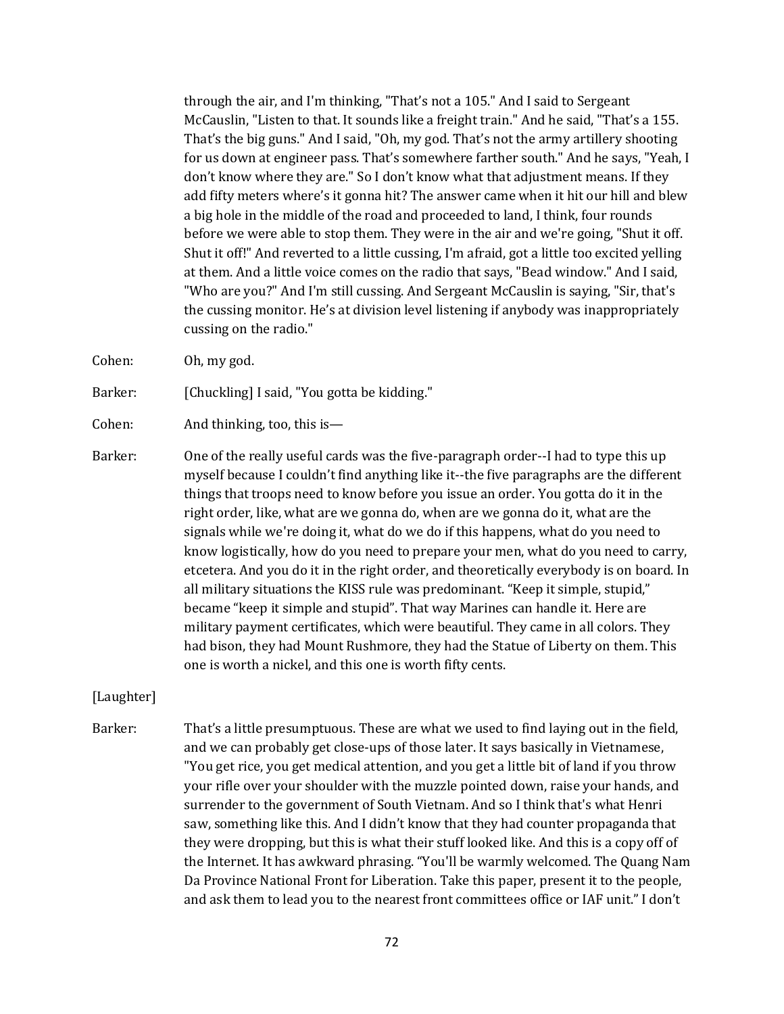through the air, and I'm thinking, "That's not a 105." And I said to Sergeant McCauslin, "Listen to that. It sounds like a freight train." And he said, "That's a 155. That's the big guns." And I said, "Oh, my god. That's not the army artillery shooting for us down at engineer pass. That's somewhere farther south." And he says, "Yeah, I don't know where they are." So I don't know what that adjustment means. If they add fifty meters where's it gonna hit? The answer came when it hit our hill and blew a big hole in the middle of the road and proceeded to land, I think, four rounds before we were able to stop them. They were in the air and we're going, "Shut it off. Shut it off!" And reverted to a little cussing, I'm afraid, got a little too excited yelling at them. And a little voice comes on the radio that says, "Bead window." And I said, "Who are you?" And I'm still cussing. And Sergeant McCauslin is saying, "Sir, that's the cussing monitor. He's at division level listening if anybody was inappropriately cussing on the radio."

Cohen: Oh, my god.

Barker: [Chuckling] I said, "You gotta be kidding."

- Cohen: And thinking, too, this is—
- Barker: One of the really useful cards was the five-paragraph order--I had to type this up myself because I couldn't find anything like it--the five paragraphs are the different things that troops need to know before you issue an order. You gotta do it in the right order, like, what are we gonna do, when are we gonna do it, what are the signals while we're doing it, what do we do if this happens, what do you need to know logistically, how do you need to prepare your men, what do you need to carry, etcetera. And you do it in the right order, and theoretically everybody is on board. In all military situations the KISS rule was predominant. "Keep it simple, stupid," became "keep it simple and stupid". That way Marines can handle it. Here are military payment certificates, which were beautiful. They came in all colors. They had bison, they had Mount Rushmore, they had the Statue of Liberty on them. This one is worth a nickel, and this one is worth fifty cents.

#### [Laughter]

Barker: That's a little presumptuous. These are what we used to find laying out in the field, and we can probably get close-ups of those later. It says basically in Vietnamese, "You get rice, you get medical attention, and you get a little bit of land if you throw your rifle over your shoulder with the muzzle pointed down, raise your hands, and surrender to the government of South Vietnam. And so I think that's what Henri saw, something like this. And I didn't know that they had counter propaganda that they were dropping, but this is what their stuff looked like. And this is a copy off of the Internet. It has awkward phrasing. "You'll be warmly welcomed. The Quang Nam Da Province National Front for Liberation. Take this paper, present it to the people, and ask them to lead you to the nearest front committees office or IAF unit." I don't